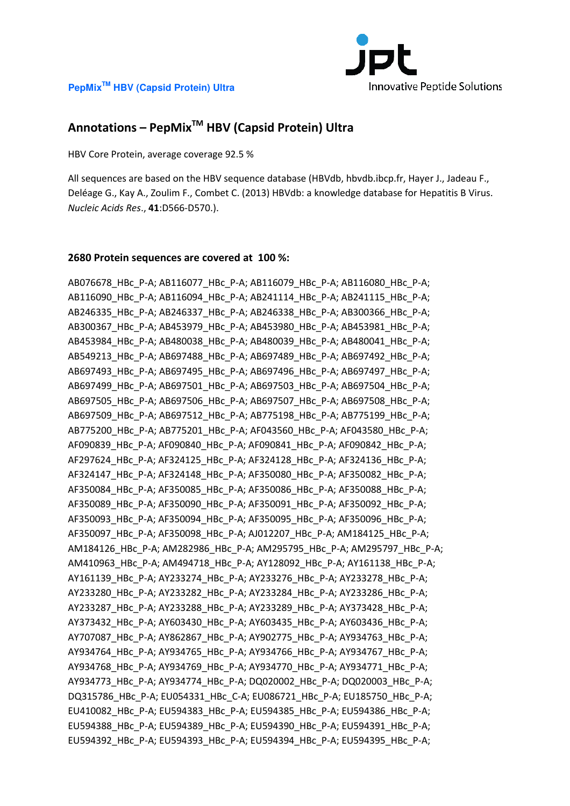

# **Annotations – PepMixTM HBV (Capsid Protein) Ultra**

HBV Core Protein, average coverage 92.5 %

All sequences are based on the HBV sequence database (HBVdb, hbvdb.ibcp.fr, Hayer J., Jadeau F., Deléage G., Kay A., Zoulim F., Combet C. (2013) HBVdb: a knowledge database for Hepatitis B Virus. *Nucleic Acids Res*., **41**:D566-D570.).

#### **2680 Protein sequences are covered at 100 %:**

AB076678\_HBc\_P-A; AB116077\_HBc\_P-A; AB116079\_HBc\_P-A; AB116080\_HBc\_P-A; AB116090\_HBc\_P-A; AB116094\_HBc\_P-A; AB241114\_HBc\_P-A; AB241115\_HBc\_P-A; AB246335\_HBc\_P-A; AB246337\_HBc\_P-A; AB246338\_HBc\_P-A; AB300366\_HBc\_P-A; AB300367\_HBc\_P-A; AB453979\_HBc\_P-A; AB453980\_HBc\_P-A; AB453981\_HBc\_P-A; AB453984\_HBc\_P-A; AB480038\_HBc\_P-A; AB480039\_HBc\_P-A; AB480041\_HBc\_P-A; AB549213\_HBc\_P-A; AB697488\_HBc\_P-A; AB697489\_HBc\_P-A; AB697492\_HBc\_P-A; AB697493\_HBc\_P-A; AB697495\_HBc\_P-A; AB697496\_HBc\_P-A; AB697497\_HBc\_P-A; AB697499\_HBc\_P-A; AB697501\_HBc\_P-A; AB697503\_HBc\_P-A; AB697504\_HBc\_P-A; AB697505\_HBc\_P-A; AB697506\_HBc\_P-A; AB697507\_HBc\_P-A; AB697508\_HBc\_P-A; AB697509\_HBc\_P-A; AB697512\_HBc\_P-A; AB775198\_HBc\_P-A; AB775199\_HBc\_P-A; AB775200\_HBc\_P-A; AB775201\_HBc\_P-A; AF043560\_HBc\_P-A; AF043580\_HBc\_P-A; AF090839\_HBc\_P-A; AF090840\_HBc\_P-A; AF090841\_HBc\_P-A; AF090842\_HBc\_P-A; AF297624 HBc P-A; AF324125 HBc P-A; AF324128 HBc P-A; AF324136 HBc P-A; AF324147\_HBc\_P-A; AF324148\_HBc\_P-A; AF350080\_HBc\_P-A; AF350082\_HBc\_P-A; AF350084\_HBc\_P-A; AF350085\_HBc\_P-A; AF350086\_HBc\_P-A; AF350088\_HBc\_P-A; AF350089\_HBc\_P-A; AF350090\_HBc\_P-A; AF350091\_HBc\_P-A; AF350092\_HBc\_P-A; AF350093\_HBc\_P-A; AF350094\_HBc\_P-A; AF350095\_HBc\_P-A; AF350096\_HBc\_P-A; AF350097\_HBc\_P-A; AF350098\_HBc\_P-A; AJ012207\_HBc\_P-A; AM184125\_HBc\_P-A; AM184126\_HBc\_P-A; AM282986\_HBc\_P-A; AM295795\_HBc\_P-A; AM295797\_HBc\_P-A; AM410963\_HBc\_P-A; AM494718\_HBc\_P-A; AY128092\_HBc\_P-A; AY161138\_HBc\_P-A; AY161139\_HBc\_P-A; AY233274\_HBc\_P-A; AY233276\_HBc\_P-A; AY233278\_HBc\_P-A; AY233280\_HBc\_P-A; AY233282\_HBc\_P-A; AY233284\_HBc\_P-A; AY233286\_HBc\_P-A; AY233287\_HBc\_P-A; AY233288\_HBc\_P-A; AY233289\_HBc\_P-A; AY373428\_HBc\_P-A; AY373432\_HBc\_P-A; AY603430\_HBc\_P-A; AY603435\_HBc\_P-A; AY603436\_HBc\_P-A; AY707087\_HBc\_P-A; AY862867\_HBc\_P-A; AY902775\_HBc\_P-A; AY934763\_HBc\_P-A; AY934764\_HBc\_P-A; AY934765\_HBc\_P-A; AY934766\_HBc\_P-A; AY934767\_HBc\_P-A; AY934768\_HBc\_P-A; AY934769\_HBc\_P-A; AY934770\_HBc\_P-A; AY934771\_HBc\_P-A; AY934773\_HBc\_P-A; AY934774\_HBc\_P-A; DQ020002\_HBc\_P-A; DQ020003\_HBc\_P-A; DQ315786\_HBc\_P-A; EU054331\_HBc\_C-A; EU086721\_HBc\_P-A; EU185750\_HBc\_P-A; EU410082\_HBc\_P-A; EU594383\_HBc\_P-A; EU594385\_HBc\_P-A; EU594386\_HBc\_P-A; EU594388\_HBc\_P-A; EU594389\_HBc\_P-A; EU594390\_HBc\_P-A; EU594391\_HBc\_P-A; EU594392\_HBc\_P-A; EU594393\_HBc\_P-A; EU594394\_HBc\_P-A; EU594395\_HBc\_P-A;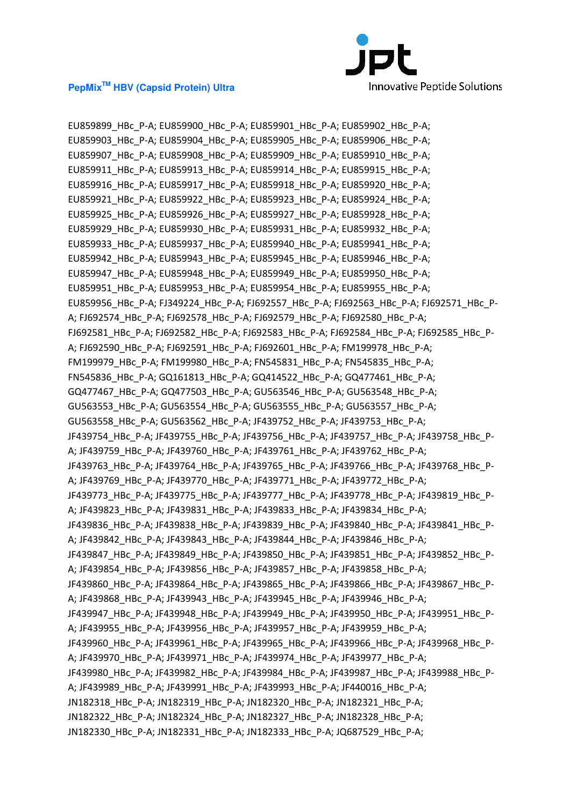

EU859899\_HBc\_P-A; EU859900\_HBc\_P-A; EU859901\_HBc\_P-A; EU859902\_HBc\_P-A; EU859903\_HBc\_P-A; EU859904\_HBc\_P-A; EU859905\_HBc\_P-A; EU859906\_HBc\_P-A; EU859907\_HBc\_P-A; EU859908\_HBc\_P-A; EU859909\_HBc\_P-A; EU859910\_HBc\_P-A; EU859911\_HBc\_P-A; EU859913\_HBc\_P-A; EU859914\_HBc\_P-A; EU859915\_HBc\_P-A; EU859916\_HBc\_P-A; EU859917\_HBc\_P-A; EU859918\_HBc\_P-A; EU859920\_HBc\_P-A; EU859921\_HBc\_P-A; EU859922\_HBc\_P-A; EU859923\_HBc\_P-A; EU859924\_HBc\_P-A; EU859925\_HBc\_P-A; EU859926\_HBc\_P-A; EU859927\_HBc\_P-A; EU859928\_HBc\_P-A; EU859929\_HBc\_P-A; EU859930\_HBc\_P-A; EU859931\_HBc\_P-A; EU859932\_HBc\_P-A; EU859933\_HBc\_P-A; EU859937\_HBc\_P-A; EU859940\_HBc\_P-A; EU859941\_HBc\_P-A; EU859942\_HBc\_P-A; EU859943\_HBc\_P-A; EU859945\_HBc\_P-A; EU859946\_HBc\_P-A; EU859947\_HBc\_P-A; EU859948\_HBc\_P-A; EU859949\_HBc\_P-A; EU859950\_HBc\_P-A; EU859951\_HBc\_P-A; EU859953\_HBc\_P-A; EU859954\_HBc\_P-A; EU859955\_HBc\_P-A; EU859956\_HBc\_P-A; FJ349224\_HBc\_P-A; FJ692557\_HBc\_P-A; FJ692563\_HBc\_P-A; FJ692571\_HBc\_P-A; FJ692574\_HBc\_P-A; FJ692578\_HBc\_P-A; FJ692579\_HBc\_P-A; FJ692580\_HBc\_P-A; FJ692581\_HBc\_P-A; FJ692582\_HBc\_P-A; FJ692583\_HBc\_P-A; FJ692584\_HBc\_P-A; FJ692585\_HBc\_P-A; FJ692590\_HBc\_P-A; FJ692591\_HBc\_P-A; FJ692601\_HBc\_P-A; FM199978\_HBc\_P-A; FM199979\_HBc\_P-A; FM199980\_HBc\_P-A; FN545831\_HBc\_P-A; FN545835\_HBc\_P-A; FN545836\_HBc\_P-A; GQ161813\_HBc\_P-A; GQ414522\_HBc\_P-A; GQ477461\_HBc\_P-A; GQ477467\_HBc\_P-A; GQ477503\_HBc\_P-A; GU563546\_HBc\_P-A; GU563548\_HBc\_P-A; GU563553\_HBc\_P-A; GU563554\_HBc\_P-A; GU563555\_HBc\_P-A; GU563557\_HBc\_P-A; GU563558\_HBc\_P-A; GU563562\_HBc\_P-A; JF439752\_HBc\_P-A; JF439753\_HBc\_P-A; JF439754 HBc P-A; JF439755 HBc P-A; JF439756 HBc P-A; JF439757 HBc P-A; JF439758 HBc P-A; JF439759\_HBc\_P-A; JF439760\_HBc\_P-A; JF439761\_HBc\_P-A; JF439762\_HBc\_P-A; JF439763\_HBc\_P-A; JF439764\_HBc\_P-A; JF439765\_HBc\_P-A; JF439766\_HBc\_P-A; JF439768\_HBc\_P-A; JF439769\_HBc\_P-A; JF439770\_HBc\_P-A; JF439771\_HBc\_P-A; JF439772\_HBc\_P-A; JF439773\_HBc\_P-A; JF439775\_HBc\_P-A; JF439777\_HBc\_P-A; JF439778\_HBc\_P-A; JF439819\_HBc\_P-A; JF439823\_HBc\_P-A; JF439831\_HBc\_P-A; JF439833\_HBc\_P-A; JF439834\_HBc\_P-A; JF439836\_HBc\_P-A; JF439838\_HBc\_P-A; JF439839\_HBc\_P-A; JF439840\_HBc\_P-A; JF439841\_HBc\_P-A; JF439842\_HBc\_P-A; JF439843\_HBc\_P-A; JF439844\_HBc\_P-A; JF439846\_HBc\_P-A; JF439847\_HBc\_P-A; JF439849\_HBc\_P-A; JF439850\_HBc\_P-A; JF439851\_HBc\_P-A; JF439852\_HBc\_P-A; JF439854\_HBc\_P-A; JF439856\_HBc\_P-A; JF439857\_HBc\_P-A; JF439858\_HBc\_P-A; JF439860\_HBc\_P-A; JF439864\_HBc\_P-A; JF439865\_HBc\_P-A; JF439866\_HBc\_P-A; JF439867\_HBc\_P-A; JF439868 HBc P-A; JF439943 HBc P-A; JF439945 HBc P-A; JF439946 HBc P-A; JF439947\_HBc\_P-A; JF439948\_HBc\_P-A; JF439949\_HBc\_P-A; JF439950\_HBc\_P-A; JF439951\_HBc\_P-A; JF439955\_HBc\_P-A; JF439956\_HBc\_P-A; JF439957\_HBc\_P-A; JF439959\_HBc\_P-A; JF439960\_HBc\_P-A; JF439961\_HBc\_P-A; JF439965\_HBc\_P-A; JF439966\_HBc\_P-A; JF439968\_HBc\_P-A; JF439970\_HBc\_P-A; JF439971\_HBc\_P-A; JF439974\_HBc\_P-A; JF439977\_HBc\_P-A; JF439980\_HBc\_P-A; JF439982\_HBc\_P-A; JF439984\_HBc\_P-A; JF439987\_HBc\_P-A; JF439988\_HBc\_P-A; JF439989\_HBc\_P-A; JF439991\_HBc\_P-A; JF439993\_HBc\_P-A; JF440016\_HBc\_P-A; JN182318\_HBc\_P-A; JN182319\_HBc\_P-A; JN182320\_HBc\_P-A; JN182321\_HBc\_P-A; JN182322\_HBc\_P-A; JN182324\_HBc\_P-A; JN182327\_HBc\_P-A; JN182328\_HBc\_P-A; JN182330\_HBc\_P-A; JN182331\_HBc\_P-A; JN182333\_HBc\_P-A; JQ687529\_HBc\_P-A;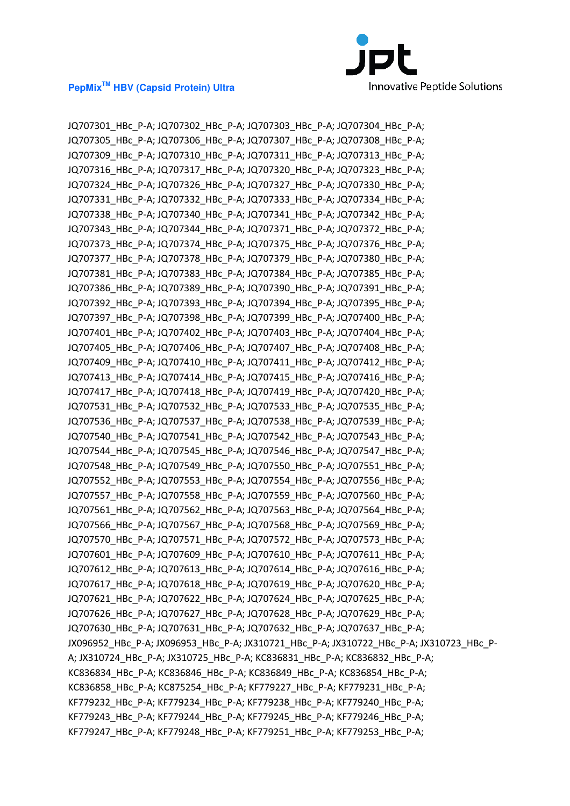

JQ707301\_HBc\_P-A; JQ707302\_HBc\_P-A; JQ707303\_HBc\_P-A; JQ707304\_HBc\_P-A; JQ707305\_HBc\_P-A; JQ707306\_HBc\_P-A; JQ707307\_HBc\_P-A; JQ707308\_HBc\_P-A; JQ707309\_HBc\_P-A; JQ707310\_HBc\_P-A; JQ707311\_HBc\_P-A; JQ707313\_HBc\_P-A; JQ707316\_HBc\_P-A; JQ707317\_HBc\_P-A; JQ707320\_HBc\_P-A; JQ707323\_HBc\_P-A; JQ707324\_HBc\_P-A; JQ707326\_HBc\_P-A; JQ707327\_HBc\_P-A; JQ707330\_HBc\_P-A; JQ707331\_HBc\_P-A; JQ707332\_HBc\_P-A; JQ707333\_HBc\_P-A; JQ707334\_HBc\_P-A; JQ707338\_HBc\_P-A; JQ707340\_HBc\_P-A; JQ707341\_HBc\_P-A; JQ707342\_HBc\_P-A; JQ707343\_HBc\_P-A; JQ707344\_HBc\_P-A; JQ707371\_HBc\_P-A; JQ707372\_HBc\_P-A; JQ707373\_HBc\_P-A; JQ707374\_HBc\_P-A; JQ707375\_HBc\_P-A; JQ707376\_HBc\_P-A; JQ707377\_HBc\_P-A; JQ707378\_HBc\_P-A; JQ707379\_HBc\_P-A; JQ707380\_HBc\_P-A; JQ707381\_HBc\_P-A; JQ707383\_HBc\_P-A; JQ707384\_HBc\_P-A; JQ707385\_HBc\_P-A; JQ707386\_HBc\_P-A; JQ707389\_HBc\_P-A; JQ707390\_HBc\_P-A; JQ707391\_HBc\_P-A; JQ707392\_HBc\_P-A; JQ707393\_HBc\_P-A; JQ707394\_HBc\_P-A; JQ707395\_HBc\_P-A; JQ707397\_HBc\_P-A; JQ707398\_HBc\_P-A; JQ707399\_HBc\_P-A; JQ707400\_HBc\_P-A; JQ707401\_HBc\_P-A; JQ707402\_HBc\_P-A; JQ707403\_HBc\_P-A; JQ707404\_HBc\_P-A; JQ707405\_HBc\_P-A; JQ707406\_HBc\_P-A; JQ707407\_HBc\_P-A; JQ707408\_HBc\_P-A; JQ707409\_HBc\_P-A; JQ707410\_HBc\_P-A; JQ707411\_HBc\_P-A; JQ707412\_HBc\_P-A; JQ707413\_HBc\_P-A; JQ707414\_HBc\_P-A; JQ707415\_HBc\_P-A; JQ707416\_HBc\_P-A; JQ707417\_HBc\_P-A; JQ707418\_HBc\_P-A; JQ707419\_HBc\_P-A; JQ707420\_HBc\_P-A; JQ707531\_HBc\_P-A; JQ707532\_HBc\_P-A; JQ707533\_HBc\_P-A; JQ707535\_HBc\_P-A; JQ707536\_HBc\_P-A; JQ707537\_HBc\_P-A; JQ707538\_HBc\_P-A; JQ707539\_HBc\_P-A; JQ707540\_HBc\_P-A; JQ707541\_HBc\_P-A; JQ707542\_HBc\_P-A; JQ707543\_HBc\_P-A; JQ707544\_HBc\_P-A; JQ707545\_HBc\_P-A; JQ707546\_HBc\_P-A; JQ707547\_HBc\_P-A; JQ707548\_HBc\_P-A; JQ707549\_HBc\_P-A; JQ707550\_HBc\_P-A; JQ707551\_HBc\_P-A; JQ707552\_HBc\_P-A; JQ707553\_HBc\_P-A; JQ707554\_HBc\_P-A; JQ707556\_HBc\_P-A; JQ707557\_HBc\_P-A; JQ707558\_HBc\_P-A; JQ707559\_HBc\_P-A; JQ707560\_HBc\_P-A; JQ707561\_HBc\_P-A; JQ707562\_HBc\_P-A; JQ707563\_HBc\_P-A; JQ707564\_HBc\_P-A; JQ707566\_HBc\_P-A; JQ707567\_HBc\_P-A; JQ707568\_HBc\_P-A; JQ707569\_HBc\_P-A; JQ707570\_HBc\_P-A; JQ707571\_HBc\_P-A; JQ707572\_HBc\_P-A; JQ707573\_HBc\_P-A; JQ707601\_HBc\_P-A; JQ707609\_HBc\_P-A; JQ707610\_HBc\_P-A; JQ707611\_HBc\_P-A; JQ707612 HBc P-A; JQ707613 HBc P-A; JQ707614 HBc P-A; JQ707616 HBc P-A; JQ707617\_HBc\_P-A; JQ707618\_HBc\_P-A; JQ707619\_HBc\_P-A; JQ707620\_HBc\_P-A; JQ707621\_HBc\_P-A; JQ707622\_HBc\_P-A; JQ707624\_HBc\_P-A; JQ707625\_HBc\_P-A; JQ707626\_HBc\_P-A; JQ707627\_HBc\_P-A; JQ707628\_HBc\_P-A; JQ707629\_HBc\_P-A; JQ707630\_HBc\_P-A; JQ707631\_HBc\_P-A; JQ707632\_HBc\_P-A; JQ707637\_HBc\_P-A; JX096952\_HBc\_P-A; JX096953\_HBc\_P-A; JX310721\_HBc\_P-A; JX310722\_HBc\_P-A; JX310723\_HBc\_P-A; JX310724 HBc P-A; JX310725 HBc P-A; KC836831 HBc P-A; KC836832 HBc P-A; KC836834\_HBc\_P-A; KC836846\_HBc\_P-A; KC836849\_HBc\_P-A; KC836854\_HBc\_P-A; KC836858\_HBc\_P-A; KC875254\_HBc\_P-A; KF779227\_HBc\_P-A; KF779231\_HBc\_P-A; KF779232\_HBc\_P-A; KF779234\_HBc\_P-A; KF779238\_HBc\_P-A; KF779240\_HBc\_P-A; KF779243\_HBc\_P-A; KF779244\_HBc\_P-A; KF779245\_HBc\_P-A; KF779246\_HBc\_P-A; KF779247\_HBc\_P-A; KF779248\_HBc\_P-A; KF779251\_HBc\_P-A; KF779253\_HBc\_P-A;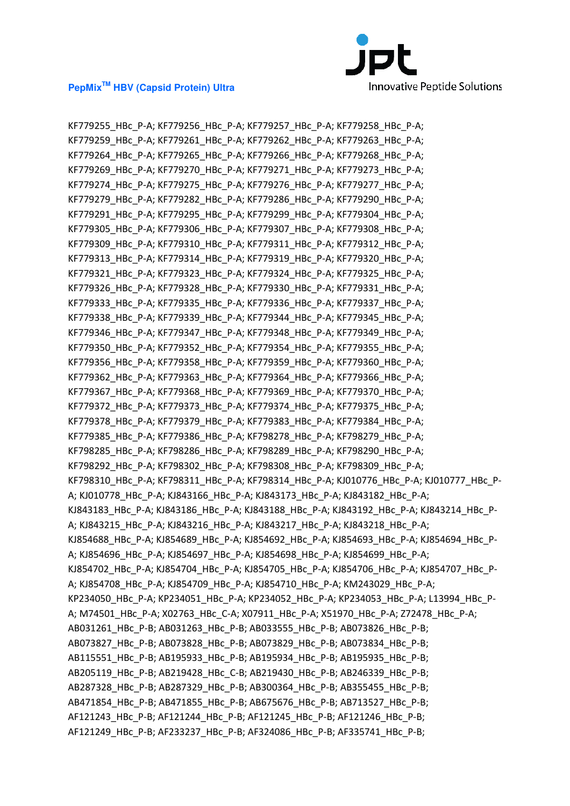

KF779255\_HBc\_P-A; KF779256\_HBc\_P-A; KF779257\_HBc\_P-A; KF779258\_HBc\_P-A; KF779259\_HBc\_P-A; KF779261\_HBc\_P-A; KF779262\_HBc\_P-A; KF779263\_HBc\_P-A; KF779264 HBc P-A; KF779265 HBc P-A; KF779266 HBc P-A; KF779268 HBc P-A; KF779269\_HBc\_P-A; KF779270\_HBc\_P-A; KF779271\_HBc\_P-A; KF779273\_HBc\_P-A; KF779274 HBc P-A; KF779275 HBc P-A; KF779276 HBc P-A; KF779277 HBc P-A; KF779279\_HBc\_P-A; KF779282\_HBc\_P-A; KF779286\_HBc\_P-A; KF779290\_HBc\_P-A; KF779291\_HBc\_P-A; KF779295\_HBc\_P-A; KF779299\_HBc\_P-A; KF779304\_HBc\_P-A; KF779305\_HBc\_P-A; KF779306\_HBc\_P-A; KF779307\_HBc\_P-A; KF779308\_HBc\_P-A; KF779309\_HBc\_P-A; KF779310\_HBc\_P-A; KF779311\_HBc\_P-A; KF779312\_HBc\_P-A; KF779313\_HBc\_P-A; KF779314\_HBc\_P-A; KF779319\_HBc\_P-A; KF779320\_HBc\_P-A; KF779321\_HBc\_P-A; KF779323\_HBc\_P-A; KF779324\_HBc\_P-A; KF779325\_HBc\_P-A; KF779326\_HBc\_P-A; KF779328\_HBc\_P-A; KF779330\_HBc\_P-A; KF779331\_HBc\_P-A; KF779333\_HBc\_P-A; KF779335\_HBc\_P-A; KF779336\_HBc\_P-A; KF779337\_HBc\_P-A; KF779338\_HBc\_P-A; KF779339\_HBc\_P-A; KF779344\_HBc\_P-A; KF779345\_HBc\_P-A; KF779346\_HBc\_P-A; KF779347\_HBc\_P-A; KF779348\_HBc\_P-A; KF779349\_HBc\_P-A; KF779350\_HBc\_P-A; KF779352\_HBc\_P-A; KF779354\_HBc\_P-A; KF779355\_HBc\_P-A; KF779356\_HBc\_P-A; KF779358\_HBc\_P-A; KF779359\_HBc\_P-A; KF779360\_HBc\_P-A; KF779362\_HBc\_P-A; KF779363\_HBc\_P-A; KF779364\_HBc\_P-A; KF779366\_HBc\_P-A; KF779367\_HBc\_P-A; KF779368\_HBc\_P-A; KF779369\_HBc\_P-A; KF779370\_HBc\_P-A; KF779372\_HBc\_P-A; KF779373\_HBc\_P-A; KF779374\_HBc\_P-A; KF779375\_HBc\_P-A; KF779378 HBc P-A; KF779379 HBc P-A; KF779383 HBc P-A; KF779384 HBc P-A; KF779385\_HBc\_P-A; KF779386\_HBc\_P-A; KF798278\_HBc\_P-A; KF798279\_HBc\_P-A; KF798285\_HBc\_P-A; KF798286\_HBc\_P-A; KF798289\_HBc\_P-A; KF798290\_HBc\_P-A; KF798292\_HBc\_P-A; KF798302\_HBc\_P-A; KF798308\_HBc\_P-A; KF798309\_HBc\_P-A; KF798310\_HBc\_P-A; KF798311\_HBc\_P-A; KF798314\_HBc\_P-A; KJ010776\_HBc\_P-A; KJ010777\_HBc\_P-A; KJ010778\_HBc\_P-A; KJ843166\_HBc\_P-A; KJ843173\_HBc\_P-A; KJ843182\_HBc\_P-A; KJ843183\_HBc\_P-A; KJ843186\_HBc\_P-A; KJ843188\_HBc\_P-A; KJ843192\_HBc\_P-A; KJ843214\_HBc\_P-A; KJ843215\_HBc\_P-A; KJ843216\_HBc\_P-A; KJ843217\_HBc\_P-A; KJ843218\_HBc\_P-A; KJ854688\_HBc\_P-A; KJ854689\_HBc\_P-A; KJ854692\_HBc\_P-A; KJ854693\_HBc\_P-A; KJ854694\_HBc\_P-A; KJ854696\_HBc\_P-A; KJ854697\_HBc\_P-A; KJ854698\_HBc\_P-A; KJ854699\_HBc\_P-A; KJ854702\_HBc\_P-A; KJ854704\_HBc\_P-A; KJ854705\_HBc\_P-A; KJ854706\_HBc\_P-A; KJ854707\_HBc\_P-A; KJ854708\_HBc\_P-A; KJ854709\_HBc\_P-A; KJ854710\_HBc\_P-A; KM243029\_HBc\_P-A; KP234050\_HBc\_P-A; KP234051\_HBc\_P-A; KP234052\_HBc\_P-A; KP234053\_HBc\_P-A; L13994\_HBc\_P-A; M74501\_HBc\_P-A; X02763\_HBc\_C-A; X07911\_HBc\_P-A; X51970\_HBc\_P-A; Z72478\_HBc\_P-A; AB031261\_HBc\_P-B; AB031263\_HBc\_P-B; AB033555\_HBc\_P-B; AB073826\_HBc\_P-B; AB073827\_HBc\_P-B; AB073828\_HBc\_P-B; AB073829\_HBc\_P-B; AB073834\_HBc\_P-B; AB115551\_HBc\_P-B; AB195933\_HBc\_P-B; AB195934\_HBc\_P-B; AB195935\_HBc\_P-B; AB205119\_HBc\_P-B; AB219428\_HBc\_C-B; AB219430\_HBc\_P-B; AB246339\_HBc\_P-B; AB287328\_HBc\_P-B; AB287329\_HBc\_P-B; AB300364\_HBc\_P-B; AB355455\_HBc\_P-B; AB471854\_HBc\_P-B; AB471855\_HBc\_P-B; AB675676\_HBc\_P-B; AB713527\_HBc\_P-B; AF121243 HBc P-B; AF121244 HBc P-B; AF121245 HBc P-B; AF121246 HBc P-B; AF121249\_HBc\_P-B; AF233237\_HBc\_P-B; AF324086\_HBc\_P-B; AF335741\_HBc\_P-B;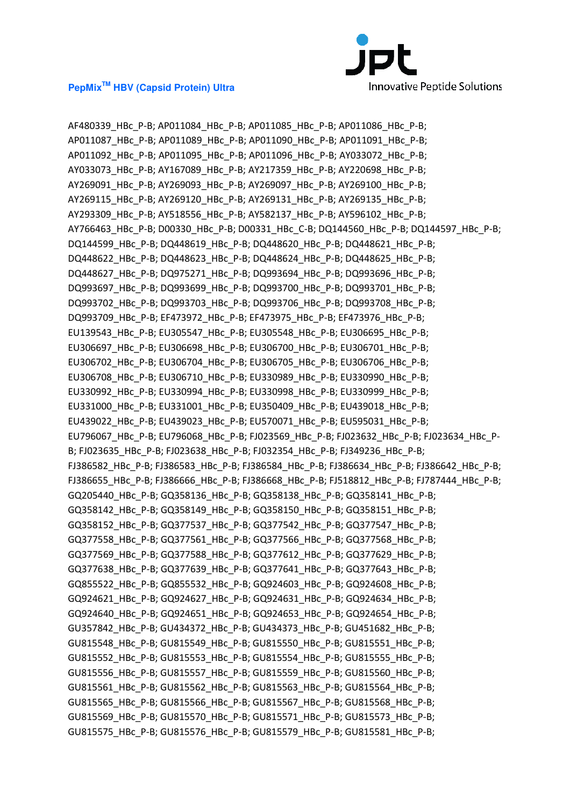

AF480339\_HBc\_P-B; AP011084\_HBc\_P-B; AP011085\_HBc\_P-B; AP011086\_HBc\_P-B; AP011087\_HBc\_P-B; AP011089\_HBc\_P-B; AP011090\_HBc\_P-B; AP011091\_HBc\_P-B; AP011092\_HBc\_P-B; AP011095\_HBc\_P-B; AP011096\_HBc\_P-B; AY033072\_HBc\_P-B; AY033073\_HBc\_P-B; AY167089\_HBc\_P-B; AY217359\_HBc\_P-B; AY220698\_HBc\_P-B; AY269091\_HBc\_P-B; AY269093\_HBc\_P-B; AY269097\_HBc\_P-B; AY269100\_HBc\_P-B; AY269115\_HBc\_P-B; AY269120\_HBc\_P-B; AY269131\_HBc\_P-B; AY269135\_HBc\_P-B; AY293309\_HBc\_P-B; AY518556\_HBc\_P-B; AY582137\_HBc\_P-B; AY596102\_HBc\_P-B; AY766463 HBc P-B; D00330 HBc P-B; D00331 HBc C-B; DQ144560 HBc P-B; DQ144597 HBc P-B; DQ144599\_HBc\_P-B; DQ448619\_HBc\_P-B; DQ448620\_HBc\_P-B; DQ448621\_HBc\_P-B; DQ448622\_HBc\_P-B; DQ448623\_HBc\_P-B; DQ448624\_HBc\_P-B; DQ448625\_HBc\_P-B; DQ448627\_HBc\_P-B; DQ975271\_HBc\_P-B; DQ993694\_HBc\_P-B; DQ993696\_HBc\_P-B; DQ993697\_HBc\_P-B; DQ993699\_HBc\_P-B; DQ993700\_HBc\_P-B; DQ993701\_HBc\_P-B; DQ993702\_HBc\_P-B; DQ993703\_HBc\_P-B; DQ993706\_HBc\_P-B; DQ993708\_HBc\_P-B; DQ993709\_HBc\_P-B; EF473972\_HBc\_P-B; EF473975\_HBc\_P-B; EF473976\_HBc\_P-B; EU139543\_HBc\_P-B; EU305547\_HBc\_P-B; EU305548\_HBc\_P-B; EU306695\_HBc\_P-B; EU306697\_HBc\_P-B; EU306698\_HBc\_P-B; EU306700\_HBc\_P-B; EU306701\_HBc\_P-B; EU306702\_HBc\_P-B; EU306704\_HBc\_P-B; EU306705\_HBc\_P-B; EU306706\_HBc\_P-B; EU306708\_HBc\_P-B; EU306710\_HBc\_P-B; EU330989\_HBc\_P-B; EU330990\_HBc\_P-B; EU330992\_HBc\_P-B; EU330994\_HBc\_P-B; EU330998\_HBc\_P-B; EU330999\_HBc\_P-B; EU331000\_HBc\_P-B; EU331001\_HBc\_P-B; EU350409\_HBc\_P-B; EU439018\_HBc\_P-B; EU439022\_HBc\_P-B; EU439023\_HBc\_P-B; EU570071\_HBc\_P-B; EU595031\_HBc\_P-B; EU796067 HBc P-B; EU796068 HBc P-B; FJ023569 HBc P-B; FJ023632 HBc P-B; FJ023634 HBc P-B; FJ023635\_HBc\_P-B; FJ023638\_HBc\_P-B; FJ032354\_HBc\_P-B; FJ349236\_HBc\_P-B; FJ386582\_HBc\_P-B; FJ386583\_HBc\_P-B; FJ386584\_HBc\_P-B; FJ386634\_HBc\_P-B; FJ386642\_HBc\_P-B; FJ386655\_HBc\_P-B; FJ386666\_HBc\_P-B; FJ386668\_HBc\_P-B; FJ518812\_HBc\_P-B; FJ787444\_HBc\_P-B; GQ205440\_HBc\_P-B; GQ358136\_HBc\_P-B; GQ358138\_HBc\_P-B; GQ358141\_HBc\_P-B; GQ358142\_HBc\_P-B; GQ358149\_HBc\_P-B; GQ358150\_HBc\_P-B; GQ358151\_HBc\_P-B; GQ358152\_HBc\_P-B; GQ377537\_HBc\_P-B; GQ377542\_HBc\_P-B; GQ377547\_HBc\_P-B; GQ377558\_HBc\_P-B; GQ377561\_HBc\_P-B; GQ377566\_HBc\_P-B; GQ377568\_HBc\_P-B; GQ377569\_HBc\_P-B; GQ377588\_HBc\_P-B; GQ377612\_HBc\_P-B; GQ377629\_HBc\_P-B; GQ377638\_HBc\_P-B; GQ377639\_HBc\_P-B; GQ377641\_HBc\_P-B; GQ377643\_HBc\_P-B; GQ855522\_HBc\_P-B; GQ855532\_HBc\_P-B; GQ924603\_HBc\_P-B; GQ924608\_HBc\_P-B; GQ924621\_HBc\_P-B; GQ924627\_HBc\_P-B; GQ924631\_HBc\_P-B; GQ924634\_HBc\_P-B; GQ924640\_HBc\_P-B; GQ924651\_HBc\_P-B; GQ924653\_HBc\_P-B; GQ924654\_HBc\_P-B; GU357842\_HBc\_P-B; GU434372\_HBc\_P-B; GU434373\_HBc\_P-B; GU451682\_HBc\_P-B; GU815548\_HBc\_P-B; GU815549\_HBc\_P-B; GU815550\_HBc\_P-B; GU815551\_HBc\_P-B; GU815552\_HBc\_P-B; GU815553\_HBc\_P-B; GU815554\_HBc\_P-B; GU815555\_HBc\_P-B; GU815556\_HBc\_P-B; GU815557\_HBc\_P-B; GU815559\_HBc\_P-B; GU815560\_HBc\_P-B; GU815561\_HBc\_P-B; GU815562\_HBc\_P-B; GU815563\_HBc\_P-B; GU815564\_HBc\_P-B; GU815565\_HBc\_P-B; GU815566\_HBc\_P-B; GU815567\_HBc\_P-B; GU815568\_HBc\_P-B; GU815569\_HBc\_P-B; GU815570\_HBc\_P-B; GU815571\_HBc\_P-B; GU815573\_HBc\_P-B; GU815575\_HBc\_P-B; GU815576\_HBc\_P-B; GU815579\_HBc\_P-B; GU815581\_HBc\_P-B;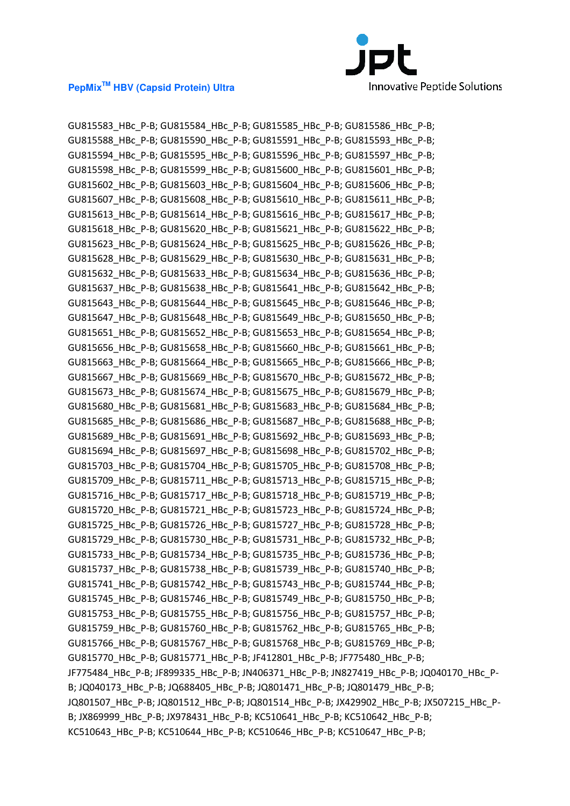

GU815583\_HBc\_P-B; GU815584\_HBc\_P-B; GU815585\_HBc\_P-B; GU815586\_HBc\_P-B; GU815588\_HBc\_P-B; GU815590\_HBc\_P-B; GU815591\_HBc\_P-B; GU815593\_HBc\_P-B; GU815594\_HBc\_P-B; GU815595\_HBc\_P-B; GU815596\_HBc\_P-B; GU815597\_HBc\_P-B; GU815598\_HBc\_P-B; GU815599\_HBc\_P-B; GU815600\_HBc\_P-B; GU815601\_HBc\_P-B; GU815602\_HBc\_P-B; GU815603\_HBc\_P-B; GU815604\_HBc\_P-B; GU815606\_HBc\_P-B; GU815607\_HBc\_P-B; GU815608\_HBc\_P-B; GU815610\_HBc\_P-B; GU815611\_HBc\_P-B; GU815613\_HBc\_P-B; GU815614\_HBc\_P-B; GU815616\_HBc\_P-B; GU815617\_HBc\_P-B; GU815618\_HBc\_P-B; GU815620\_HBc\_P-B; GU815621\_HBc\_P-B; GU815622\_HBc\_P-B; GU815623\_HBc\_P-B; GU815624\_HBc\_P-B; GU815625\_HBc\_P-B; GU815626\_HBc\_P-B; GU815628\_HBc\_P-B; GU815629\_HBc\_P-B; GU815630\_HBc\_P-B; GU815631\_HBc\_P-B; GU815632\_HBc\_P-B; GU815633\_HBc\_P-B; GU815634\_HBc\_P-B; GU815636\_HBc\_P-B; GU815637\_HBc\_P-B; GU815638\_HBc\_P-B; GU815641\_HBc\_P-B; GU815642\_HBc\_P-B; GU815643\_HBc\_P-B; GU815644\_HBc\_P-B; GU815645\_HBc\_P-B; GU815646\_HBc\_P-B; GU815647\_HBc\_P-B; GU815648\_HBc\_P-B; GU815649\_HBc\_P-B; GU815650\_HBc\_P-B; GU815651\_HBc\_P-B; GU815652\_HBc\_P-B; GU815653\_HBc\_P-B; GU815654\_HBc\_P-B; GU815656\_HBc\_P-B; GU815658\_HBc\_P-B; GU815660\_HBc\_P-B; GU815661\_HBc\_P-B; GU815663\_HBc\_P-B; GU815664\_HBc\_P-B; GU815665\_HBc\_P-B; GU815666\_HBc\_P-B; GU815667\_HBc\_P-B; GU815669\_HBc\_P-B; GU815670\_HBc\_P-B; GU815672\_HBc\_P-B; GU815673\_HBc\_P-B; GU815674\_HBc\_P-B; GU815675\_HBc\_P-B; GU815679\_HBc\_P-B; GU815680\_HBc\_P-B; GU815681\_HBc\_P-B; GU815683\_HBc\_P-B; GU815684\_HBc\_P-B; GU815685\_HBc\_P-B; GU815686\_HBc\_P-B; GU815687\_HBc\_P-B; GU815688\_HBc\_P-B; GU815689\_HBc\_P-B; GU815691\_HBc\_P-B; GU815692\_HBc\_P-B; GU815693\_HBc\_P-B; GU815694\_HBc\_P-B; GU815697\_HBc\_P-B; GU815698\_HBc\_P-B; GU815702\_HBc\_P-B; GU815703\_HBc\_P-B; GU815704\_HBc\_P-B; GU815705\_HBc\_P-B; GU815708\_HBc\_P-B; GU815709\_HBc\_P-B; GU815711\_HBc\_P-B; GU815713\_HBc\_P-B; GU815715\_HBc\_P-B; GU815716\_HBc\_P-B; GU815717\_HBc\_P-B; GU815718\_HBc\_P-B; GU815719\_HBc\_P-B; GU815720\_HBc\_P-B; GU815721\_HBc\_P-B; GU815723\_HBc\_P-B; GU815724\_HBc\_P-B; GU815725\_HBc\_P-B; GU815726\_HBc\_P-B; GU815727\_HBc\_P-B; GU815728\_HBc\_P-B; GU815729\_HBc\_P-B; GU815730\_HBc\_P-B; GU815731\_HBc\_P-B; GU815732\_HBc\_P-B; GU815733\_HBc\_P-B; GU815734\_HBc\_P-B; GU815735\_HBc\_P-B; GU815736\_HBc\_P-B; GU815737\_HBc\_P-B; GU815738\_HBc\_P-B; GU815739\_HBc\_P-B; GU815740\_HBc\_P-B; GU815741\_HBc\_P-B; GU815742\_HBc\_P-B; GU815743\_HBc\_P-B; GU815744\_HBc\_P-B; GU815745\_HBc\_P-B; GU815746\_HBc\_P-B; GU815749\_HBc\_P-B; GU815750\_HBc\_P-B; GU815753\_HBc\_P-B; GU815755\_HBc\_P-B; GU815756\_HBc\_P-B; GU815757\_HBc\_P-B; GU815759\_HBc\_P-B; GU815760\_HBc\_P-B; GU815762\_HBc\_P-B; GU815765\_HBc\_P-B; GU815766\_HBc\_P-B; GU815767\_HBc\_P-B; GU815768\_HBc\_P-B; GU815769\_HBc\_P-B; GU815770\_HBc\_P-B; GU815771\_HBc\_P-B; JF412801\_HBc\_P-B; JF775480\_HBc\_P-B; JF775484\_HBc\_P-B; JF899335\_HBc\_P-B; JN406371\_HBc\_P-B; JN827419\_HBc\_P-B; JQ040170\_HBc\_P-B; JQ040173\_HBc\_P-B; JQ688405\_HBc\_P-B; JQ801471\_HBc\_P-B; JQ801479\_HBc\_P-B; JQ801507\_HBc\_P-B; JQ801512\_HBc\_P-B; JQ801514\_HBc\_P-B; JX429902\_HBc\_P-B; JX507215\_HBc\_P-B; JX869999\_HBc\_P-B; JX978431\_HBc\_P-B; KC510641\_HBc\_P-B; KC510642\_HBc\_P-B; KC510643\_HBc\_P-B; KC510644\_HBc\_P-B; KC510646\_HBc\_P-B; KC510647\_HBc\_P-B;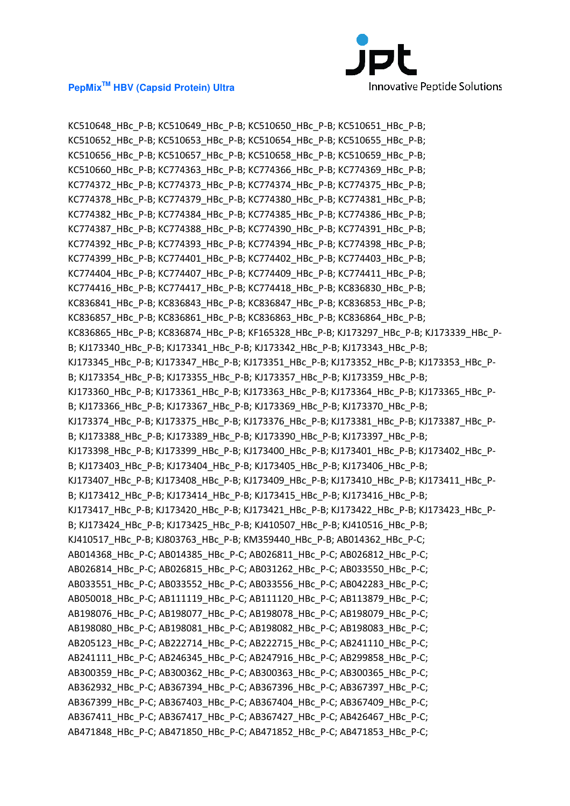

KC510648\_HBc\_P-B; KC510649\_HBc\_P-B; KC510650\_HBc\_P-B; KC510651\_HBc\_P-B; KC510652\_HBc\_P-B; KC510653\_HBc\_P-B; KC510654\_HBc\_P-B; KC510655\_HBc\_P-B; KC510656\_HBc\_P-B; KC510657\_HBc\_P-B; KC510658\_HBc\_P-B; KC510659\_HBc\_P-B; KC510660\_HBc\_P-B; KC774363\_HBc\_P-B; KC774366\_HBc\_P-B; KC774369\_HBc\_P-B; KC774372\_HBc\_P-B; KC774373\_HBc\_P-B; KC774374\_HBc\_P-B; KC774375\_HBc\_P-B; KC774378\_HBc\_P-B; KC774379\_HBc\_P-B; KC774380\_HBc\_P-B; KC774381\_HBc\_P-B; KC774382\_HBc\_P-B; KC774384\_HBc\_P-B; KC774385\_HBc\_P-B; KC774386\_HBc\_P-B; KC774387\_HBc\_P-B; KC774388\_HBc\_P-B; KC774390\_HBc\_P-B; KC774391\_HBc\_P-B; KC774392\_HBc\_P-B; KC774393\_HBc\_P-B; KC774394\_HBc\_P-B; KC774398\_HBc\_P-B; KC774399\_HBc\_P-B; KC774401\_HBc\_P-B; KC774402\_HBc\_P-B; KC774403\_HBc\_P-B; KC774404\_HBc\_P-B; KC774407\_HBc\_P-B; KC774409\_HBc\_P-B; KC774411\_HBc\_P-B; KC774416\_HBc\_P-B; KC774417\_HBc\_P-B; KC774418\_HBc\_P-B; KC836830\_HBc\_P-B; KC836841\_HBc\_P-B; KC836843\_HBc\_P-B; KC836847\_HBc\_P-B; KC836853\_HBc\_P-B; KC836857\_HBc\_P-B; KC836861\_HBc\_P-B; KC836863\_HBc\_P-B; KC836864\_HBc\_P-B; KC836865\_HBc\_P-B; KC836874\_HBc\_P-B; KF165328\_HBc\_P-B; KJ173297\_HBc\_P-B; KJ173339\_HBc\_P-B; KJ173340\_HBc\_P-B; KJ173341\_HBc\_P-B; KJ173342\_HBc\_P-B; KJ173343\_HBc\_P-B; KJ173345\_HBc\_P-B; KJ173347\_HBc\_P-B; KJ173351\_HBc\_P-B; KJ173352\_HBc\_P-B; KJ173353\_HBc\_P-B; KJ173354\_HBc\_P-B; KJ173355\_HBc\_P-B; KJ173357\_HBc\_P-B; KJ173359\_HBc\_P-B; KJ173360\_HBc\_P-B; KJ173361\_HBc\_P-B; KJ173363\_HBc\_P-B; KJ173364\_HBc\_P-B; KJ173365\_HBc\_P-B; KJ173366\_HBc\_P-B; KJ173367\_HBc\_P-B; KJ173369\_HBc\_P-B; KJ173370\_HBc\_P-B; KJ173374 HBc P-B; KJ173375 HBc P-B; KJ173376 HBc P-B; KJ173381 HBc P-B; KJ173387 HBc P-B; KJ173388\_HBc\_P-B; KJ173389\_HBc\_P-B; KJ173390\_HBc\_P-B; KJ173397\_HBc\_P-B; KJ173398\_HBc\_P-B; KJ173399\_HBc\_P-B; KJ173400\_HBc\_P-B; KJ173401\_HBc\_P-B; KJ173402\_HBc\_P-B; KJ173403\_HBc\_P-B; KJ173404\_HBc\_P-B; KJ173405\_HBc\_P-B; KJ173406\_HBc\_P-B; KJ173407\_HBc\_P-B; KJ173408\_HBc\_P-B; KJ173409\_HBc\_P-B; KJ173410\_HBc\_P-B; KJ173411\_HBc\_P-B; KJ173412\_HBc\_P-B; KJ173414\_HBc\_P-B; KJ173415\_HBc\_P-B; KJ173416\_HBc\_P-B; KJ173417\_HBc\_P-B; KJ173420\_HBc\_P-B; KJ173421\_HBc\_P-B; KJ173422\_HBc\_P-B; KJ173423\_HBc\_P-B; KJ173424\_HBc\_P-B; KJ173425\_HBc\_P-B; KJ410507\_HBc\_P-B; KJ410516\_HBc\_P-B; KJ410517\_HBc\_P-B; KJ803763\_HBc\_P-B; KM359440\_HBc\_P-B; AB014362\_HBc\_P-C; AB014368\_HBc\_P-C; AB014385\_HBc\_P-C; AB026811\_HBc\_P-C; AB026812\_HBc\_P-C; AB026814\_HBc\_P-C; AB026815\_HBc\_P-C; AB031262\_HBc\_P-C; AB033550\_HBc\_P-C; AB033551\_HBc\_P-C; AB033552\_HBc\_P-C; AB033556\_HBc\_P-C; AB042283\_HBc\_P-C; AB050018\_HBc\_P-C; AB111119\_HBc\_P-C; AB111120\_HBc\_P-C; AB113879\_HBc\_P-C; AB198076\_HBc\_P-C; AB198077\_HBc\_P-C; AB198078\_HBc\_P-C; AB198079\_HBc\_P-C; AB198080\_HBc\_P-C; AB198081\_HBc\_P-C; AB198082\_HBc\_P-C; AB198083\_HBc\_P-C; AB205123\_HBc\_P-C; AB222714\_HBc\_P-C; AB222715\_HBc\_P-C; AB241110\_HBc\_P-C; AB241111\_HBc\_P-C; AB246345\_HBc\_P-C; AB247916\_HBc\_P-C; AB299858\_HBc\_P-C; AB300359\_HBc\_P-C; AB300362\_HBc\_P-C; AB300363\_HBc\_P-C; AB300365\_HBc\_P-C; AB362932\_HBc\_P-C; AB367394\_HBc\_P-C; AB367396\_HBc\_P-C; AB367397\_HBc\_P-C; AB367399\_HBc\_P-C; AB367403\_HBc\_P-C; AB367404\_HBc\_P-C; AB367409\_HBc\_P-C; AB367411\_HBc\_P-C; AB367417\_HBc\_P-C; AB367427\_HBc\_P-C; AB426467\_HBc\_P-C; AB471848\_HBc\_P-C; AB471850\_HBc\_P-C; AB471852\_HBc\_P-C; AB471853\_HBc\_P-C;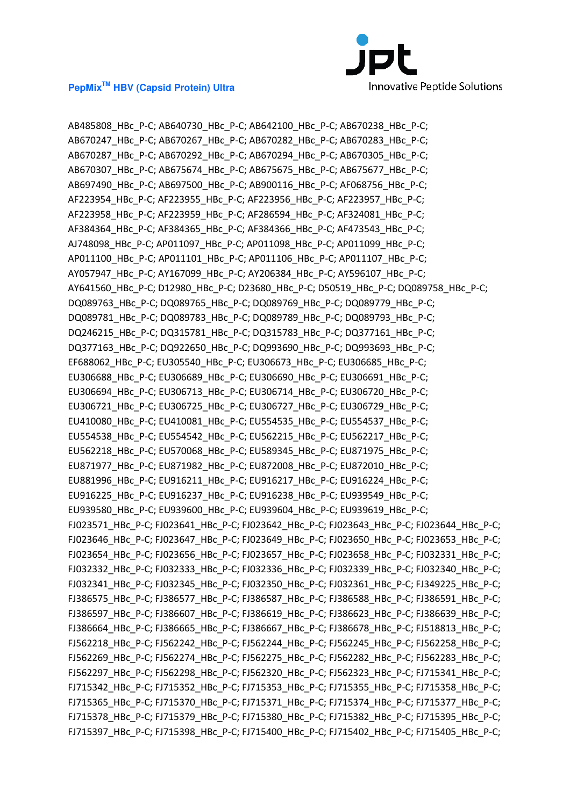

AB485808\_HBc\_P-C; AB640730\_HBc\_P-C; AB642100\_HBc\_P-C; AB670238\_HBc\_P-C; AB670247\_HBc\_P-C; AB670267\_HBc\_P-C; AB670282\_HBc\_P-C; AB670283\_HBc\_P-C; AB670287\_HBc\_P-C; AB670292\_HBc\_P-C; AB670294\_HBc\_P-C; AB670305\_HBc\_P-C; AB670307\_HBc\_P-C; AB675674\_HBc\_P-C; AB675675\_HBc\_P-C; AB675677\_HBc\_P-C; AB697490\_HBc\_P-C; AB697500\_HBc\_P-C; AB900116\_HBc\_P-C; AF068756\_HBc\_P-C; AF223954\_HBc\_P-C; AF223955\_HBc\_P-C; AF223956\_HBc\_P-C; AF223957\_HBc\_P-C; AF223958\_HBc\_P-C; AF223959\_HBc\_P-C; AF286594\_HBc\_P-C; AF324081\_HBc\_P-C; AF384364\_HBc\_P-C; AF384365\_HBc\_P-C; AF384366\_HBc\_P-C; AF473543\_HBc\_P-C; AJ748098\_HBc\_P-C; AP011097\_HBc\_P-C; AP011098\_HBc\_P-C; AP011099\_HBc\_P-C; AP011100\_HBc\_P-C; AP011101\_HBc\_P-C; AP011106\_HBc\_P-C; AP011107\_HBc\_P-C; AY057947\_HBc\_P-C; AY167099\_HBc\_P-C; AY206384\_HBc\_P-C; AY596107\_HBc\_P-C; AY641560\_HBc\_P-C; D12980\_HBc\_P-C; D23680\_HBc\_P-C; D50519\_HBc\_P-C; DQ089758\_HBc\_P-C; DQ089763\_HBc\_P-C; DQ089765\_HBc\_P-C; DQ089769\_HBc\_P-C; DQ089779\_HBc\_P-C; DQ089781\_HBc\_P-C; DQ089783\_HBc\_P-C; DQ089789\_HBc\_P-C; DQ089793\_HBc\_P-C; DQ246215\_HBc\_P-C; DQ315781\_HBc\_P-C; DQ315783\_HBc\_P-C; DQ377161\_HBc\_P-C; DQ377163\_HBc\_P-C; DQ922650\_HBc\_P-C; DQ993690\_HBc\_P-C; DQ993693\_HBc\_P-C; EF688062\_HBc\_P-C; EU305540\_HBc\_P-C; EU306673\_HBc\_P-C; EU306685\_HBc\_P-C; EU306688\_HBc\_P-C; EU306689\_HBc\_P-C; EU306690\_HBc\_P-C; EU306691\_HBc\_P-C; EU306694\_HBc\_P-C; EU306713\_HBc\_P-C; EU306714\_HBc\_P-C; EU306720\_HBc\_P-C; EU306721\_HBc\_P-C; EU306725\_HBc\_P-C; EU306727\_HBc\_P-C; EU306729\_HBc\_P-C; EU410080\_HBc\_P-C; EU410081\_HBc\_P-C; EU554535\_HBc\_P-C; EU554537\_HBc\_P-C; EU554538\_HBc\_P-C; EU554542\_HBc\_P-C; EU562215\_HBc\_P-C; EU562217\_HBc\_P-C; EU562218\_HBc\_P-C; EU570068\_HBc\_P-C; EU589345\_HBc\_P-C; EU871975\_HBc\_P-C; EU871977\_HBc\_P-C; EU871982\_HBc\_P-C; EU872008\_HBc\_P-C; EU872010\_HBc\_P-C; EU881996\_HBc\_P-C; EU916211\_HBc\_P-C; EU916217\_HBc\_P-C; EU916224\_HBc\_P-C; EU916225\_HBc\_P-C; EU916237\_HBc\_P-C; EU916238\_HBc\_P-C; EU939549\_HBc\_P-C; EU939580\_HBc\_P-C; EU939600\_HBc\_P-C; EU939604\_HBc\_P-C; EU939619\_HBc\_P-C; FJ023571\_HBc\_P-C; FJ023641\_HBc\_P-C; FJ023642\_HBc\_P-C; FJ023643\_HBc\_P-C; FJ023644\_HBc\_P-C; FJ023646\_HBc\_P-C; FJ023647\_HBc\_P-C; FJ023649\_HBc\_P-C; FJ023650\_HBc\_P-C; FJ023653\_HBc\_P-C; FJ023654 HBc P-C; FJ023656 HBc P-C; FJ023657 HBc P-C; FJ023658 HBc P-C; FJ032331 HBc P-C; FJ032332\_HBc\_P-C; FJ032333\_HBc\_P-C; FJ032336\_HBc\_P-C; FJ032339\_HBc\_P-C; FJ032340\_HBc\_P-C; FJ032341\_HBc\_P-C; FJ032345\_HBc\_P-C; FJ032350\_HBc\_P-C; FJ032361\_HBc\_P-C; FJ349225\_HBc\_P-C; FJ386575\_HBc\_P-C; FJ386577\_HBc\_P-C; FJ386587\_HBc\_P-C; FJ386588\_HBc\_P-C; FJ386591\_HBc\_P-C; FJ386597\_HBc\_P-C; FJ386607\_HBc\_P-C; FJ386619\_HBc\_P-C; FJ386623\_HBc\_P-C; FJ386639\_HBc\_P-C; FJ386664 HBc P-C; FJ386665 HBc P-C; FJ386667 HBc P-C; FJ386678 HBc P-C; FJ518813 HBc P-C; FJ562218\_HBc\_P-C; FJ562242\_HBc\_P-C; FJ562244\_HBc\_P-C; FJ562245\_HBc\_P-C; FJ562258\_HBc\_P-C; FJ562269\_HBc\_P-C; FJ562274\_HBc\_P-C; FJ562275\_HBc\_P-C; FJ562282\_HBc\_P-C; FJ562283\_HBc\_P-C; FJ562297\_HBc\_P-C; FJ562298\_HBc\_P-C; FJ562320\_HBc\_P-C; FJ562323\_HBc\_P-C; FJ715341\_HBc\_P-C; FJ715342\_HBc\_P-C; FJ715352\_HBc\_P-C; FJ715353\_HBc\_P-C; FJ715355\_HBc\_P-C; FJ715358\_HBc\_P-C; FJ715365\_HBc\_P-C; FJ715370\_HBc\_P-C; FJ715371\_HBc\_P-C; FJ715374\_HBc\_P-C; FJ715377\_HBc\_P-C; FJ715378 HBc P-C; FJ715379 HBc P-C; FJ715380 HBc P-C; FJ715382 HBc P-C; FJ715395 HBc P-C; FJ715397\_HBc\_P-C; FJ715398\_HBc\_P-C; FJ715400\_HBc\_P-C; FJ715402\_HBc\_P-C; FJ715405\_HBc\_P-C;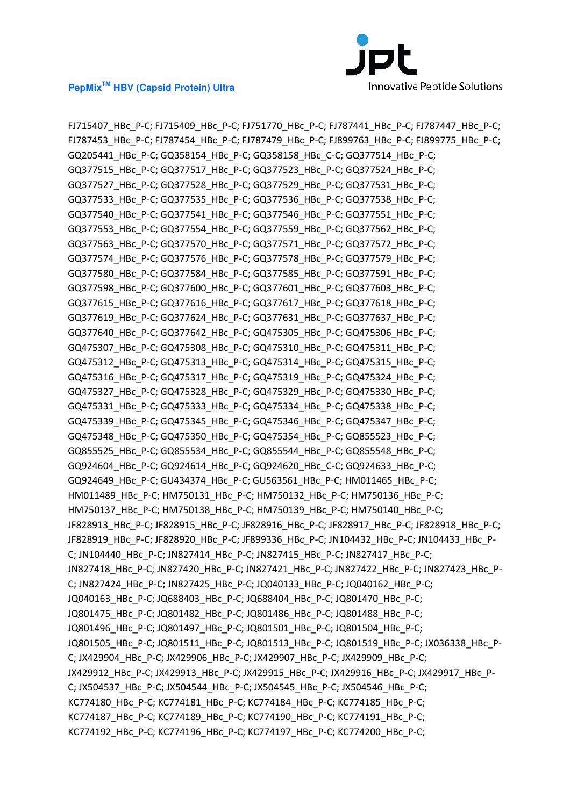

FJ715407\_HBc\_P-C; FJ715409\_HBc\_P-C; FJ751770\_HBc\_P-C; FJ787441\_HBc\_P-C; FJ787447\_HBc\_P-C; FJ787453\_HBc\_P-C; FJ787454\_HBc\_P-C; FJ787479\_HBc\_P-C; FJ899763\_HBc\_P-C; FJ899775\_HBc\_P-C; GQ205441\_HBc\_P-C; GQ358154\_HBc\_P-C; GQ358158\_HBc\_C-C; GQ377514\_HBc\_P-C; GQ377515\_HBc\_P-C; GQ377517\_HBc\_P-C; GQ377523\_HBc\_P-C; GQ377524\_HBc\_P-C; GQ377527\_HBc\_P-C; GQ377528\_HBc\_P-C; GQ377529\_HBc\_P-C; GQ377531\_HBc\_P-C; GQ377533\_HBc\_P-C; GQ377535\_HBc\_P-C; GQ377536\_HBc\_P-C; GQ377538\_HBc\_P-C; GQ377540\_HBc\_P-C; GQ377541\_HBc\_P-C; GQ377546\_HBc\_P-C; GQ377551\_HBc\_P-C; GQ377553\_HBc\_P-C; GQ377554\_HBc\_P-C; GQ377559\_HBc\_P-C; GQ377562\_HBc\_P-C; GQ377563\_HBc\_P-C; GQ377570\_HBc\_P-C; GQ377571\_HBc\_P-C; GQ377572\_HBc\_P-C; GQ377574\_HBc\_P-C; GQ377576\_HBc\_P-C; GQ377578\_HBc\_P-C; GQ377579\_HBc\_P-C; GQ377580\_HBc\_P-C; GQ377584\_HBc\_P-C; GQ377585\_HBc\_P-C; GQ377591\_HBc\_P-C; GQ377598\_HBc\_P-C; GQ377600\_HBc\_P-C; GQ377601\_HBc\_P-C; GQ377603\_HBc\_P-C; GQ377615\_HBc\_P-C; GQ377616\_HBc\_P-C; GQ377617\_HBc\_P-C; GQ377618\_HBc\_P-C; GQ377619\_HBc\_P-C; GQ377624\_HBc\_P-C; GQ377631\_HBc\_P-C; GQ377637\_HBc\_P-C; GQ377640\_HBc\_P-C; GQ377642\_HBc\_P-C; GQ475305\_HBc\_P-C; GQ475306\_HBc\_P-C; GQ475307\_HBc\_P-C; GQ475308\_HBc\_P-C; GQ475310\_HBc\_P-C; GQ475311\_HBc\_P-C; GQ475312\_HBc\_P-C; GQ475313\_HBc\_P-C; GQ475314\_HBc\_P-C; GQ475315\_HBc\_P-C; GQ475316\_HBc\_P-C; GQ475317\_HBc\_P-C; GQ475319\_HBc\_P-C; GQ475324\_HBc\_P-C; GQ475327\_HBc\_P-C; GQ475328\_HBc\_P-C; GQ475329\_HBc\_P-C; GQ475330\_HBc\_P-C; GQ475331\_HBc\_P-C; GQ475333\_HBc\_P-C; GQ475334\_HBc\_P-C; GQ475338\_HBc\_P-C; GQ475339\_HBc\_P-C; GQ475345\_HBc\_P-C; GQ475346\_HBc\_P-C; GQ475347\_HBc\_P-C; GQ475348\_HBc\_P-C; GQ475350\_HBc\_P-C; GQ475354\_HBc\_P-C; GQ855523\_HBc\_P-C; GQ855525\_HBc\_P-C; GQ855534\_HBc\_P-C; GQ855544\_HBc\_P-C; GQ855548\_HBc\_P-C; GQ924604\_HBc\_P-C; GQ924614\_HBc\_P-C; GQ924620\_HBc\_C-C; GQ924633\_HBc\_P-C; GQ924649\_HBc\_P-C; GU434374\_HBc\_P-C; GU563561\_HBc\_P-C; HM011465\_HBc\_P-C; HM011489\_HBc\_P-C; HM750131\_HBc\_P-C; HM750132\_HBc\_P-C; HM750136\_HBc\_P-C; HM750137\_HBc\_P-C; HM750138\_HBc\_P-C; HM750139\_HBc\_P-C; HM750140\_HBc\_P-C; JF828913\_HBc\_P-C; JF828915\_HBc\_P-C; JF828916\_HBc\_P-C; JF828917\_HBc\_P-C; JF828918\_HBc\_P-C; JF828919\_HBc\_P-C; JF828920\_HBc\_P-C; JF899336\_HBc\_P-C; JN104432\_HBc\_P-C; JN104433\_HBc\_P-C; JN104440\_HBc\_P-C; JN827414\_HBc\_P-C; JN827415\_HBc\_P-C; JN827417\_HBc\_P-C; JN827418\_HBc\_P-C; JN827420\_HBc\_P-C; JN827421\_HBc\_P-C; JN827422\_HBc\_P-C; JN827423\_HBc\_P-C; JN827424\_HBc\_P-C; JN827425\_HBc\_P-C; JQ040133\_HBc\_P-C; JQ040162\_HBc\_P-C; JQ040163\_HBc\_P-C; JQ688403\_HBc\_P-C; JQ688404\_HBc\_P-C; JQ801470\_HBc\_P-C; JQ801475\_HBc\_P-C; JQ801482\_HBc\_P-C; JQ801486\_HBc\_P-C; JQ801488\_HBc\_P-C; JQ801496\_HBc\_P-C; JQ801497\_HBc\_P-C; JQ801501\_HBc\_P-C; JQ801504\_HBc\_P-C; JQ801505\_HBc\_P-C; JQ801511\_HBc\_P-C; JQ801513\_HBc\_P-C; JQ801519\_HBc\_P-C; JX036338\_HBc\_P-C; JX429904\_HBc\_P-C; JX429906\_HBc\_P-C; JX429907\_HBc\_P-C; JX429909\_HBc\_P-C; JX429912\_HBc\_P-C; JX429913\_HBc\_P-C; JX429915\_HBc\_P-C; JX429916\_HBc\_P-C; JX429917\_HBc\_P-C; JX504537\_HBc\_P-C; JX504544\_HBc\_P-C; JX504545\_HBc\_P-C; JX504546\_HBc\_P-C; KC774180\_HBc\_P-C; KC774181\_HBc\_P-C; KC774184\_HBc\_P-C; KC774185\_HBc\_P-C; KC774187\_HBc\_P-C; KC774189\_HBc\_P-C; KC774190\_HBc\_P-C; KC774191\_HBc\_P-C; KC774192\_HBc\_P-C; KC774196\_HBc\_P-C; KC774197\_HBc\_P-C; KC774200\_HBc\_P-C;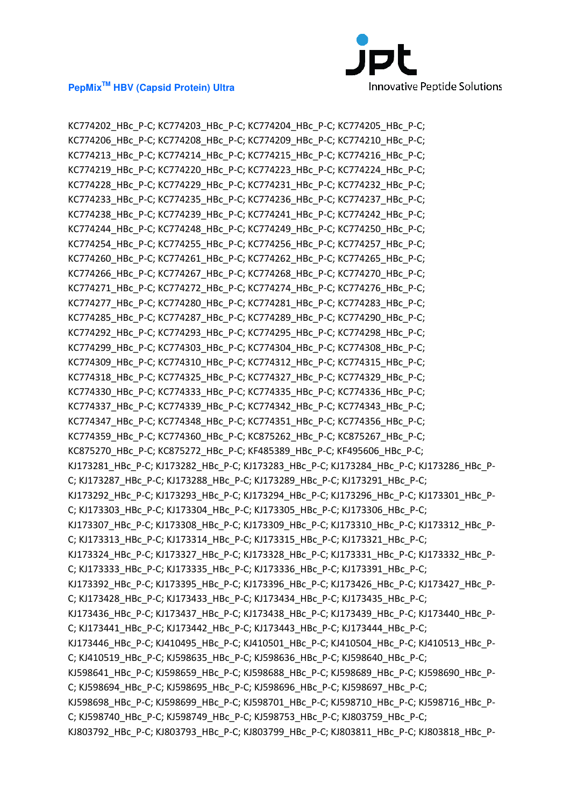

KC774202\_HBc\_P-C; KC774203\_HBc\_P-C; KC774204\_HBc\_P-C; KC774205\_HBc\_P-C; KC774206\_HBc\_P-C; KC774208\_HBc\_P-C; KC774209\_HBc\_P-C; KC774210\_HBc\_P-C; KC774213\_HBc\_P-C; KC774214\_HBc\_P-C; KC774215\_HBc\_P-C; KC774216\_HBc\_P-C; KC774219\_HBc\_P-C; KC774220\_HBc\_P-C; KC774223\_HBc\_P-C; KC774224\_HBc\_P-C; KC774228\_HBc\_P-C; KC774229\_HBc\_P-C; KC774231\_HBc\_P-C; KC774232\_HBc\_P-C; KC774233\_HBc\_P-C; KC774235\_HBc\_P-C; KC774236\_HBc\_P-C; KC774237\_HBc\_P-C; KC774238\_HBc\_P-C; KC774239\_HBc\_P-C; KC774241\_HBc\_P-C; KC774242\_HBc\_P-C; KC774244\_HBc\_P-C; KC774248\_HBc\_P-C; KC774249\_HBc\_P-C; KC774250\_HBc\_P-C; KC774254\_HBc\_P-C; KC774255\_HBc\_P-C; KC774256\_HBc\_P-C; KC774257\_HBc\_P-C; KC774260\_HBc\_P-C; KC774261\_HBc\_P-C; KC774262\_HBc\_P-C; KC774265\_HBc\_P-C; KC774266\_HBc\_P-C; KC774267\_HBc\_P-C; KC774268\_HBc\_P-C; KC774270\_HBc\_P-C; KC774271\_HBc\_P-C; KC774272\_HBc\_P-C; KC774274\_HBc\_P-C; KC774276\_HBc\_P-C; KC774277\_HBc\_P-C; KC774280\_HBc\_P-C; KC774281\_HBc\_P-C; KC774283\_HBc\_P-C; KC774285\_HBc\_P-C; KC774287\_HBc\_P-C; KC774289\_HBc\_P-C; KC774290\_HBc\_P-C; KC774292\_HBc\_P-C; KC774293\_HBc\_P-C; KC774295\_HBc\_P-C; KC774298\_HBc\_P-C; KC774299\_HBc\_P-C; KC774303\_HBc\_P-C; KC774304\_HBc\_P-C; KC774308\_HBc\_P-C; KC774309\_HBc\_P-C; KC774310\_HBc\_P-C; KC774312\_HBc\_P-C; KC774315\_HBc\_P-C; KC774318\_HBc\_P-C; KC774325\_HBc\_P-C; KC774327\_HBc\_P-C; KC774329\_HBc\_P-C; KC774330\_HBc\_P-C; KC774333\_HBc\_P-C; KC774335\_HBc\_P-C; KC774336\_HBc\_P-C; KC774337\_HBc\_P-C; KC774339\_HBc\_P-C; KC774342\_HBc\_P-C; KC774343\_HBc\_P-C; KC774347\_HBc\_P-C; KC774348\_HBc\_P-C; KC774351\_HBc\_P-C; KC774356\_HBc\_P-C; KC774359\_HBc\_P-C; KC774360\_HBc\_P-C; KC875262\_HBc\_P-C; KC875267\_HBc\_P-C; KC875270\_HBc\_P-C; KC875272\_HBc\_P-C; KF485389\_HBc\_P-C; KF495606\_HBc\_P-C; KJ173281\_HBc\_P-C; KJ173282\_HBc\_P-C; KJ173283\_HBc\_P-C; KJ173284\_HBc\_P-C; KJ173286\_HBc\_P-C; KJ173287\_HBc\_P-C; KJ173288\_HBc\_P-C; KJ173289\_HBc\_P-C; KJ173291\_HBc\_P-C; KJ173292\_HBc\_P-C; KJ173293\_HBc\_P-C; KJ173294\_HBc\_P-C; KJ173296\_HBc\_P-C; KJ173301\_HBc\_P-C; KJ173303\_HBc\_P-C; KJ173304\_HBc\_P-C; KJ173305\_HBc\_P-C; KJ173306\_HBc\_P-C; KJ173307\_HBc\_P-C; KJ173308\_HBc\_P-C; KJ173309\_HBc\_P-C; KJ173310\_HBc\_P-C; KJ173312\_HBc\_P-C; KJ173313\_HBc\_P-C; KJ173314\_HBc\_P-C; KJ173315\_HBc\_P-C; KJ173321\_HBc\_P-C; KJ173324 HBc P-C; KJ173327 HBc P-C; KJ173328 HBc P-C; KJ173331 HBc P-C; KJ173332 HBc P-C; KJ173333\_HBc\_P-C; KJ173335\_HBc\_P-C; KJ173336\_HBc\_P-C; KJ173391\_HBc\_P-C; KJ173392\_HBc\_P-C; KJ173395\_HBc\_P-C; KJ173396\_HBc\_P-C; KJ173426\_HBc\_P-C; KJ173427\_HBc\_P-C; KJ173428\_HBc\_P-C; KJ173433\_HBc\_P-C; KJ173434\_HBc\_P-C; KJ173435\_HBc\_P-C; KJ173436\_HBc\_P-C; KJ173437\_HBc\_P-C; KJ173438\_HBc\_P-C; KJ173439\_HBc\_P-C; KJ173440\_HBc\_P-C; KJ173441\_HBc\_P-C; KJ173442\_HBc\_P-C; KJ173443\_HBc\_P-C; KJ173444\_HBc\_P-C; KJ173446\_HBc\_P-C; KJ410495\_HBc\_P-C; KJ410501\_HBc\_P-C; KJ410504\_HBc\_P-C; KJ410513\_HBc\_P-C; KJ410519\_HBc\_P-C; KJ598635\_HBc\_P-C; KJ598636\_HBc\_P-C; KJ598640\_HBc\_P-C; KJ598641\_HBc\_P-C; KJ598659\_HBc\_P-C; KJ598688\_HBc\_P-C; KJ598689\_HBc\_P-C; KJ598690\_HBc\_P-C; KJ598694\_HBc\_P-C; KJ598695\_HBc\_P-C; KJ598696\_HBc\_P-C; KJ598697\_HBc\_P-C; KJ598698\_HBc\_P-C; KJ598699\_HBc\_P-C; KJ598701\_HBc\_P-C; KJ598710\_HBc\_P-C; KJ598716\_HBc\_P-C; KJ598740\_HBc\_P-C; KJ598749\_HBc\_P-C; KJ598753\_HBc\_P-C; KJ803759\_HBc\_P-C; KJ803792\_HBc\_P-C; KJ803793\_HBc\_P-C; KJ803799\_HBc\_P-C; KJ803811\_HBc\_P-C; KJ803818\_HBc\_P-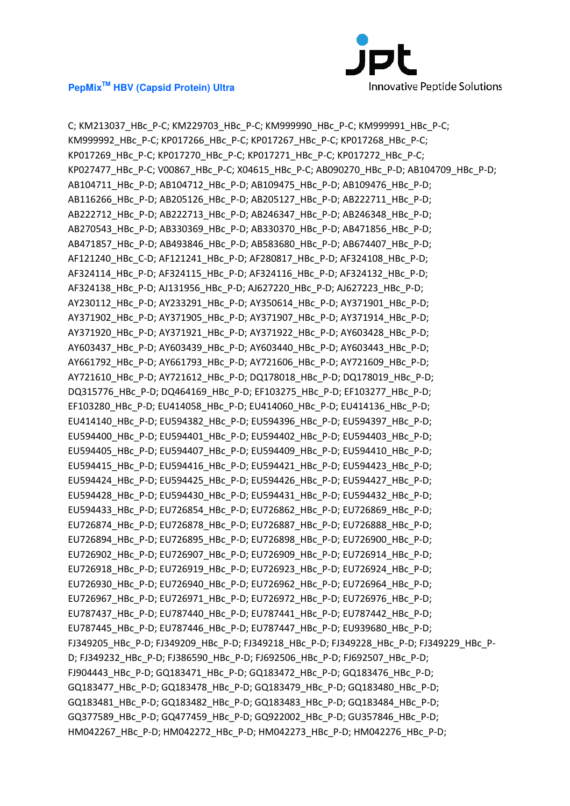

C; KM213037\_HBc\_P-C; KM229703\_HBc\_P-C; KM999990\_HBc\_P-C; KM999991\_HBc\_P-C; KM999992\_HBc\_P-C; KP017266\_HBc\_P-C; KP017267\_HBc\_P-C; KP017268\_HBc\_P-C; KP017269\_HBc\_P-C; KP017270\_HBc\_P-C; KP017271\_HBc\_P-C; KP017272\_HBc\_P-C; KP027477\_HBc\_P-C; V00867\_HBc\_P-C; X04615\_HBc\_P-C; AB090270\_HBc\_P-D; AB104709\_HBc\_P-D; AB104711\_HBc\_P-D; AB104712\_HBc\_P-D; AB109475\_HBc\_P-D; AB109476\_HBc\_P-D; AB116266\_HBc\_P-D; AB205126\_HBc\_P-D; AB205127\_HBc\_P-D; AB222711\_HBc\_P-D; AB222712\_HBc\_P-D; AB222713\_HBc\_P-D; AB246347\_HBc\_P-D; AB246348\_HBc\_P-D; AB270543\_HBc\_P-D; AB330369\_HBc\_P-D; AB330370\_HBc\_P-D; AB471856\_HBc\_P-D; AB471857\_HBc\_P-D; AB493846\_HBc\_P-D; AB583680\_HBc\_P-D; AB674407\_HBc\_P-D; AF121240\_HBc\_C-D; AF121241\_HBc\_P-D; AF280817\_HBc\_P-D; AF324108\_HBc\_P-D; AF324114\_HBc\_P-D; AF324115\_HBc\_P-D; AF324116\_HBc\_P-D; AF324132\_HBc\_P-D; AF324138\_HBc\_P-D; AJ131956\_HBc\_P-D; AJ627220\_HBc\_P-D; AJ627223\_HBc\_P-D; AY230112\_HBc\_P-D; AY233291\_HBc\_P-D; AY350614\_HBc\_P-D; AY371901\_HBc\_P-D; AY371902\_HBc\_P-D; AY371905\_HBc\_P-D; AY371907\_HBc\_P-D; AY371914\_HBc\_P-D; AY371920\_HBc\_P-D; AY371921\_HBc\_P-D; AY371922\_HBc\_P-D; AY603428\_HBc\_P-D; AY603437\_HBc\_P-D; AY603439\_HBc\_P-D; AY603440\_HBc\_P-D; AY603443\_HBc\_P-D; AY661792\_HBc\_P-D; AY661793\_HBc\_P-D; AY721606\_HBc\_P-D; AY721609\_HBc\_P-D; AY721610\_HBc\_P-D; AY721612\_HBc\_P-D; DQ178018\_HBc\_P-D; DQ178019\_HBc\_P-D; DQ315776\_HBc\_P-D; DQ464169\_HBc\_P-D; EF103275\_HBc\_P-D; EF103277\_HBc\_P-D; EF103280\_HBc\_P-D; EU414058\_HBc\_P-D; EU414060\_HBc\_P-D; EU414136\_HBc\_P-D; EU414140\_HBc\_P-D; EU594382\_HBc\_P-D; EU594396\_HBc\_P-D; EU594397\_HBc\_P-D; EU594400\_HBc\_P-D; EU594401\_HBc\_P-D; EU594402\_HBc\_P-D; EU594403\_HBc\_P-D; EU594405\_HBc\_P-D; EU594407\_HBc\_P-D; EU594409\_HBc\_P-D; EU594410\_HBc\_P-D; EU594415\_HBc\_P-D; EU594416\_HBc\_P-D; EU594421\_HBc\_P-D; EU594423\_HBc\_P-D; EU594424\_HBc\_P-D; EU594425\_HBc\_P-D; EU594426\_HBc\_P-D; EU594427\_HBc\_P-D; EU594428\_HBc\_P-D; EU594430\_HBc\_P-D; EU594431\_HBc\_P-D; EU594432\_HBc\_P-D; EU594433\_HBc\_P-D; EU726854\_HBc\_P-D; EU726862\_HBc\_P-D; EU726869\_HBc\_P-D; EU726874\_HBc\_P-D; EU726878\_HBc\_P-D; EU726887\_HBc\_P-D; EU726888\_HBc\_P-D; EU726894\_HBc\_P-D; EU726895\_HBc\_P-D; EU726898\_HBc\_P-D; EU726900\_HBc\_P-D; EU726902\_HBc\_P-D; EU726907\_HBc\_P-D; EU726909\_HBc\_P-D; EU726914\_HBc\_P-D; EU726918\_HBc\_P-D; EU726919\_HBc\_P-D; EU726923\_HBc\_P-D; EU726924\_HBc\_P-D; EU726930\_HBc\_P-D; EU726940\_HBc\_P-D; EU726962\_HBc\_P-D; EU726964\_HBc\_P-D; EU726967\_HBc\_P-D; EU726971\_HBc\_P-D; EU726972\_HBc\_P-D; EU726976\_HBc\_P-D; EU787437\_HBc\_P-D; EU787440\_HBc\_P-D; EU787441\_HBc\_P-D; EU787442\_HBc\_P-D; EU787445\_HBc\_P-D; EU787446\_HBc\_P-D; EU787447\_HBc\_P-D; EU939680\_HBc\_P-D; FJ349205\_HBc\_P-D; FJ349209\_HBc\_P-D; FJ349218\_HBc\_P-D; FJ349228\_HBc\_P-D; FJ349229\_HBc\_P-D; FJ349232\_HBc\_P-D; FJ386590\_HBc\_P-D; FJ692506\_HBc\_P-D; FJ692507\_HBc\_P-D; FJ904443\_HBc\_P-D; GQ183471\_HBc\_P-D; GQ183472\_HBc\_P-D; GQ183476\_HBc\_P-D; GQ183477\_HBc\_P-D; GQ183478\_HBc\_P-D; GQ183479\_HBc\_P-D; GQ183480\_HBc\_P-D; GQ183481\_HBc\_P-D; GQ183482\_HBc\_P-D; GQ183483\_HBc\_P-D; GQ183484\_HBc\_P-D; GQ377589\_HBc\_P-D; GQ477459\_HBc\_P-D; GQ922002\_HBc\_P-D; GU357846\_HBc\_P-D; HM042267\_HBc\_P-D; HM042272\_HBc\_P-D; HM042273\_HBc\_P-D; HM042276\_HBc\_P-D;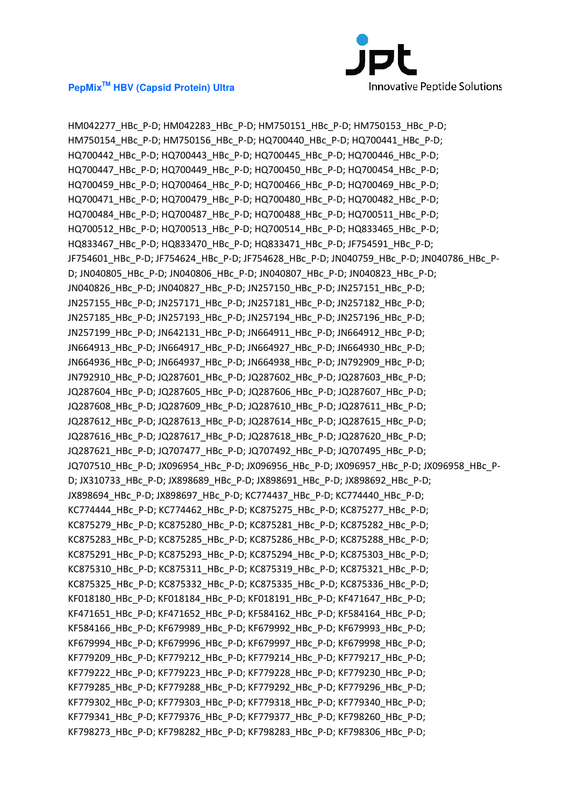

HM042277 HBc P-D; HM042283 HBc P-D; HM750151 HBc P-D; HM750153 HBc P-D; HM750154\_HBc\_P-D; HM750156\_HBc\_P-D; HQ700440\_HBc\_P-D; HQ700441\_HBc\_P-D; HQ700442\_HBc\_P-D; HQ700443\_HBc\_P-D; HQ700445\_HBc\_P-D; HQ700446\_HBc\_P-D; HQ700447\_HBc\_P-D; HQ700449\_HBc\_P-D; HQ700450\_HBc\_P-D; HQ700454\_HBc\_P-D; HQ700459\_HBc\_P-D; HQ700464\_HBc\_P-D; HQ700466\_HBc\_P-D; HQ700469\_HBc\_P-D; HQ700471\_HBc\_P-D; HQ700479\_HBc\_P-D; HQ700480\_HBc\_P-D; HQ700482\_HBc\_P-D; HQ700484\_HBc\_P-D; HQ700487\_HBc\_P-D; HQ700488\_HBc\_P-D; HQ700511\_HBc\_P-D; HQ700512 HBc P-D; HQ700513 HBc P-D; HQ700514 HBc P-D; HQ833465 HBc P-D; HQ833467\_HBc\_P-D; HQ833470\_HBc\_P-D; HQ833471\_HBc\_P-D; JF754591\_HBc\_P-D; JF754601\_HBc\_P-D; JF754624\_HBc\_P-D; JF754628\_HBc\_P-D; JN040759\_HBc\_P-D; JN040786\_HBc\_P-D; JN040805\_HBc\_P-D; JN040806\_HBc\_P-D; JN040807\_HBc\_P-D; JN040823\_HBc\_P-D; JN040826\_HBc\_P-D; JN040827\_HBc\_P-D; JN257150\_HBc\_P-D; JN257151\_HBc\_P-D; JN257155\_HBc\_P-D; JN257171\_HBc\_P-D; JN257181\_HBc\_P-D; JN257182\_HBc\_P-D; JN257185\_HBc\_P-D; JN257193\_HBc\_P-D; JN257194\_HBc\_P-D; JN257196\_HBc\_P-D; JN257199\_HBc\_P-D; JN642131\_HBc\_P-D; JN664911\_HBc\_P-D; JN664912\_HBc\_P-D; JN664913\_HBc\_P-D; JN664917\_HBc\_P-D; JN664927\_HBc\_P-D; JN664930\_HBc\_P-D; JN664936\_HBc\_P-D; JN664937\_HBc\_P-D; JN664938\_HBc\_P-D; JN792909\_HBc\_P-D; JN792910\_HBc\_P-D; JQ287601\_HBc\_P-D; JQ287602\_HBc\_P-D; JQ287603\_HBc\_P-D; JQ287604\_HBc\_P-D; JQ287605\_HBc\_P-D; JQ287606\_HBc\_P-D; JQ287607\_HBc\_P-D; JQ287608\_HBc\_P-D; JQ287609\_HBc\_P-D; JQ287610\_HBc\_P-D; JQ287611\_HBc\_P-D; JQ287612\_HBc\_P-D; JQ287613\_HBc\_P-D; JQ287614\_HBc\_P-D; JQ287615\_HBc\_P-D; JQ287616\_HBc\_P-D; JQ287617\_HBc\_P-D; JQ287618\_HBc\_P-D; JQ287620\_HBc\_P-D; JQ287621\_HBc\_P-D; JQ707477\_HBc\_P-D; JQ707492\_HBc\_P-D; JQ707495\_HBc\_P-D; JQ707510\_HBc\_P-D; JX096954\_HBc\_P-D; JX096956\_HBc\_P-D; JX096957\_HBc\_P-D; JX096958\_HBc\_P-D; JX310733\_HBc\_P-D; JX898689\_HBc\_P-D; JX898691\_HBc\_P-D; JX898692\_HBc\_P-D; JX898694\_HBc\_P-D; JX898697\_HBc\_P-D; KC774437\_HBc\_P-D; KC774440\_HBc\_P-D; KC774444\_HBc\_P-D; KC774462\_HBc\_P-D; KC875275\_HBc\_P-D; KC875277\_HBc\_P-D; KC875279\_HBc\_P-D; KC875280\_HBc\_P-D; KC875281\_HBc\_P-D; KC875282\_HBc\_P-D; KC875283\_HBc\_P-D; KC875285\_HBc\_P-D; KC875286\_HBc\_P-D; KC875288\_HBc\_P-D; KC875291\_HBc\_P-D; KC875293\_HBc\_P-D; KC875294\_HBc\_P-D; KC875303\_HBc\_P-D; KC875310\_HBc\_P-D; KC875311\_HBc\_P-D; KC875319\_HBc\_P-D; KC875321\_HBc\_P-D; KC875325\_HBc\_P-D; KC875332\_HBc\_P-D; KC875335\_HBc\_P-D; KC875336\_HBc\_P-D; KF018180\_HBc\_P-D; KF018184\_HBc\_P-D; KF018191\_HBc\_P-D; KF471647\_HBc\_P-D; KF471651\_HBc\_P-D; KF471652\_HBc\_P-D; KF584162\_HBc\_P-D; KF584164\_HBc\_P-D; KF584166\_HBc\_P-D; KF679989\_HBc\_P-D; KF679992\_HBc\_P-D; KF679993\_HBc\_P-D; KF679994\_HBc\_P-D; KF679996\_HBc\_P-D; KF679997\_HBc\_P-D; KF679998\_HBc\_P-D; KF779209\_HBc\_P-D; KF779212\_HBc\_P-D; KF779214\_HBc\_P-D; KF779217\_HBc\_P-D; KF779222\_HBc\_P-D; KF779223\_HBc\_P-D; KF779228\_HBc\_P-D; KF779230\_HBc\_P-D; KF779285\_HBc\_P-D; KF779288\_HBc\_P-D; KF779292\_HBc\_P-D; KF779296\_HBc\_P-D; KF779302\_HBc\_P-D; KF779303\_HBc\_P-D; KF779318\_HBc\_P-D; KF779340\_HBc\_P-D; KF779341\_HBc\_P-D; KF779376\_HBc\_P-D; KF779377\_HBc\_P-D; KF798260\_HBc\_P-D; KF798273\_HBc\_P-D; KF798282\_HBc\_P-D; KF798283\_HBc\_P-D; KF798306\_HBc\_P-D;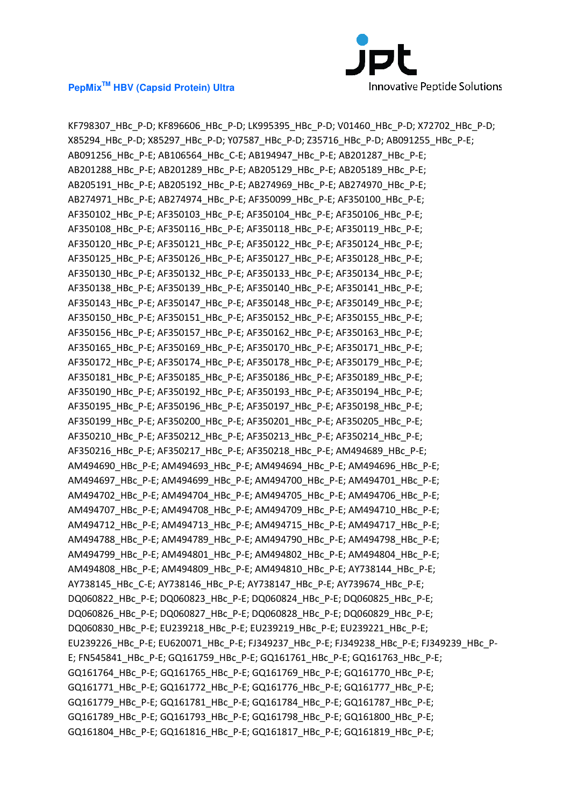

KF798307\_HBc\_P-D; KF896606\_HBc\_P-D; LK995395\_HBc\_P-D; V01460\_HBc\_P-D; X72702\_HBc\_P-D; X85294\_HBc\_P-D; X85297\_HBc\_P-D; Y07587\_HBc\_P-D; Z35716\_HBc\_P-D; AB091255\_HBc\_P-E; AB091256\_HBc\_P-E; AB106564\_HBc\_C-E; AB194947\_HBc\_P-E; AB201287\_HBc\_P-E; AB201288\_HBc\_P-E; AB201289\_HBc\_P-E; AB205129\_HBc\_P-E; AB205189\_HBc\_P-E; AB205191\_HBc\_P-E; AB205192\_HBc\_P-E; AB274969\_HBc\_P-E; AB274970\_HBc\_P-E; AB274971\_HBc\_P-E; AB274974\_HBc\_P-E; AF350099\_HBc\_P-E; AF350100\_HBc\_P-E; AF350102 HBc P-E; AF350103 HBc P-E; AF350104 HBc P-E; AF350106 HBc P-E; AF350108\_HBc\_P-E; AF350116\_HBc\_P-E; AF350118\_HBc\_P-E; AF350119\_HBc\_P-E; AF350120\_HBc\_P-E; AF350121\_HBc\_P-E; AF350122\_HBc\_P-E; AF350124\_HBc\_P-E; AF350125\_HBc\_P-E; AF350126\_HBc\_P-E; AF350127\_HBc\_P-E; AF350128\_HBc\_P-E; AF350130\_HBc\_P-E; AF350132\_HBc\_P-E; AF350133\_HBc\_P-E; AF350134\_HBc\_P-E; AF350138\_HBc\_P-E; AF350139\_HBc\_P-E; AF350140\_HBc\_P-E; AF350141\_HBc\_P-E; AF350143\_HBc\_P-E; AF350147\_HBc\_P-E; AF350148\_HBc\_P-E; AF350149\_HBc\_P-E; AF350150\_HBc\_P-E; AF350151\_HBc\_P-E; AF350152\_HBc\_P-E; AF350155\_HBc\_P-E; AF350156\_HBc\_P-E; AF350157\_HBc\_P-E; AF350162\_HBc\_P-E; AF350163\_HBc\_P-E; AF350165\_HBc\_P-E; AF350169\_HBc\_P-E; AF350170\_HBc\_P-E; AF350171\_HBc\_P-E; AF350172\_HBc\_P-E; AF350174\_HBc\_P-E; AF350178\_HBc\_P-E; AF350179\_HBc\_P-E; AF350181\_HBc\_P-E; AF350185\_HBc\_P-E; AF350186\_HBc\_P-E; AF350189\_HBc\_P-E; AF350190\_HBc\_P-E; AF350192\_HBc\_P-E; AF350193\_HBc\_P-E; AF350194\_HBc\_P-E; AF350195\_HBc\_P-E; AF350196\_HBc\_P-E; AF350197\_HBc\_P-E; AF350198\_HBc\_P-E; AF350199\_HBc\_P-E; AF350200\_HBc\_P-E; AF350201\_HBc\_P-E; AF350205\_HBc\_P-E; AF350210\_HBc\_P-E; AF350212\_HBc\_P-E; AF350213\_HBc\_P-E; AF350214\_HBc\_P-E; AF350216\_HBc\_P-E; AF350217\_HBc\_P-E; AF350218\_HBc\_P-E; AM494689\_HBc\_P-E; AM494690\_HBc\_P-E; AM494693\_HBc\_P-E; AM494694\_HBc\_P-E; AM494696\_HBc\_P-E; AM494697\_HBc\_P-E; AM494699\_HBc\_P-E; AM494700\_HBc\_P-E; AM494701\_HBc\_P-E; AM494702\_HBc\_P-E; AM494704\_HBc\_P-E; AM494705\_HBc\_P-E; AM494706\_HBc\_P-E; AM494707\_HBc\_P-E; AM494708\_HBc\_P-E; AM494709\_HBc\_P-E; AM494710\_HBc\_P-E; AM494712\_HBc\_P-E; AM494713\_HBc\_P-E; AM494715\_HBc\_P-E; AM494717\_HBc\_P-E; AM494788\_HBc\_P-E; AM494789\_HBc\_P-E; AM494790\_HBc\_P-E; AM494798\_HBc\_P-E; AM494799\_HBc\_P-E; AM494801\_HBc\_P-E; AM494802\_HBc\_P-E; AM494804\_HBc\_P-E; AM494808\_HBc\_P-E; AM494809\_HBc\_P-E; AM494810\_HBc\_P-E; AY738144\_HBc\_P-E; AY738145\_HBc\_C-E; AY738146\_HBc\_P-E; AY738147\_HBc\_P-E; AY739674\_HBc\_P-E; DQ060822\_HBc\_P-E; DQ060823\_HBc\_P-E; DQ060824\_HBc\_P-E; DQ060825\_HBc\_P-E; DQ060826\_HBc\_P-E; DQ060827\_HBc\_P-E; DQ060828\_HBc\_P-E; DQ060829\_HBc\_P-E; DQ060830\_HBc\_P-E; EU239218\_HBc\_P-E; EU239219\_HBc\_P-E; EU239221\_HBc\_P-E; EU239226\_HBc\_P-E; EU620071\_HBc\_P-E; FJ349237\_HBc\_P-E; FJ349238\_HBc\_P-E; FJ349239\_HBc\_P-E; FN545841\_HBc\_P-E; GQ161759\_HBc\_P-E; GQ161761\_HBc\_P-E; GQ161763\_HBc\_P-E; GQ161764\_HBc\_P-E; GQ161765\_HBc\_P-E; GQ161769\_HBc\_P-E; GQ161770\_HBc\_P-E; GQ161771\_HBc\_P-E; GQ161772\_HBc\_P-E; GQ161776\_HBc\_P-E; GQ161777\_HBc\_P-E; GQ161779\_HBc\_P-E; GQ161781\_HBc\_P-E; GQ161784\_HBc\_P-E; GQ161787\_HBc\_P-E; GQ161789\_HBc\_P-E; GQ161793\_HBc\_P-E; GQ161798\_HBc\_P-E; GQ161800\_HBc\_P-E; GQ161804\_HBc\_P-E; GQ161816\_HBc\_P-E; GQ161817\_HBc\_P-E; GQ161819\_HBc\_P-E;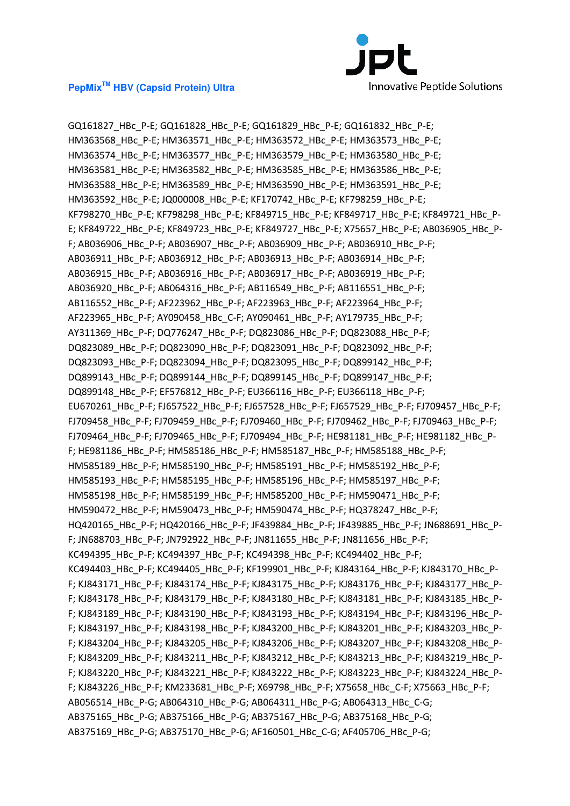

GQ161827\_HBc\_P-E; GQ161828\_HBc\_P-E; GQ161829\_HBc\_P-E; GQ161832\_HBc\_P-E; HM363568\_HBc\_P-E; HM363571\_HBc\_P-E; HM363572\_HBc\_P-E; HM363573\_HBc\_P-E; HM363574 HBc P-E; HM363577 HBc P-E; HM363579 HBc P-E; HM363580 HBc P-E; HM363581\_HBc\_P-E; HM363582\_HBc\_P-E; HM363585\_HBc\_P-E; HM363586\_HBc\_P-E; HM363588\_HBc\_P-E; HM363589\_HBc\_P-E; HM363590\_HBc\_P-E; HM363591\_HBc\_P-E; HM363592\_HBc\_P-E; JQ000008\_HBc\_P-E; KF170742\_HBc\_P-E; KF798259\_HBc\_P-E; KF798270\_HBc\_P-E; KF798298\_HBc\_P-E; KF849715\_HBc\_P-E; KF849717\_HBc\_P-E; KF849721\_HBc\_P-E; KF849722\_HBc\_P-E; KF849723\_HBc\_P-E; KF849727\_HBc\_P-E; X75657\_HBc\_P-E; AB036905\_HBc\_P-F; AB036906\_HBc\_P-F; AB036907\_HBc\_P-F; AB036909\_HBc\_P-F; AB036910\_HBc\_P-F; AB036911\_HBc\_P-F; AB036912\_HBc\_P-F; AB036913\_HBc\_P-F; AB036914\_HBc\_P-F; AB036915\_HBc\_P-F; AB036916\_HBc\_P-F; AB036917\_HBc\_P-F; AB036919\_HBc\_P-F; AB036920\_HBc\_P-F; AB064316\_HBc\_P-F; AB116549\_HBc\_P-F; AB116551\_HBc\_P-F; AB116552\_HBc\_P-F; AF223962\_HBc\_P-F; AF223963\_HBc\_P-F; AF223964\_HBc\_P-F; AF223965\_HBc\_P-F; AY090458\_HBc\_C-F; AY090461\_HBc\_P-F; AY179735\_HBc\_P-F; AY311369\_HBc\_P-F; DQ776247\_HBc\_P-F; DQ823086\_HBc\_P-F; DQ823088\_HBc\_P-F; DQ823089\_HBc\_P-F; DQ823090\_HBc\_P-F; DQ823091\_HBc\_P-F; DQ823092\_HBc\_P-F; DQ823093\_HBc\_P-F; DQ823094\_HBc\_P-F; DQ823095\_HBc\_P-F; DQ899142\_HBc\_P-F; DQ899143\_HBc\_P-F; DQ899144\_HBc\_P-F; DQ899145\_HBc\_P-F; DQ899147\_HBc\_P-F; DQ899148\_HBc\_P-F; EF576812\_HBc\_P-F; EU366116\_HBc\_P-F; EU366118\_HBc\_P-F; EU670261\_HBc\_P-F; FJ657522\_HBc\_P-F; FJ657528\_HBc\_P-F; FJ657529\_HBc\_P-F; FJ709457\_HBc\_P-F; FJ709458 HBc P-F; FJ709459 HBc P-F; FJ709460 HBc P-F; FJ709462 HBc P-F; FJ709463 HBc P-F; FJ709464 HBc P-F; FJ709465 HBc P-F; FJ709494 HBc P-F; HE981181 HBc P-F; HE981182 HBc P-F; HE981186\_HBc\_P-F; HM585186\_HBc\_P-F; HM585187\_HBc\_P-F; HM585188\_HBc\_P-F; HM585189\_HBc\_P-F; HM585190\_HBc\_P-F; HM585191\_HBc\_P-F; HM585192\_HBc\_P-F; HM585193\_HBc\_P-F; HM585195\_HBc\_P-F; HM585196\_HBc\_P-F; HM585197\_HBc\_P-F; HM585198\_HBc\_P-F; HM585199\_HBc\_P-F; HM585200\_HBc\_P-F; HM590471\_HBc\_P-F; HM590472\_HBc\_P-F; HM590473\_HBc\_P-F; HM590474\_HBc\_P-F; HQ378247\_HBc\_P-F; HQ420165\_HBc\_P-F; HQ420166\_HBc\_P-F; JF439884\_HBc\_P-F; JF439885\_HBc\_P-F; JN688691\_HBc\_P-F; JN688703\_HBc\_P-F; JN792922\_HBc\_P-F; JN811655\_HBc\_P-F; JN811656\_HBc\_P-F; KC494395\_HBc\_P-F; KC494397\_HBc\_P-F; KC494398\_HBc\_P-F; KC494402\_HBc\_P-F; KC494403\_HBc\_P-F; KC494405\_HBc\_P-F; KF199901\_HBc\_P-F; KJ843164\_HBc\_P-F; KJ843170\_HBc\_P-F; KJ843171\_HBc\_P-F; KJ843174\_HBc\_P-F; KJ843175\_HBc\_P-F; KJ843176\_HBc\_P-F; KJ843177\_HBc\_P-F; KJ843178\_HBc\_P-F; KJ843179\_HBc\_P-F; KJ843180\_HBc\_P-F; KJ843181\_HBc\_P-F; KJ843185\_HBc\_P-F; KJ843189\_HBc\_P-F; KJ843190\_HBc\_P-F; KJ843193\_HBc\_P-F; KJ843194\_HBc\_P-F; KJ843196\_HBc\_P-F; KJ843197\_HBc\_P-F; KJ843198\_HBc\_P-F; KJ843200\_HBc\_P-F; KJ843201\_HBc\_P-F; KJ843203\_HBc\_P-F; KJ843204\_HBc\_P-F; KJ843205\_HBc\_P-F; KJ843206\_HBc\_P-F; KJ843207\_HBc\_P-F; KJ843208\_HBc\_P-F; KJ843209\_HBc\_P-F; KJ843211\_HBc\_P-F; KJ843212\_HBc\_P-F; KJ843213\_HBc\_P-F; KJ843219\_HBc\_P-F; KJ843220\_HBc\_P-F; KJ843221\_HBc\_P-F; KJ843222\_HBc\_P-F; KJ843223\_HBc\_P-F; KJ843224\_HBc\_P-F; KJ843226\_HBc\_P-F; KM233681\_HBc\_P-F; X69798\_HBc\_P-F; X75658\_HBc\_C-F; X75663\_HBc\_P-F; AB056514\_HBc\_P-G; AB064310\_HBc\_P-G; AB064311\_HBc\_P-G; AB064313\_HBc\_C-G; AB375165\_HBc\_P-G; AB375166\_HBc\_P-G; AB375167\_HBc\_P-G; AB375168\_HBc\_P-G; AB375169\_HBc\_P-G; AB375170\_HBc\_P-G; AF160501\_HBc\_C-G; AF405706\_HBc\_P-G;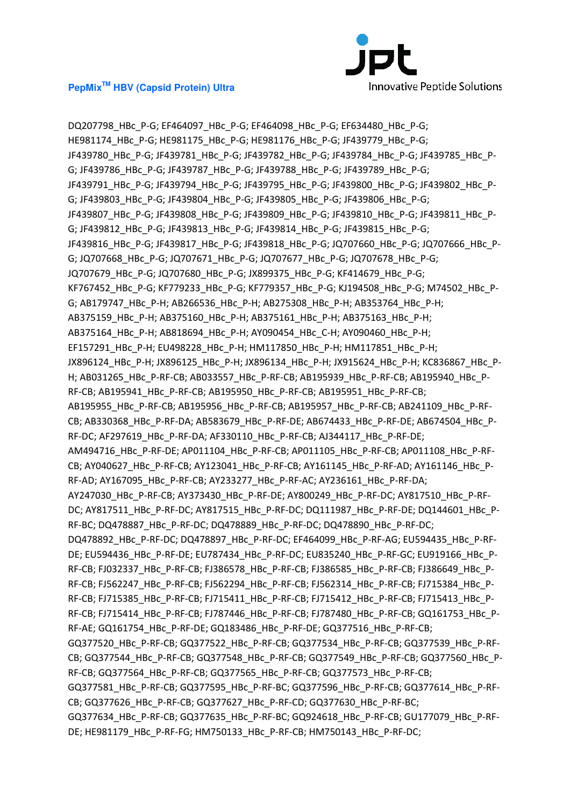

DQ207798\_HBc\_P-G; EF464097\_HBc\_P-G; EF464098\_HBc\_P-G; EF634480\_HBc\_P-G; HE981174\_HBc\_P-G; HE981175\_HBc\_P-G; HE981176\_HBc\_P-G; JF439779\_HBc\_P-G; JF439780\_HBc\_P-G; JF439781\_HBc\_P-G; JF439782\_HBc\_P-G; JF439784\_HBc\_P-G; JF439785\_HBc\_P-G; JF439786\_HBc\_P-G; JF439787\_HBc\_P-G; JF439788\_HBc\_P-G; JF439789\_HBc\_P-G; JF439791\_HBc\_P-G; JF439794\_HBc\_P-G; JF439795\_HBc\_P-G; JF439800\_HBc\_P-G; JF439802\_HBc\_P-G; JF439803\_HBc\_P-G; JF439804\_HBc\_P-G; JF439805\_HBc\_P-G; JF439806\_HBc\_P-G; JF439807\_HBc\_P-G; JF439808\_HBc\_P-G; JF439809\_HBc\_P-G; JF439810\_HBc\_P-G; JF439811\_HBc\_P-G; JF439812\_HBc\_P-G; JF439813\_HBc\_P-G; JF439814\_HBc\_P-G; JF439815\_HBc\_P-G; JF439816 HBc P-G; JF439817 HBc P-G; JF439818 HBc P-G; JQ707660 HBc P-G; JQ707666 HBc P-G; JQ707668\_HBc\_P-G; JQ707671\_HBc\_P-G; JQ707677\_HBc\_P-G; JQ707678\_HBc\_P-G; JQ707679\_HBc\_P-G; JQ707680\_HBc\_P-G; JX899375\_HBc\_P-G; KF414679\_HBc\_P-G; KF767452\_HBc\_P-G; KF779233\_HBc\_P-G; KF779357\_HBc\_P-G; KJ194508\_HBc\_P-G; M74502\_HBc\_P-G; AB179747\_HBc\_P-H; AB266536\_HBc\_P-H; AB275308\_HBc\_P-H; AB353764\_HBc\_P-H; AB375159\_HBc\_P-H; AB375160\_HBc\_P-H; AB375161\_HBc\_P-H; AB375163\_HBc\_P-H; AB375164 HBc P-H; AB818694 HBc P-H; AY090454 HBc C-H; AY090460 HBc P-H; EF157291\_HBc\_P-H; EU498228\_HBc\_P-H; HM117850\_HBc\_P-H; HM117851\_HBc\_P-H; JX896124\_HBc\_P-H; JX896125\_HBc\_P-H; JX896134\_HBc\_P-H; JX915624\_HBc\_P-H; KC836867\_HBc\_P-H; AB031265\_HBc\_P-RF-CB; AB033557\_HBc\_P-RF-CB; AB195939\_HBc\_P-RF-CB; AB195940\_HBc\_P-RF-CB; AB195941\_HBc\_P-RF-CB; AB195950\_HBc\_P-RF-CB; AB195951\_HBc\_P-RF-CB; AB195955\_HBc\_P-RF-CB; AB195956\_HBc\_P-RF-CB; AB195957\_HBc\_P-RF-CB; AB241109\_HBc\_P-RF-CB; AB330368\_HBc\_P-RF-DA; AB583679\_HBc\_P-RF-DE; AB674433\_HBc\_P-RF-DE; AB674504\_HBc\_P-RF-DC; AF297619\_HBc\_P-RF-DA; AF330110\_HBc\_P-RF-CB; AJ344117\_HBc\_P-RF-DE; AM494716\_HBc\_P-RF-DE; AP011104\_HBc\_P-RF-CB; AP011105\_HBc\_P-RF-CB; AP011108\_HBc\_P-RF-CB; AY040627\_HBc\_P-RF-CB; AY123041\_HBc\_P-RF-CB; AY161145\_HBc\_P-RF-AD; AY161146\_HBc\_P-RF-AD; AY167095\_HBc\_P-RF-CB; AY233277\_HBc\_P-RF-AC; AY236161\_HBc\_P-RF-DA; AY247030\_HBc\_P-RF-CB; AY373430\_HBc\_P-RF-DE; AY800249\_HBc\_P-RF-DC; AY817510\_HBc\_P-RF-DC; AY817511\_HBc\_P-RF-DC; AY817515\_HBc\_P-RF-DC; DQ111987\_HBc\_P-RF-DE; DQ144601\_HBc\_P-RF-BC; DQ478887\_HBc\_P-RF-DC; DQ478889\_HBc\_P-RF-DC; DQ478890\_HBc\_P-RF-DC; DQ478892\_HBc\_P-RF-DC; DQ478897\_HBc\_P-RF-DC; EF464099\_HBc\_P-RF-AG; EU594435\_HBc\_P-RF-DE; EU594436 HBc P-RF-DE; EU787434 HBc P-RF-DC; EU835240 HBc P-RF-GC; EU919166 HBc P-RF-CB; FJ032337\_HBc\_P-RF-CB; FJ386578\_HBc\_P-RF-CB; FJ386585\_HBc\_P-RF-CB; FJ386649\_HBc\_P-RF-CB; FJ562247\_HBc\_P-RF-CB; FJ562294\_HBc\_P-RF-CB; FJ562314\_HBc\_P-RF-CB; FJ715384\_HBc\_P-RF-CB; FJ715385\_HBc\_P-RF-CB; FJ715411\_HBc\_P-RF-CB; FJ715412\_HBc\_P-RF-CB; FJ715413\_HBc\_P-RF-CB; FJ715414\_HBc\_P-RF-CB; FJ787446\_HBc\_P-RF-CB; FJ787480\_HBc\_P-RF-CB; GQ161753\_HBc\_P-RF-AE; GQ161754\_HBc\_P-RF-DE; GQ183486\_HBc\_P-RF-DE; GQ377516\_HBc\_P-RF-CB; GQ377520\_HBc\_P-RF-CB; GQ377522\_HBc\_P-RF-CB; GQ377534\_HBc\_P-RF-CB; GQ377539\_HBc\_P-RF-CB; GQ377544\_HBc\_P-RF-CB; GQ377548\_HBc\_P-RF-CB; GQ377549\_HBc\_P-RF-CB; GQ377560\_HBc\_P-RF-CB; GQ377564\_HBc\_P-RF-CB; GQ377565\_HBc\_P-RF-CB; GQ377573\_HBc\_P-RF-CB; GQ377581\_HBc\_P-RF-CB; GQ377595\_HBc\_P-RF-BC; GQ377596\_HBc\_P-RF-CB; GQ377614\_HBc\_P-RF-CB; GQ377626\_HBc\_P-RF-CB; GQ377627\_HBc\_P-RF-CD; GQ377630\_HBc\_P-RF-BC; GQ377634\_HBc\_P-RF-CB; GQ377635\_HBc\_P-RF-BC; GQ924618\_HBc\_P-RF-CB; GU177079\_HBc\_P-RF-DE; HE981179\_HBc\_P-RF-FG; HM750133\_HBc\_P-RF-CB; HM750143\_HBc\_P-RF-DC;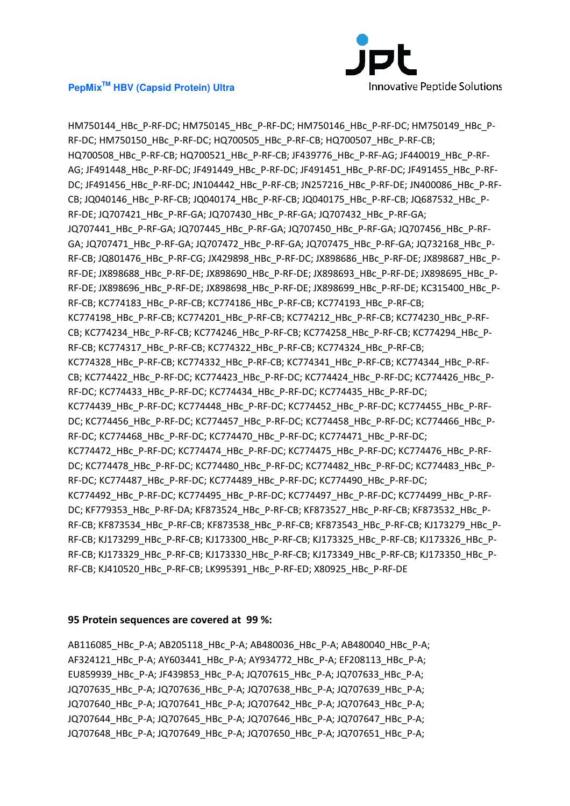

HM750144\_HBc\_P-RF-DC; HM750145\_HBc\_P-RF-DC; HM750146\_HBc\_P-RF-DC; HM750149\_HBc\_P-RF-DC; HM750150\_HBc\_P-RF-DC; HQ700505\_HBc\_P-RF-CB; HQ700507\_HBc\_P-RF-CB; HQ700508\_HBc\_P-RF-CB; HQ700521\_HBc\_P-RF-CB; JF439776\_HBc\_P-RF-AG; JF440019\_HBc\_P-RF-AG; JF491448\_HBc\_P-RF-DC; JF491449\_HBc\_P-RF-DC; JF491451\_HBc\_P-RF-DC; JF491455\_HBc\_P-RF-DC; JF491456\_HBc\_P-RF-DC; JN104442\_HBc\_P-RF-CB; JN257216\_HBc\_P-RF-DE; JN400086\_HBc\_P-RF-CB; JQ040146\_HBc\_P-RF-CB; JQ040174\_HBc\_P-RF-CB; JQ040175\_HBc\_P-RF-CB; JQ687532\_HBc\_P-RF-DE; JQ707421\_HBc\_P-RF-GA; JQ707430\_HBc\_P-RF-GA; JQ707432\_HBc\_P-RF-GA; JQ707441\_HBc\_P-RF-GA; JQ707445\_HBc\_P-RF-GA; JQ707450\_HBc\_P-RF-GA; JQ707456\_HBc\_P-RF-GA; JQ707471\_HBc\_P-RF-GA; JQ707472\_HBc\_P-RF-GA; JQ707475\_HBc\_P-RF-GA; JQ732168\_HBc\_P-RF-CB; JQ801476\_HBc\_P-RF-CG; JX429898\_HBc\_P-RF-DC; JX898686\_HBc\_P-RF-DE; JX898687\_HBc\_P-RF-DE; JX898688\_HBc\_P-RF-DE; JX898690\_HBc\_P-RF-DE; JX898693\_HBc\_P-RF-DE; JX898695\_HBc\_P-RF-DE; JX898696\_HBc\_P-RF-DE; JX898698\_HBc\_P-RF-DE; JX898699\_HBc\_P-RF-DE; KC315400\_HBc\_P-RF-CB; KC774183\_HBc\_P-RF-CB; KC774186\_HBc\_P-RF-CB; KC774193\_HBc\_P-RF-CB; KC774198\_HBc\_P-RF-CB; KC774201\_HBc\_P-RF-CB; KC774212\_HBc\_P-RF-CB; KC774230\_HBc\_P-RF-CB; KC774234\_HBc\_P-RF-CB; KC774246\_HBc\_P-RF-CB; KC774258\_HBc\_P-RF-CB; KC774294\_HBc\_P-RF-CB; KC774317\_HBc\_P-RF-CB; KC774322\_HBc\_P-RF-CB; KC774324\_HBc\_P-RF-CB; KC774328\_HBc\_P-RF-CB; KC774332\_HBc\_P-RF-CB; KC774341\_HBc\_P-RF-CB; KC774344\_HBc\_P-RF-CB; KC774422\_HBc\_P-RF-DC; KC774423\_HBc\_P-RF-DC; KC774424\_HBc\_P-RF-DC; KC774426\_HBc\_P-RF-DC; KC774433\_HBc\_P-RF-DC; KC774434\_HBc\_P-RF-DC; KC774435\_HBc\_P-RF-DC; KC774439\_HBc\_P-RF-DC; KC774448\_HBc\_P-RF-DC; KC774452\_HBc\_P-RF-DC; KC774455\_HBc\_P-RF-DC; KC774456\_HBc\_P-RF-DC; KC774457\_HBc\_P-RF-DC; KC774458\_HBc\_P-RF-DC; KC774466\_HBc\_P-RF-DC; KC774468\_HBc\_P-RF-DC; KC774470\_HBc\_P-RF-DC; KC774471\_HBc\_P-RF-DC; KC774472\_HBc\_P-RF-DC; KC774474\_HBc\_P-RF-DC; KC774475\_HBc\_P-RF-DC; KC774476\_HBc\_P-RF-DC; KC774478\_HBc\_P-RF-DC; KC774480\_HBc\_P-RF-DC; KC774482\_HBc\_P-RF-DC; KC774483\_HBc\_P-RF-DC; KC774487\_HBc\_P-RF-DC; KC774489\_HBc\_P-RF-DC; KC774490\_HBc\_P-RF-DC; KC774492\_HBc\_P-RF-DC; KC774495\_HBc\_P-RF-DC; KC774497\_HBc\_P-RF-DC; KC774499\_HBc\_P-RF-DC; KF779353\_HBc\_P-RF-DA; KF873524\_HBc\_P-RF-CB; KF873527\_HBc\_P-RF-CB; KF873532\_HBc\_P-RF-CB; KF873534\_HBc\_P-RF-CB; KF873538\_HBc\_P-RF-CB; KF873543\_HBc\_P-RF-CB; KJ173279\_HBc\_P-RF-CB; KJ173299\_HBc\_P-RF-CB; KJ173300\_HBc\_P-RF-CB; KJ173325\_HBc\_P-RF-CB; KJ173326\_HBc\_P-RF-CB; KJ173329\_HBc\_P-RF-CB; KJ173330\_HBc\_P-RF-CB; KJ173349\_HBc\_P-RF-CB; KJ173350\_HBc\_P-RF-CB; KJ410520\_HBc\_P-RF-CB; LK995391\_HBc\_P-RF-ED; X80925\_HBc\_P-RF-DE

#### **95 Protein sequences are covered at 99 %:**

AB116085\_HBc\_P-A; AB205118\_HBc\_P-A; AB480036\_HBc\_P-A; AB480040\_HBc\_P-A; AF324121\_HBc\_P-A; AY603441\_HBc\_P-A; AY934772\_HBc\_P-A; EF208113\_HBc\_P-A; EU859939\_HBc\_P-A; JF439853\_HBc\_P-A; JQ707615\_HBc\_P-A; JQ707633\_HBc\_P-A; JQ707635\_HBc\_P-A; JQ707636\_HBc\_P-A; JQ707638\_HBc\_P-A; JQ707639\_HBc\_P-A; JQ707640\_HBc\_P-A; JQ707641\_HBc\_P-A; JQ707642\_HBc\_P-A; JQ707643\_HBc\_P-A; JQ707644\_HBc\_P-A; JQ707645\_HBc\_P-A; JQ707646\_HBc\_P-A; JQ707647\_HBc\_P-A; JQ707648\_HBc\_P-A; JQ707649\_HBc\_P-A; JQ707650\_HBc\_P-A; JQ707651\_HBc\_P-A;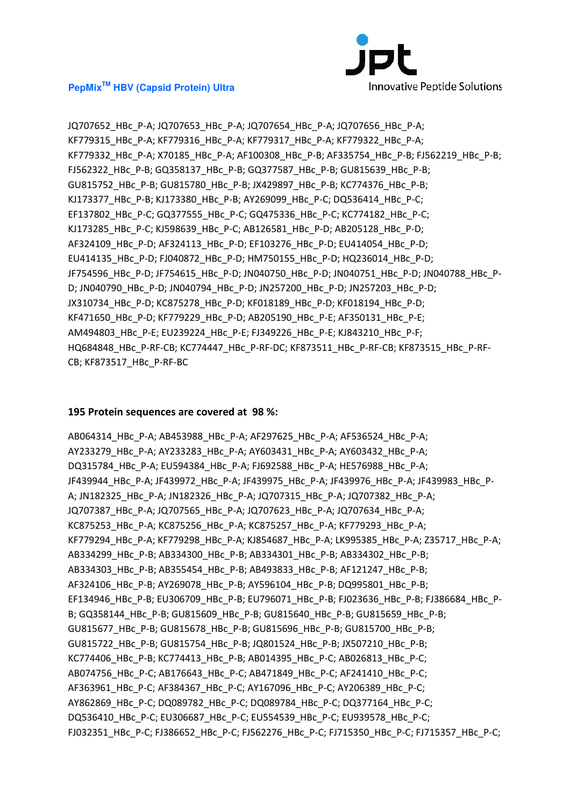

JQ707652\_HBc\_P-A; JQ707653\_HBc\_P-A; JQ707654\_HBc\_P-A; JQ707656\_HBc\_P-A; KF779315\_HBc\_P-A; KF779316\_HBc\_P-A; KF779317\_HBc\_P-A; KF779322\_HBc\_P-A; KF779332\_HBc\_P-A; X70185\_HBc\_P-A; AF100308\_HBc\_P-B; AF335754\_HBc\_P-B; FJ562219\_HBc\_P-B; FJ562322\_HBc\_P-B; GQ358137\_HBc\_P-B; GQ377587\_HBc\_P-B; GU815639\_HBc\_P-B; GU815752\_HBc\_P-B; GU815780\_HBc\_P-B; JX429897\_HBc\_P-B; KC774376\_HBc\_P-B; KJ173377\_HBc\_P-B; KJ173380\_HBc\_P-B; AY269099\_HBc\_P-C; DQ536414\_HBc\_P-C; EF137802\_HBc\_P-C; GQ377555\_HBc\_P-C; GQ475336\_HBc\_P-C; KC774182\_HBc\_P-C; KJ173285\_HBc\_P-C; KJ598639\_HBc\_P-C; AB126581\_HBc\_P-D; AB205128\_HBc\_P-D; AF324109\_HBc\_P-D; AF324113\_HBc\_P-D; EF103276\_HBc\_P-D; EU414054\_HBc\_P-D; EU414135\_HBc\_P-D; FJ040872\_HBc\_P-D; HM750155\_HBc\_P-D; HQ236014\_HBc\_P-D; JF754596\_HBc\_P-D; JF754615\_HBc\_P-D; JN040750\_HBc\_P-D; JN040751\_HBc\_P-D; JN040788\_HBc\_P-D; JN040790\_HBc\_P-D; JN040794\_HBc\_P-D; JN257200\_HBc\_P-D; JN257203\_HBc\_P-D; JX310734 HBc P-D; KC875278 HBc P-D; KF018189 HBc P-D; KF018194 HBc P-D; KF471650\_HBc\_P-D; KF779229\_HBc\_P-D; AB205190\_HBc\_P-E; AF350131\_HBc\_P-E; AM494803\_HBc\_P-E; EU239224\_HBc\_P-E; FJ349226\_HBc\_P-E; KJ843210\_HBc\_P-F; HQ684848\_HBc\_P-RF-CB; KC774447\_HBc\_P-RF-DC; KF873511\_HBc\_P-RF-CB; KF873515\_HBc\_P-RF-CB; KF873517\_HBc\_P-RF-BC

#### **195 Protein sequences are covered at 98 %:**

AB064314\_HBc\_P-A; AB453988\_HBc\_P-A; AF297625\_HBc\_P-A; AF536524\_HBc\_P-A; AY233279\_HBc\_P-A; AY233283\_HBc\_P-A; AY603431\_HBc\_P-A; AY603432\_HBc\_P-A; DQ315784\_HBc\_P-A; EU594384\_HBc\_P-A; FJ692588\_HBc\_P-A; HE576988\_HBc\_P-A; JF439944 HBc P-A; JF439972 HBc P-A; JF439975 HBc P-A; JF439976 HBc P-A; JF439983 HBc P-A; JN182325\_HBc\_P-A; JN182326\_HBc\_P-A; JQ707315\_HBc\_P-A; JQ707382\_HBc\_P-A; JQ707387\_HBc\_P-A; JQ707565\_HBc\_P-A; JQ707623\_HBc\_P-A; JQ707634\_HBc\_P-A; KC875253\_HBc\_P-A; KC875256\_HBc\_P-A; KC875257\_HBc\_P-A; KF779293\_HBc\_P-A; KF779294\_HBc\_P-A; KF779298\_HBc\_P-A; KJ854687\_HBc\_P-A; LK995385\_HBc\_P-A; Z35717\_HBc\_P-A; AB334299\_HBc\_P-B; AB334300\_HBc\_P-B; AB334301\_HBc\_P-B; AB334302\_HBc\_P-B; AB334303\_HBc\_P-B; AB355454\_HBc\_P-B; AB493833\_HBc\_P-B; AF121247\_HBc\_P-B; AF324106\_HBc\_P-B; AY269078\_HBc\_P-B; AY596104\_HBc\_P-B; DQ995801\_HBc\_P-B; EF134946\_HBc\_P-B; EU306709\_HBc\_P-B; EU796071\_HBc\_P-B; FJ023636\_HBc\_P-B; FJ386684\_HBc\_P-B; GQ358144\_HBc\_P-B; GU815609\_HBc\_P-B; GU815640\_HBc\_P-B; GU815659\_HBc\_P-B; GU815677\_HBc\_P-B; GU815678\_HBc\_P-B; GU815696\_HBc\_P-B; GU815700\_HBc\_P-B; GU815722\_HBc\_P-B; GU815754\_HBc\_P-B; JQ801524\_HBc\_P-B; JX507210\_HBc\_P-B; KC774406\_HBc\_P-B; KC774413\_HBc\_P-B; AB014395\_HBc\_P-C; AB026813\_HBc\_P-C; AB074756\_HBc\_P-C; AB176643\_HBc\_P-C; AB471849\_HBc\_P-C; AF241410\_HBc\_P-C; AF363961\_HBc\_P-C; AF384367\_HBc\_P-C; AY167096\_HBc\_P-C; AY206389\_HBc\_P-C; AY862869\_HBc\_P-C; DQ089782\_HBc\_P-C; DQ089784\_HBc\_P-C; DQ377164\_HBc\_P-C; DQ536410\_HBc\_P-C; EU306687\_HBc\_P-C; EU554539\_HBc\_P-C; EU939578\_HBc\_P-C; FJ032351\_HBc\_P-C; FJ386652\_HBc\_P-C; FJ562276\_HBc\_P-C; FJ715350\_HBc\_P-C; FJ715357\_HBc\_P-C;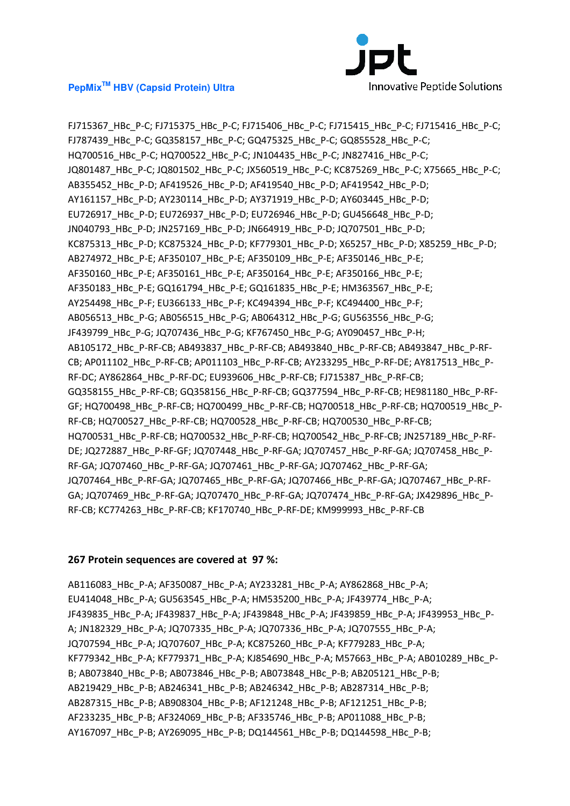

FJ715367\_HBc\_P-C; FJ715375\_HBc\_P-C; FJ715406\_HBc\_P-C; FJ715415\_HBc\_P-C; FJ715416\_HBc\_P-C; FJ787439\_HBc\_P-C; GQ358157\_HBc\_P-C; GQ475325\_HBc\_P-C; GQ855528\_HBc\_P-C; HQ700516\_HBc\_P-C; HQ700522\_HBc\_P-C; JN104435\_HBc\_P-C; JN827416\_HBc\_P-C; JQ801487\_HBc\_P-C; JQ801502\_HBc\_P-C; JX560519\_HBc\_P-C; KC875269\_HBc\_P-C; X75665\_HBc\_P-C; AB355452\_HBc\_P-D; AF419526\_HBc\_P-D; AF419540\_HBc\_P-D; AF419542\_HBc\_P-D; AY161157\_HBc\_P-D; AY230114\_HBc\_P-D; AY371919\_HBc\_P-D; AY603445\_HBc\_P-D; EU726917\_HBc\_P-D; EU726937\_HBc\_P-D; EU726946\_HBc\_P-D; GU456648\_HBc\_P-D; JN040793\_HBc\_P-D; JN257169\_HBc\_P-D; JN664919\_HBc\_P-D; JQ707501\_HBc\_P-D; KC875313\_HBc\_P-D; KC875324\_HBc\_P-D; KF779301\_HBc\_P-D; X65257\_HBc\_P-D; X85259\_HBc\_P-D; AB274972\_HBc\_P-E; AF350107\_HBc\_P-E; AF350109\_HBc\_P-E; AF350146\_HBc\_P-E; AF350160\_HBc\_P-E; AF350161\_HBc\_P-E; AF350164\_HBc\_P-E; AF350166\_HBc\_P-E; AF350183\_HBc\_P-E; GQ161794\_HBc\_P-E; GQ161835\_HBc\_P-E; HM363567\_HBc\_P-E; AY254498\_HBc\_P-F; EU366133\_HBc\_P-F; KC494394\_HBc\_P-F; KC494400\_HBc\_P-F; AB056513\_HBc\_P-G; AB056515\_HBc\_P-G; AB064312\_HBc\_P-G; GU563556\_HBc\_P-G; JF439799\_HBc\_P-G; JQ707436\_HBc\_P-G; KF767450\_HBc\_P-G; AY090457\_HBc\_P-H; AB105172\_HBc\_P-RF-CB; AB493837\_HBc\_P-RF-CB; AB493840\_HBc\_P-RF-CB; AB493847\_HBc\_P-RF-CB; AP011102\_HBc\_P-RF-CB; AP011103\_HBc\_P-RF-CB; AY233295\_HBc\_P-RF-DE; AY817513\_HBc\_P-RF-DC; AY862864\_HBc\_P-RF-DC; EU939606\_HBc\_P-RF-CB; FJ715387\_HBc\_P-RF-CB; GQ358155\_HBc\_P-RF-CB; GQ358156\_HBc\_P-RF-CB; GQ377594\_HBc\_P-RF-CB; HE981180\_HBc\_P-RF-GF; HQ700498\_HBc\_P-RF-CB; HQ700499\_HBc\_P-RF-CB; HQ700518\_HBc\_P-RF-CB; HQ700519\_HBc\_P-RF-CB; HQ700527\_HBc\_P-RF-CB; HQ700528\_HBc\_P-RF-CB; HQ700530\_HBc\_P-RF-CB; HQ700531\_HBc\_P-RF-CB; HQ700532\_HBc\_P-RF-CB; HQ700542\_HBc\_P-RF-CB; JN257189\_HBc\_P-RF-DE; JQ272887\_HBc\_P-RF-GF; JQ707448\_HBc\_P-RF-GA; JQ707457\_HBc\_P-RF-GA; JQ707458\_HBc\_P-RF-GA; JQ707460\_HBc\_P-RF-GA; JQ707461\_HBc\_P-RF-GA; JQ707462\_HBc\_P-RF-GA; JQ707464\_HBc\_P-RF-GA; JQ707465\_HBc\_P-RF-GA; JQ707466\_HBc\_P-RF-GA; JQ707467\_HBc\_P-RF-GA; JQ707469\_HBc\_P-RF-GA; JQ707470\_HBc\_P-RF-GA; JQ707474\_HBc\_P-RF-GA; JX429896\_HBc\_P-RF-CB; KC774263\_HBc\_P-RF-CB; KF170740\_HBc\_P-RF-DE; KM999993\_HBc\_P-RF-CB

#### **267 Protein sequences are covered at 97 %:**

AB116083\_HBc\_P-A; AF350087\_HBc\_P-A; AY233281\_HBc\_P-A; AY862868\_HBc\_P-A; EU414048\_HBc\_P-A; GU563545\_HBc\_P-A; HM535200\_HBc\_P-A; JF439774\_HBc\_P-A; JF439835\_HBc\_P-A; JF439837\_HBc\_P-A; JF439848\_HBc\_P-A; JF439859\_HBc\_P-A; JF439953\_HBc\_P-A; JN182329\_HBc\_P-A; JQ707335\_HBc\_P-A; JQ707336\_HBc\_P-A; JQ707555\_HBc\_P-A; JQ707594\_HBc\_P-A; JQ707607\_HBc\_P-A; KC875260\_HBc\_P-A; KF779283\_HBc\_P-A; KF779342\_HBc\_P-A; KF779371\_HBc\_P-A; KJ854690\_HBc\_P-A; M57663\_HBc\_P-A; AB010289\_HBc\_P-B; AB073840\_HBc\_P-B; AB073846\_HBc\_P-B; AB073848\_HBc\_P-B; AB205121\_HBc\_P-B; AB219429\_HBc\_P-B; AB246341\_HBc\_P-B; AB246342\_HBc\_P-B; AB287314\_HBc\_P-B; AB287315\_HBc\_P-B; AB908304\_HBc\_P-B; AF121248\_HBc\_P-B; AF121251\_HBc\_P-B; AF233235\_HBc\_P-B; AF324069\_HBc\_P-B; AF335746\_HBc\_P-B; AP011088\_HBc\_P-B; AY167097\_HBc\_P-B; AY269095\_HBc\_P-B; DQ144561\_HBc\_P-B; DQ144598\_HBc\_P-B;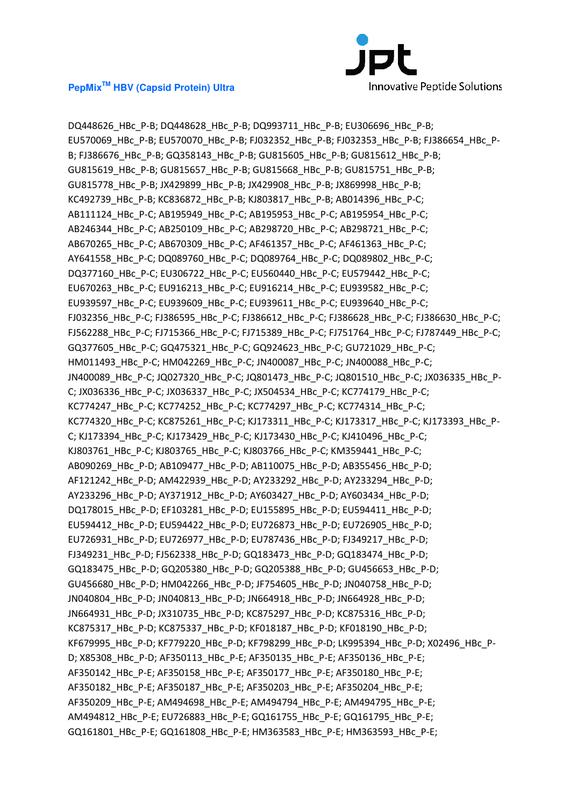

DQ448626\_HBc\_P-B; DQ448628\_HBc\_P-B; DQ993711\_HBc\_P-B; EU306696\_HBc\_P-B; EU570069\_HBc\_P-B; EU570070\_HBc\_P-B; FJ032352\_HBc\_P-B; FJ032353\_HBc\_P-B; FJ386654\_HBc\_P-B; FJ386676\_HBc\_P-B; GQ358143\_HBc\_P-B; GU815605\_HBc\_P-B; GU815612\_HBc\_P-B; GU815619\_HBc\_P-B; GU815657\_HBc\_P-B; GU815668\_HBc\_P-B; GU815751\_HBc\_P-B; GU815778\_HBc\_P-B; JX429899\_HBc\_P-B; JX429908\_HBc\_P-B; JX869998\_HBc\_P-B; KC492739\_HBc\_P-B; KC836872\_HBc\_P-B; KJ803817\_HBc\_P-B; AB014396\_HBc\_P-C; AB111124 HBc P-C; AB195949 HBc P-C; AB195953 HBc P-C; AB195954 HBc P-C; AB246344\_HBc\_P-C; AB250109\_HBc\_P-C; AB298720\_HBc\_P-C; AB298721\_HBc\_P-C; AB670265\_HBc\_P-C; AB670309\_HBc\_P-C; AF461357\_HBc\_P-C; AF461363\_HBc\_P-C; AY641558\_HBc\_P-C; DQ089760\_HBc\_P-C; DQ089764\_HBc\_P-C; DQ089802\_HBc\_P-C; DQ377160\_HBc\_P-C; EU306722\_HBc\_P-C; EU560440\_HBc\_P-C; EU579442\_HBc\_P-C; EU670263\_HBc\_P-C; EU916213\_HBc\_P-C; EU916214\_HBc\_P-C; EU939582\_HBc\_P-C; EU939597\_HBc\_P-C; EU939609\_HBc\_P-C; EU939611\_HBc\_P-C; EU939640\_HBc\_P-C; FJ032356\_HBc\_P-C; FJ386595\_HBc\_P-C; FJ386612\_HBc\_P-C; FJ386628\_HBc\_P-C; FJ386630\_HBc\_P-C; FJ562288\_HBc\_P-C; FJ715366\_HBc\_P-C; FJ715389\_HBc\_P-C; FJ751764\_HBc\_P-C; FJ787449\_HBc\_P-C; GQ377605\_HBc\_P-C; GQ475321\_HBc\_P-C; GQ924623\_HBc\_P-C; GU721029\_HBc\_P-C; HM011493\_HBc\_P-C; HM042269\_HBc\_P-C; JN400087\_HBc\_P-C; JN400088\_HBc\_P-C; JN400089\_HBc\_P-C; JQ027320\_HBc\_P-C; JQ801473\_HBc\_P-C; JQ801510\_HBc\_P-C; JX036335\_HBc\_P-C; JX036336\_HBc\_P-C; JX036337\_HBc\_P-C; JX504534\_HBc\_P-C; KC774179\_HBc\_P-C; KC774247\_HBc\_P-C; KC774252\_HBc\_P-C; KC774297\_HBc\_P-C; KC774314\_HBc\_P-C; KC774320\_HBc\_P-C; KC875261\_HBc\_P-C; KJ173311\_HBc\_P-C; KJ173317\_HBc\_P-C; KJ173393\_HBc\_P-C; KJ173394 HBc P-C; KJ173429 HBc P-C; KJ173430 HBc P-C; KJ410496 HBc P-C; KJ803761\_HBc\_P-C; KJ803765\_HBc\_P-C; KJ803766\_HBc\_P-C; KM359441\_HBc\_P-C; AB090269\_HBc\_P-D; AB109477\_HBc\_P-D; AB110075\_HBc\_P-D; AB355456\_HBc\_P-D; AF121242\_HBc\_P-D; AM422939\_HBc\_P-D; AY233292\_HBc\_P-D; AY233294\_HBc\_P-D; AY233296\_HBc\_P-D; AY371912\_HBc\_P-D; AY603427\_HBc\_P-D; AY603434\_HBc\_P-D; DQ178015\_HBc\_P-D; EF103281\_HBc\_P-D; EU155895\_HBc\_P-D; EU594411\_HBc\_P-D; EU594412\_HBc\_P-D; EU594422\_HBc\_P-D; EU726873\_HBc\_P-D; EU726905\_HBc\_P-D; EU726931\_HBc\_P-D; EU726977\_HBc\_P-D; EU787436\_HBc\_P-D; FJ349217\_HBc\_P-D; FJ349231\_HBc\_P-D; FJ562338\_HBc\_P-D; GQ183473\_HBc\_P-D; GQ183474\_HBc\_P-D; GQ183475\_HBc\_P-D; GQ205380\_HBc\_P-D; GQ205388\_HBc\_P-D; GU456653\_HBc\_P-D; GU456680\_HBc\_P-D; HM042266\_HBc\_P-D; JF754605\_HBc\_P-D; JN040758\_HBc\_P-D; JN040804 HBc P-D; JN040813 HBc P-D; JN664918 HBc P-D; JN664928 HBc P-D; JN664931\_HBc\_P-D; JX310735\_HBc\_P-D; KC875297\_HBc\_P-D; KC875316\_HBc\_P-D; KC875317\_HBc\_P-D; KC875337\_HBc\_P-D; KF018187\_HBc\_P-D; KF018190\_HBc\_P-D; KF679995\_HBc\_P-D; KF779220\_HBc\_P-D; KF798299\_HBc\_P-D; LK995394\_HBc\_P-D; X02496\_HBc\_P-D; X85308\_HBc\_P-D; AF350113\_HBc\_P-E; AF350135\_HBc\_P-E; AF350136\_HBc\_P-E; AF350142\_HBc\_P-E; AF350158\_HBc\_P-E; AF350177\_HBc\_P-E; AF350180\_HBc\_P-E; AF350182\_HBc\_P-E; AF350187\_HBc\_P-E; AF350203\_HBc\_P-E; AF350204\_HBc\_P-E; AF350209\_HBc\_P-E; AM494698\_HBc\_P-E; AM494794\_HBc\_P-E; AM494795\_HBc\_P-E; AM494812\_HBc\_P-E; EU726883\_HBc\_P-E; GQ161755\_HBc\_P-E; GQ161795\_HBc\_P-E; GQ161801\_HBc\_P-E; GQ161808\_HBc\_P-E; HM363583\_HBc\_P-E; HM363593\_HBc\_P-E;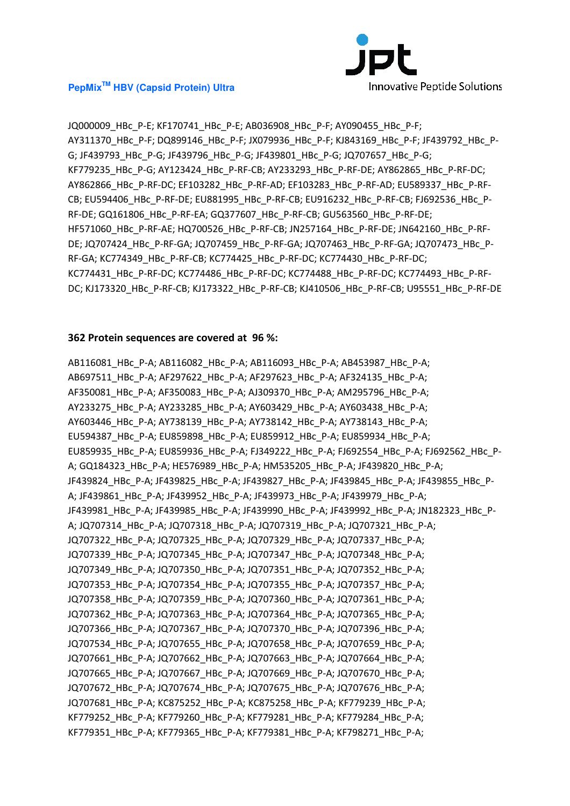

JQ000009\_HBc\_P-E; KF170741\_HBc\_P-E; AB036908\_HBc\_P-F; AY090455\_HBc\_P-F; AY311370\_HBc\_P-F; DQ899146\_HBc\_P-F; JX079936\_HBc\_P-F; KJ843169\_HBc\_P-F; JF439792\_HBc\_P-G; JF439793\_HBc\_P-G; JF439796\_HBc\_P-G; JF439801\_HBc\_P-G; JQ707657\_HBc\_P-G; KF779235\_HBc\_P-G; AY123424\_HBc\_P-RF-CB; AY233293\_HBc\_P-RF-DE; AY862865\_HBc\_P-RF-DC; AY862866\_HBc\_P-RF-DC; EF103282\_HBc\_P-RF-AD; EF103283\_HBc\_P-RF-AD; EU589337\_HBc\_P-RF-CB; EU594406\_HBc\_P-RF-DE; EU881995\_HBc\_P-RF-CB; EU916232\_HBc\_P-RF-CB; FJ692536\_HBc\_P-RF-DE; GQ161806\_HBc\_P-RF-EA; GQ377607\_HBc\_P-RF-CB; GU563560\_HBc\_P-RF-DE; HF571060\_HBc\_P-RF-AE; HQ700526\_HBc\_P-RF-CB; JN257164\_HBc\_P-RF-DE; JN642160\_HBc\_P-RF-DE; JQ707424\_HBc\_P-RF-GA; JQ707459\_HBc\_P-RF-GA; JQ707463\_HBc\_P-RF-GA; JQ707473\_HBc\_P-RF-GA; KC774349\_HBc\_P-RF-CB; KC774425\_HBc\_P-RF-DC; KC774430\_HBc\_P-RF-DC; KC774431\_HBc\_P-RF-DC; KC774486\_HBc\_P-RF-DC; KC774488\_HBc\_P-RF-DC; KC774493\_HBc\_P-RF-DC; KJ173320\_HBc\_P-RF-CB; KJ173322\_HBc\_P-RF-CB; KJ410506\_HBc\_P-RF-CB; U95551\_HBc\_P-RF-DE

#### **362 Protein sequences are covered at 96 %:**

AB116081\_HBc\_P-A; AB116082\_HBc\_P-A; AB116093\_HBc\_P-A; AB453987\_HBc\_P-A; AB697511\_HBc\_P-A; AF297622\_HBc\_P-A; AF297623\_HBc\_P-A; AF324135\_HBc\_P-A; AF350081\_HBc\_P-A; AF350083\_HBc\_P-A; AJ309370\_HBc\_P-A; AM295796\_HBc\_P-A; AY233275\_HBc\_P-A; AY233285\_HBc\_P-A; AY603429\_HBc\_P-A; AY603438\_HBc\_P-A; AY603446\_HBc\_P-A; AY738139\_HBc\_P-A; AY738142\_HBc\_P-A; AY738143\_HBc\_P-A; EU594387\_HBc\_P-A; EU859898\_HBc\_P-A; EU859912\_HBc\_P-A; EU859934\_HBc\_P-A; EU859935\_HBc\_P-A; EU859936\_HBc\_P-A; FJ349222\_HBc\_P-A; FJ692554\_HBc\_P-A; FJ692562\_HBc\_P-A; GQ184323\_HBc\_P-A; HE576989\_HBc\_P-A; HM535205\_HBc\_P-A; JF439820\_HBc\_P-A; JF439824 HBc P-A; JF439825 HBc P-A; JF439827 HBc P-A; JF439845 HBc P-A; JF439855 HBc P-A; JF439861\_HBc\_P-A; JF439952\_HBc\_P-A; JF439973\_HBc\_P-A; JF439979\_HBc\_P-A; JF439981\_HBc\_P-A; JF439985\_HBc\_P-A; JF439990\_HBc\_P-A; JF439992\_HBc\_P-A; JN182323\_HBc\_P-A; JQ707314\_HBc\_P-A; JQ707318\_HBc\_P-A; JQ707319\_HBc\_P-A; JQ707321\_HBc\_P-A; JQ707322\_HBc\_P-A; JQ707325\_HBc\_P-A; JQ707329\_HBc\_P-A; JQ707337\_HBc\_P-A; JQ707339\_HBc\_P-A; JQ707345\_HBc\_P-A; JQ707347\_HBc\_P-A; JQ707348\_HBc\_P-A; JQ707349\_HBc\_P-A; JQ707350\_HBc\_P-A; JQ707351\_HBc\_P-A; JQ707352\_HBc\_P-A; JQ707353\_HBc\_P-A; JQ707354\_HBc\_P-A; JQ707355\_HBc\_P-A; JQ707357\_HBc\_P-A; JQ707358\_HBc\_P-A; JQ707359\_HBc\_P-A; JQ707360\_HBc\_P-A; JQ707361\_HBc\_P-A; JQ707362\_HBc\_P-A; JQ707363\_HBc\_P-A; JQ707364\_HBc\_P-A; JQ707365\_HBc\_P-A; JQ707366\_HBc\_P-A; JQ707367\_HBc\_P-A; JQ707370\_HBc\_P-A; JQ707396\_HBc\_P-A; JQ707534\_HBc\_P-A; JQ707655\_HBc\_P-A; JQ707658\_HBc\_P-A; JQ707659\_HBc\_P-A; JQ707661\_HBc\_P-A; JQ707662\_HBc\_P-A; JQ707663\_HBc\_P-A; JQ707664\_HBc\_P-A; JQ707665\_HBc\_P-A; JQ707667\_HBc\_P-A; JQ707669\_HBc\_P-A; JQ707670\_HBc\_P-A; JQ707672\_HBc\_P-A; JQ707674\_HBc\_P-A; JQ707675\_HBc\_P-A; JQ707676\_HBc\_P-A; JQ707681\_HBc\_P-A; KC875252\_HBc\_P-A; KC875258\_HBc\_P-A; KF779239\_HBc\_P-A; KF779252\_HBc\_P-A; KF779260\_HBc\_P-A; KF779281\_HBc\_P-A; KF779284\_HBc\_P-A; KF779351\_HBc\_P-A; KF779365\_HBc\_P-A; KF779381\_HBc\_P-A; KF798271\_HBc\_P-A;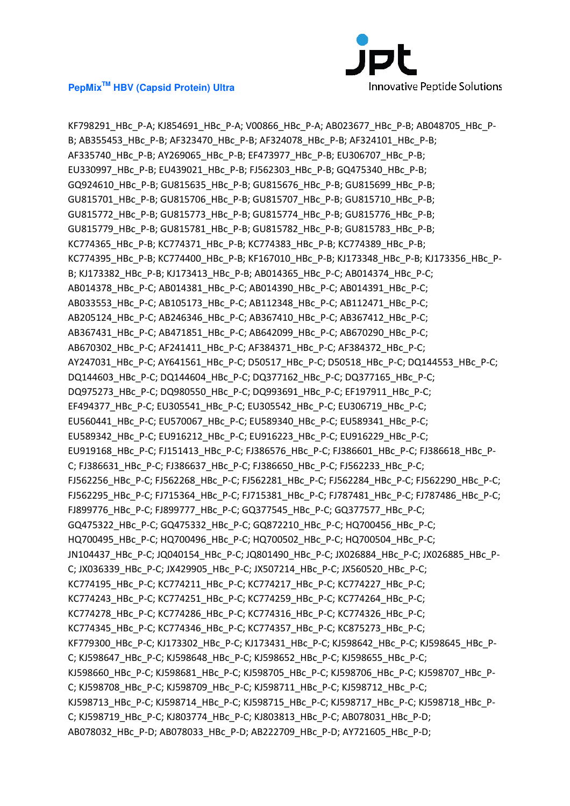

KF798291\_HBc\_P-A; KJ854691\_HBc\_P-A; V00866\_HBc\_P-A; AB023677\_HBc\_P-B; AB048705\_HBc\_P-B; AB355453\_HBc\_P-B; AF323470\_HBc\_P-B; AF324078\_HBc\_P-B; AF324101\_HBc\_P-B; AF335740\_HBc\_P-B; AY269065\_HBc\_P-B; EF473977\_HBc\_P-B; EU306707\_HBc\_P-B; EU330997\_HBc\_P-B; EU439021\_HBc\_P-B; FJ562303\_HBc\_P-B; GQ475340\_HBc\_P-B; GQ924610\_HBc\_P-B; GU815635\_HBc\_P-B; GU815676\_HBc\_P-B; GU815699\_HBc\_P-B; GU815701\_HBc\_P-B; GU815706\_HBc\_P-B; GU815707\_HBc\_P-B; GU815710\_HBc\_P-B; GU815772\_HBc\_P-B; GU815773\_HBc\_P-B; GU815774\_HBc\_P-B; GU815776\_HBc\_P-B; GU815779\_HBc\_P-B; GU815781\_HBc\_P-B; GU815782\_HBc\_P-B; GU815783\_HBc\_P-B; KC774365\_HBc\_P-B; KC774371\_HBc\_P-B; KC774383\_HBc\_P-B; KC774389\_HBc\_P-B; KC774395\_HBc\_P-B; KC774400\_HBc\_P-B; KF167010\_HBc\_P-B; KJ173348\_HBc\_P-B; KJ173356\_HBc\_P-B; KJ173382\_HBc\_P-B; KJ173413\_HBc\_P-B; AB014365\_HBc\_P-C; AB014374\_HBc\_P-C; AB014378\_HBc\_P-C; AB014381\_HBc\_P-C; AB014390\_HBc\_P-C; AB014391\_HBc\_P-C; AB033553\_HBc\_P-C; AB105173\_HBc\_P-C; AB112348\_HBc\_P-C; AB112471\_HBc\_P-C; AB205124\_HBc\_P-C; AB246346\_HBc\_P-C; AB367410\_HBc\_P-C; AB367412\_HBc\_P-C; AB367431\_HBc\_P-C; AB471851\_HBc\_P-C; AB642099\_HBc\_P-C; AB670290\_HBc\_P-C; AB670302\_HBc\_P-C; AF241411\_HBc\_P-C; AF384371\_HBc\_P-C; AF384372\_HBc\_P-C; AY247031\_HBc\_P-C; AY641561\_HBc\_P-C; D50517\_HBc\_P-C; D50518\_HBc\_P-C; DQ144553\_HBc\_P-C; DQ144603\_HBc\_P-C; DQ144604\_HBc\_P-C; DQ377162\_HBc\_P-C; DQ377165\_HBc\_P-C; DQ975273\_HBc\_P-C; DQ980550\_HBc\_P-C; DQ993691\_HBc\_P-C; EF197911\_HBc\_P-C; EF494377\_HBc\_P-C; EU305541\_HBc\_P-C; EU305542\_HBc\_P-C; EU306719\_HBc\_P-C; EU560441\_HBc\_P-C; EU570067\_HBc\_P-C; EU589340\_HBc\_P-C; EU589341\_HBc\_P-C; EU589342\_HBc\_P-C; EU916212\_HBc\_P-C; EU916223\_HBc\_P-C; EU916229\_HBc\_P-C; EU919168 HBc P-C; FJ151413 HBc P-C; FJ386576 HBc P-C; FJ386601 HBc P-C; FJ386618 HBc P-C; FJ386631\_HBc\_P-C; FJ386637\_HBc\_P-C; FJ386650\_HBc\_P-C; FJ562233\_HBc\_P-C; FJ562256\_HBc\_P-C; FJ562268\_HBc\_P-C; FJ562281\_HBc\_P-C; FJ562284\_HBc\_P-C; FJ562290\_HBc\_P-C; FJ562295\_HBc\_P-C; FJ715364\_HBc\_P-C; FJ715381\_HBc\_P-C; FJ787481\_HBc\_P-C; FJ787486\_HBc\_P-C; FJ899776\_HBc\_P-C; FJ899777\_HBc\_P-C; GQ377545\_HBc\_P-C; GQ377577\_HBc\_P-C; GQ475322\_HBc\_P-C; GQ475332\_HBc\_P-C; GQ872210\_HBc\_P-C; HQ700456\_HBc\_P-C; HQ700495\_HBc\_P-C; HQ700496\_HBc\_P-C; HQ700502\_HBc\_P-C; HQ700504\_HBc\_P-C; JN104437\_HBc\_P-C; JQ040154\_HBc\_P-C; JQ801490\_HBc\_P-C; JX026884\_HBc\_P-C; JX026885\_HBc\_P-C; JX036339\_HBc\_P-C; JX429905\_HBc\_P-C; JX507214\_HBc\_P-C; JX560520\_HBc\_P-C; KC774195\_HBc\_P-C; KC774211\_HBc\_P-C; KC774217\_HBc\_P-C; KC774227\_HBc\_P-C; KC774243\_HBc\_P-C; KC774251\_HBc\_P-C; KC774259\_HBc\_P-C; KC774264\_HBc\_P-C; KC774278\_HBc\_P-C; KC774286\_HBc\_P-C; KC774316\_HBc\_P-C; KC774326\_HBc\_P-C; KC774345\_HBc\_P-C; KC774346\_HBc\_P-C; KC774357\_HBc\_P-C; KC875273\_HBc\_P-C; KF779300\_HBc\_P-C; KJ173302\_HBc\_P-C; KJ173431\_HBc\_P-C; KJ598642\_HBc\_P-C; KJ598645\_HBc\_P-C; KJ598647\_HBc\_P-C; KJ598648\_HBc\_P-C; KJ598652\_HBc\_P-C; KJ598655\_HBc\_P-C; KJ598660\_HBc\_P-C; KJ598681\_HBc\_P-C; KJ598705\_HBc\_P-C; KJ598706\_HBc\_P-C; KJ598707\_HBc\_P-C; KJ598708\_HBc\_P-C; KJ598709\_HBc\_P-C; KJ598711\_HBc\_P-C; KJ598712\_HBc\_P-C; KJ598713\_HBc\_P-C; KJ598714\_HBc\_P-C; KJ598715\_HBc\_P-C; KJ598717\_HBc\_P-C; KJ598718\_HBc\_P-C; KJ598719\_HBc\_P-C; KJ803774\_HBc\_P-C; KJ803813\_HBc\_P-C; AB078031\_HBc\_P-D; AB078032\_HBc\_P-D; AB078033\_HBc\_P-D; AB222709\_HBc\_P-D; AY721605\_HBc\_P-D;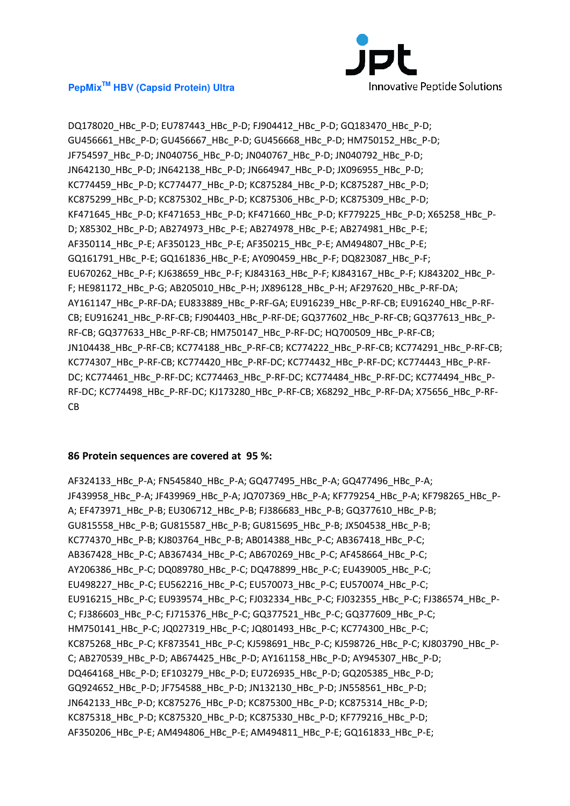

DQ178020\_HBc\_P-D; EU787443\_HBc\_P-D; FJ904412\_HBc\_P-D; GQ183470\_HBc\_P-D; GU456661\_HBc\_P-D; GU456667\_HBc\_P-D; GU456668\_HBc\_P-D; HM750152\_HBc\_P-D; JF754597\_HBc\_P-D; JN040756\_HBc\_P-D; JN040767\_HBc\_P-D; JN040792\_HBc\_P-D; JN642130\_HBc\_P-D; JN642138\_HBc\_P-D; JN664947\_HBc\_P-D; JX096955\_HBc\_P-D; KC774459\_HBc\_P-D; KC774477\_HBc\_P-D; KC875284\_HBc\_P-D; KC875287\_HBc\_P-D; KC875299\_HBc\_P-D; KC875302\_HBc\_P-D; KC875306\_HBc\_P-D; KC875309\_HBc\_P-D; KF471645\_HBc\_P-D; KF471653\_HBc\_P-D; KF471660\_HBc\_P-D; KF779225\_HBc\_P-D; X65258\_HBc\_P-D; X85302\_HBc\_P-D; AB274973\_HBc\_P-E; AB274978\_HBc\_P-E; AB274981\_HBc\_P-E; AF350114 HBc P-E; AF350123 HBc P-E; AF350215 HBc P-E; AM494807 HBc P-E; GQ161791\_HBc\_P-E; GQ161836\_HBc\_P-E; AY090459\_HBc\_P-F; DQ823087\_HBc\_P-F; EU670262\_HBc\_P-F; KJ638659\_HBc\_P-F; KJ843163\_HBc\_P-F; KJ843167\_HBc\_P-F; KJ843202\_HBc\_P-F; HE981172\_HBc\_P-G; AB205010\_HBc\_P-H; JX896128\_HBc\_P-H; AF297620\_HBc\_P-RF-DA; AY161147\_HBc\_P-RF-DA; EU833889\_HBc\_P-RF-GA; EU916239\_HBc\_P-RF-CB; EU916240\_HBc\_P-RF-CB; EU916241\_HBc\_P-RF-CB; FJ904403\_HBc\_P-RF-DE; GQ377602\_HBc\_P-RF-CB; GQ377613\_HBc\_P-RF-CB; GQ377633\_HBc\_P-RF-CB; HM750147\_HBc\_P-RF-DC; HQ700509\_HBc\_P-RF-CB; JN104438\_HBc\_P-RF-CB; KC774188\_HBc\_P-RF-CB; KC774222\_HBc\_P-RF-CB; KC774291\_HBc\_P-RF-CB; KC774307\_HBc\_P-RF-CB; KC774420\_HBc\_P-RF-DC; KC774432\_HBc\_P-RF-DC; KC774443\_HBc\_P-RF-DC; KC774461\_HBc\_P-RF-DC; KC774463\_HBc\_P-RF-DC; KC774484\_HBc\_P-RF-DC; KC774494\_HBc\_P-RF-DC; KC774498\_HBc\_P-RF-DC; KJ173280\_HBc\_P-RF-CB; X68292\_HBc\_P-RF-DA; X75656\_HBc\_P-RF-CB

#### **86 Protein sequences are covered at 95 %:**

AF324133\_HBc\_P-A; FN545840\_HBc\_P-A; GQ477495\_HBc\_P-A; GQ477496\_HBc\_P-A; JF439958\_HBc\_P-A; JF439969\_HBc\_P-A; JQ707369\_HBc\_P-A; KF779254\_HBc\_P-A; KF798265\_HBc\_P-A; EF473971\_HBc\_P-B; EU306712\_HBc\_P-B; FJ386683\_HBc\_P-B; GQ377610\_HBc\_P-B; GU815558\_HBc\_P-B; GU815587\_HBc\_P-B; GU815695\_HBc\_P-B; JX504538\_HBc\_P-B; KC774370\_HBc\_P-B; KJ803764\_HBc\_P-B; AB014388\_HBc\_P-C; AB367418\_HBc\_P-C; AB367428\_HBc\_P-C; AB367434\_HBc\_P-C; AB670269\_HBc\_P-C; AF458664\_HBc\_P-C; AY206386\_HBc\_P-C; DQ089780\_HBc\_P-C; DQ478899\_HBc\_P-C; EU439005\_HBc\_P-C; EU498227\_HBc\_P-C; EU562216\_HBc\_P-C; EU570073\_HBc\_P-C; EU570074\_HBc\_P-C; EU916215\_HBc\_P-C; EU939574\_HBc\_P-C; FJ032334\_HBc\_P-C; FJ032355\_HBc\_P-C; FJ386574\_HBc\_P-C; FJ386603\_HBc\_P-C; FJ715376\_HBc\_P-C; GQ377521\_HBc\_P-C; GQ377609\_HBc\_P-C; HM750141\_HBc\_P-C; JQ027319\_HBc\_P-C; JQ801493\_HBc\_P-C; KC774300\_HBc\_P-C; KC875268\_HBc\_P-C; KF873541\_HBc\_P-C; KJ598691\_HBc\_P-C; KJ598726\_HBc\_P-C; KJ803790\_HBc\_P-C; AB270539\_HBc\_P-D; AB674425\_HBc\_P-D; AY161158\_HBc\_P-D; AY945307\_HBc\_P-D; DQ464168\_HBc\_P-D; EF103279\_HBc\_P-D; EU726935\_HBc\_P-D; GQ205385\_HBc\_P-D; GQ924652\_HBc\_P-D; JF754588\_HBc\_P-D; JN132130\_HBc\_P-D; JN558561\_HBc\_P-D; JN642133\_HBc\_P-D; KC875276\_HBc\_P-D; KC875300\_HBc\_P-D; KC875314\_HBc\_P-D; KC875318\_HBc\_P-D; KC875320\_HBc\_P-D; KC875330\_HBc\_P-D; KF779216\_HBc\_P-D; AF350206\_HBc\_P-E; AM494806\_HBc\_P-E; AM494811\_HBc\_P-E; GQ161833\_HBc\_P-E;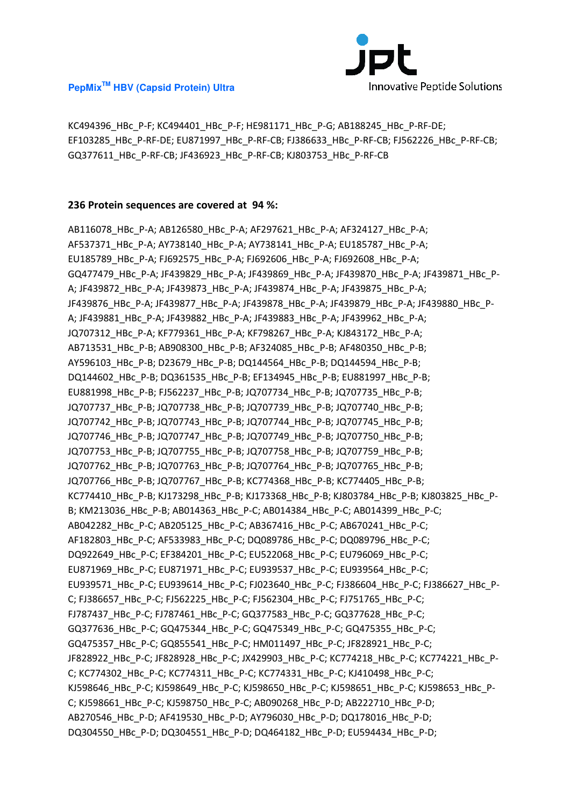

KC494396\_HBc\_P-F; KC494401\_HBc\_P-F; HE981171\_HBc\_P-G; AB188245\_HBc\_P-RF-DE; EF103285\_HBc\_P-RF-DE; EU871997\_HBc\_P-RF-CB; FJ386633\_HBc\_P-RF-CB; FJ562226\_HBc\_P-RF-CB; GQ377611\_HBc\_P-RF-CB; JF436923\_HBc\_P-RF-CB; KJ803753\_HBc\_P-RF-CB

#### **236 Protein sequences are covered at 94 %:**

AB116078\_HBc\_P-A; AB126580\_HBc\_P-A; AF297621\_HBc\_P-A; AF324127\_HBc\_P-A; AF537371\_HBc\_P-A; AY738140\_HBc\_P-A; AY738141\_HBc\_P-A; EU185787\_HBc\_P-A; EU185789\_HBc\_P-A; FJ692575\_HBc\_P-A; FJ692606\_HBc\_P-A; FJ692608\_HBc\_P-A; GQ477479\_HBc\_P-A; JF439829\_HBc\_P-A; JF439869\_HBc\_P-A; JF439870\_HBc\_P-A; JF439871\_HBc\_P-A; JF439872\_HBc\_P-A; JF439873\_HBc\_P-A; JF439874\_HBc\_P-A; JF439875\_HBc\_P-A; JF439876\_HBc\_P-A; JF439877\_HBc\_P-A; JF439878\_HBc\_P-A; JF439879\_HBc\_P-A; JF439880\_HBc\_P-A; JF439881\_HBc\_P-A; JF439882\_HBc\_P-A; JF439883\_HBc\_P-A; JF439962\_HBc\_P-A; JQ707312\_HBc\_P-A; KF779361\_HBc\_P-A; KF798267\_HBc\_P-A; KJ843172\_HBc\_P-A; AB713531\_HBc\_P-B; AB908300\_HBc\_P-B; AF324085\_HBc\_P-B; AF480350\_HBc\_P-B; AY596103\_HBc\_P-B; D23679\_HBc\_P-B; DQ144564\_HBc\_P-B; DQ144594\_HBc\_P-B; DQ144602\_HBc\_P-B; DQ361535\_HBc\_P-B; EF134945\_HBc\_P-B; EU881997\_HBc\_P-B; EU881998\_HBc\_P-B; FJ562237\_HBc\_P-B; JQ707734\_HBc\_P-B; JQ707735\_HBc\_P-B; JQ707737\_HBc\_P-B; JQ707738\_HBc\_P-B; JQ707739\_HBc\_P-B; JQ707740\_HBc\_P-B; JQ707742\_HBc\_P-B; JQ707743\_HBc\_P-B; JQ707744\_HBc\_P-B; JQ707745\_HBc\_P-B; JQ707746\_HBc\_P-B; JQ707747\_HBc\_P-B; JQ707749\_HBc\_P-B; JQ707750\_HBc\_P-B; JQ707753\_HBc\_P-B; JQ707755\_HBc\_P-B; JQ707758\_HBc\_P-B; JQ707759\_HBc\_P-B; JQ707762 HBc P-B; JQ707763 HBc P-B; JQ707764 HBc P-B; JQ707765 HBc P-B; JQ707766\_HBc\_P-B; JQ707767\_HBc\_P-B; KC774368\_HBc\_P-B; KC774405\_HBc\_P-B; KC774410\_HBc\_P-B; KJ173298\_HBc\_P-B; KJ173368\_HBc\_P-B; KJ803784\_HBc\_P-B; KJ803825\_HBc\_P-B; KM213036\_HBc\_P-B; AB014363\_HBc\_P-C; AB014384\_HBc\_P-C; AB014399\_HBc\_P-C; AB042282\_HBc\_P-C; AB205125\_HBc\_P-C; AB367416\_HBc\_P-C; AB670241\_HBc\_P-C; AF182803\_HBc\_P-C; AF533983\_HBc\_P-C; DQ089786\_HBc\_P-C; DQ089796\_HBc\_P-C; DQ922649\_HBc\_P-C; EF384201\_HBc\_P-C; EU522068\_HBc\_P-C; EU796069\_HBc\_P-C; EU871969\_HBc\_P-C; EU871971\_HBc\_P-C; EU939537\_HBc\_P-C; EU939564\_HBc\_P-C; EU939571\_HBc\_P-C; EU939614\_HBc\_P-C; FJ023640\_HBc\_P-C; FJ386604\_HBc\_P-C; FJ386627\_HBc\_P-C; FJ386657\_HBc\_P-C; FJ562225\_HBc\_P-C; FJ562304\_HBc\_P-C; FJ751765\_HBc\_P-C; FJ787437\_HBc\_P-C; FJ787461\_HBc\_P-C; GQ377583\_HBc\_P-C; GQ377628\_HBc\_P-C; GQ377636\_HBc\_P-C; GQ475344\_HBc\_P-C; GQ475349\_HBc\_P-C; GQ475355\_HBc\_P-C; GQ475357\_HBc\_P-C; GQ855541\_HBc\_P-C; HM011497\_HBc\_P-C; JF828921\_HBc\_P-C; JF828922\_HBc\_P-C; JF828928\_HBc\_P-C; JX429903\_HBc\_P-C; KC774218\_HBc\_P-C; KC774221\_HBc\_P-C; KC774302\_HBc\_P-C; KC774311\_HBc\_P-C; KC774331\_HBc\_P-C; KJ410498\_HBc\_P-C; KJ598646\_HBc\_P-C; KJ598649\_HBc\_P-C; KJ598650\_HBc\_P-C; KJ598651\_HBc\_P-C; KJ598653\_HBc\_P-C; KJ598661\_HBc\_P-C; KJ598750\_HBc\_P-C; AB090268\_HBc\_P-D; AB222710\_HBc\_P-D; AB270546\_HBc\_P-D; AF419530\_HBc\_P-D; AY796030\_HBc\_P-D; DQ178016\_HBc\_P-D; DQ304550\_HBc\_P-D; DQ304551\_HBc\_P-D; DQ464182\_HBc\_P-D; EU594434\_HBc\_P-D;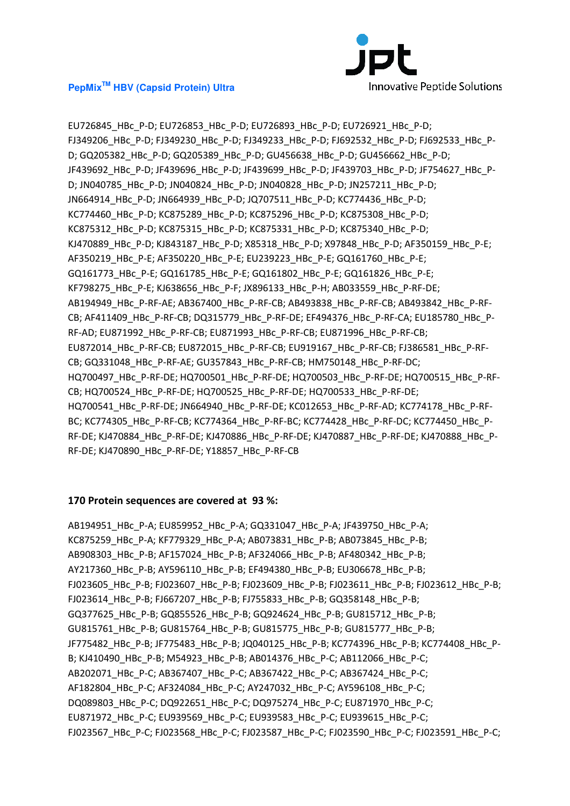

EU726845\_HBc\_P-D; EU726853\_HBc\_P-D; EU726893\_HBc\_P-D; EU726921\_HBc\_P-D; FJ349206\_HBc\_P-D; FJ349230\_HBc\_P-D; FJ349233\_HBc\_P-D; FJ692532\_HBc\_P-D; FJ692533\_HBc\_P-D; GQ205382\_HBc\_P-D; GQ205389\_HBc\_P-D; GU456638\_HBc\_P-D; GU456662\_HBc\_P-D; JF439692\_HBc\_P-D; JF439696\_HBc\_P-D; JF439699\_HBc\_P-D; JF439703\_HBc\_P-D; JF754627\_HBc\_P-D; JN040785\_HBc\_P-D; JN040824\_HBc\_P-D; JN040828\_HBc\_P-D; JN257211\_HBc\_P-D; JN664914\_HBc\_P-D; JN664939\_HBc\_P-D; JQ707511\_HBc\_P-D; KC774436\_HBc\_P-D; KC774460\_HBc\_P-D; KC875289\_HBc\_P-D; KC875296\_HBc\_P-D; KC875308\_HBc\_P-D; KC875312\_HBc\_P-D; KC875315\_HBc\_P-D; KC875331\_HBc\_P-D; KC875340\_HBc\_P-D; KJ470889\_HBc\_P-D; KJ843187\_HBc\_P-D; X85318\_HBc\_P-D; X97848\_HBc\_P-D; AF350159\_HBc\_P-E; AF350219\_HBc\_P-E; AF350220\_HBc\_P-E; EU239223\_HBc\_P-E; GQ161760\_HBc\_P-E; GQ161773\_HBc\_P-E; GQ161785\_HBc\_P-E; GQ161802\_HBc\_P-E; GQ161826\_HBc\_P-E; KF798275\_HBc\_P-E; KJ638656\_HBc\_P-F; JX896133\_HBc\_P-H; AB033559\_HBc\_P-RF-DE; AB194949\_HBc\_P-RF-AE; AB367400\_HBc\_P-RF-CB; AB493838\_HBc\_P-RF-CB; AB493842\_HBc\_P-RF-CB; AF411409\_HBc\_P-RF-CB; DQ315779\_HBc\_P-RF-DE; EF494376\_HBc\_P-RF-CA; EU185780\_HBc\_P-RF-AD; EU871992\_HBc\_P-RF-CB; EU871993\_HBc\_P-RF-CB; EU871996\_HBc\_P-RF-CB; EU872014\_HBc\_P-RF-CB; EU872015\_HBc\_P-RF-CB; EU919167\_HBc\_P-RF-CB; FJ386581\_HBc\_P-RF-CB; GQ331048\_HBc\_P-RF-AE; GU357843\_HBc\_P-RF-CB; HM750148\_HBc\_P-RF-DC; HQ700497\_HBc\_P-RF-DE; HQ700501\_HBc\_P-RF-DE; HQ700503\_HBc\_P-RF-DE; HQ700515\_HBc\_P-RF-CB; HQ700524\_HBc\_P-RF-DE; HQ700525\_HBc\_P-RF-DE; HQ700533\_HBc\_P-RF-DE; HQ700541\_HBc\_P-RF-DE; JN664940\_HBc\_P-RF-DE; KC012653\_HBc\_P-RF-AD; KC774178\_HBc\_P-RF-BC; KC774305\_HBc\_P-RF-CB; KC774364\_HBc\_P-RF-BC; KC774428\_HBc\_P-RF-DC; KC774450\_HBc\_P-RF-DE; KJ470884\_HBc\_P-RF-DE; KJ470886\_HBc\_P-RF-DE; KJ470887\_HBc\_P-RF-DE; KJ470888\_HBc\_P-RF-DE; KJ470890\_HBc\_P-RF-DE; Y18857\_HBc\_P-RF-CB

#### **170 Protein sequences are covered at 93 %:**

AB194951\_HBc\_P-A; EU859952\_HBc\_P-A; GQ331047\_HBc\_P-A; JF439750\_HBc\_P-A; KC875259\_HBc\_P-A; KF779329\_HBc\_P-A; AB073831\_HBc\_P-B; AB073845\_HBc\_P-B; AB908303\_HBc\_P-B; AF157024\_HBc\_P-B; AF324066\_HBc\_P-B; AF480342\_HBc\_P-B; AY217360\_HBc\_P-B; AY596110\_HBc\_P-B; EF494380\_HBc\_P-B; EU306678\_HBc\_P-B; FJ023605\_HBc\_P-B; FJ023607\_HBc\_P-B; FJ023609\_HBc\_P-B; FJ023611\_HBc\_P-B; FJ023612\_HBc\_P-B; FJ023614\_HBc\_P-B; FJ667207\_HBc\_P-B; FJ755833\_HBc\_P-B; GQ358148\_HBc\_P-B; GQ377625\_HBc\_P-B; GQ855526\_HBc\_P-B; GQ924624\_HBc\_P-B; GU815712\_HBc\_P-B; GU815761\_HBc\_P-B; GU815764\_HBc\_P-B; GU815775\_HBc\_P-B; GU815777\_HBc\_P-B; JF775482\_HBc\_P-B; JF775483\_HBc\_P-B; JQ040125\_HBc\_P-B; KC774396\_HBc\_P-B; KC774408\_HBc\_P-B; KJ410490\_HBc\_P-B; M54923\_HBc\_P-B; AB014376\_HBc\_P-C; AB112066\_HBc\_P-C; AB202071\_HBc\_P-C; AB367407\_HBc\_P-C; AB367422\_HBc\_P-C; AB367424\_HBc\_P-C; AF182804 HBc P-C; AF324084 HBc P-C; AY247032 HBc P-C; AY596108 HBc P-C; DQ089803\_HBc\_P-C; DQ922651\_HBc\_P-C; DQ975274\_HBc\_P-C; EU871970\_HBc\_P-C; EU871972\_HBc\_P-C; EU939569\_HBc\_P-C; EU939583\_HBc\_P-C; EU939615\_HBc\_P-C; FJ023567\_HBc\_P-C; FJ023568\_HBc\_P-C; FJ023587\_HBc\_P-C; FJ023590\_HBc\_P-C; FJ023591\_HBc\_P-C;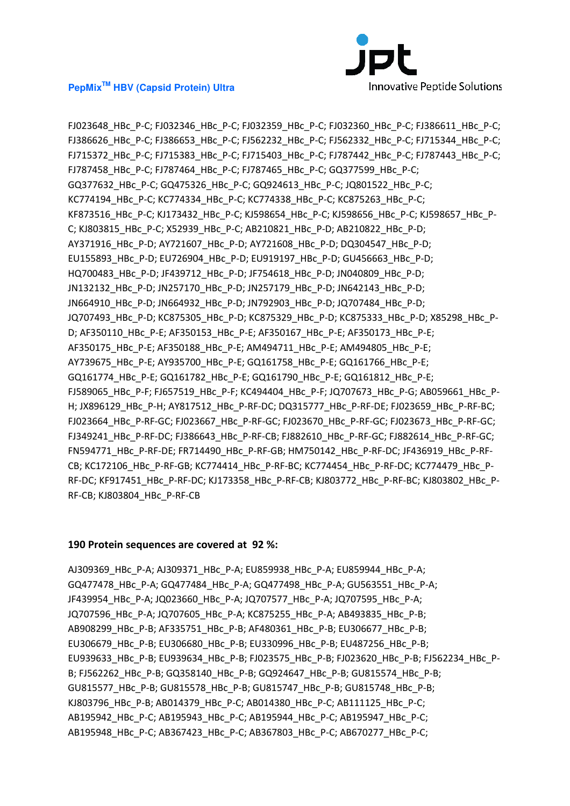

FJ023648\_HBc\_P-C; FJ032346\_HBc\_P-C; FJ032359\_HBc\_P-C; FJ032360\_HBc\_P-C; FJ386611\_HBc\_P-C; FJ386626\_HBc\_P-C; FJ386653\_HBc\_P-C; FJ562232\_HBc\_P-C; FJ562332\_HBc\_P-C; FJ715344\_HBc\_P-C; FJ715372\_HBc\_P-C; FJ715383\_HBc\_P-C; FJ715403\_HBc\_P-C; FJ787442\_HBc\_P-C; FJ787443\_HBc\_P-C; FJ787458\_HBc\_P-C; FJ787464\_HBc\_P-C; FJ787465\_HBc\_P-C; GQ377599\_HBc\_P-C; GQ377632\_HBc\_P-C; GQ475326\_HBc\_P-C; GQ924613\_HBc\_P-C; JQ801522\_HBc\_P-C; KC774194\_HBc\_P-C; KC774334\_HBc\_P-C; KC774338\_HBc\_P-C; KC875263\_HBc\_P-C; KF873516\_HBc\_P-C; KJ173432\_HBc\_P-C; KJ598654\_HBc\_P-C; KJ598656\_HBc\_P-C; KJ598657\_HBc\_P-C; KJ803815\_HBc\_P-C; X52939\_HBc\_P-C; AB210821\_HBc\_P-D; AB210822\_HBc\_P-D; AY371916\_HBc\_P-D; AY721607\_HBc\_P-D; AY721608\_HBc\_P-D; DQ304547\_HBc\_P-D; EU155893\_HBc\_P-D; EU726904\_HBc\_P-D; EU919197\_HBc\_P-D; GU456663\_HBc\_P-D; HQ700483\_HBc\_P-D; JF439712\_HBc\_P-D; JF754618\_HBc\_P-D; JN040809\_HBc\_P-D; JN132132\_HBc\_P-D; JN257170\_HBc\_P-D; JN257179\_HBc\_P-D; JN642143\_HBc\_P-D; JN664910\_HBc\_P-D; JN664932\_HBc\_P-D; JN792903\_HBc\_P-D; JQ707484\_HBc\_P-D; JQ707493\_HBc\_P-D; KC875305\_HBc\_P-D; KC875329\_HBc\_P-D; KC875333\_HBc\_P-D; X85298\_HBc\_P-D; AF350110\_HBc\_P-E; AF350153\_HBc\_P-E; AF350167\_HBc\_P-E; AF350173\_HBc\_P-E; AF350175\_HBc\_P-E; AF350188\_HBc\_P-E; AM494711\_HBc\_P-E; AM494805\_HBc\_P-E; AY739675\_HBc\_P-E; AY935700\_HBc\_P-E; GQ161758\_HBc\_P-E; GQ161766\_HBc\_P-E; GQ161774\_HBc\_P-E; GQ161782\_HBc\_P-E; GQ161790\_HBc\_P-E; GQ161812\_HBc\_P-E; FJ589065\_HBc\_P-F; FJ657519\_HBc\_P-F; KC494404\_HBc\_P-F; JQ707673\_HBc\_P-G; AB059661\_HBc\_P-H; JX896129\_HBc\_P-H; AY817512\_HBc\_P-RF-DC; DQ315777\_HBc\_P-RF-DE; FJ023659\_HBc\_P-RF-BC; FJ023664 HBc P-RF-GC; FJ023667 HBc P-RF-GC; FJ023670 HBc P-RF-GC; FJ023673 HBc P-RF-GC; FJ349241\_HBc\_P-RF-DC; FJ386643\_HBc\_P-RF-CB; FJ882610\_HBc\_P-RF-GC; FJ882614\_HBc\_P-RF-GC; FN594771\_HBc\_P-RF-DE; FR714490\_HBc\_P-RF-GB; HM750142\_HBc\_P-RF-DC; JF436919\_HBc\_P-RF-CB; KC172106\_HBc\_P-RF-GB; KC774414\_HBc\_P-RF-BC; KC774454\_HBc\_P-RF-DC; KC774479\_HBc\_P-RF-DC; KF917451\_HBc\_P-RF-DC; KJ173358\_HBc\_P-RF-CB; KJ803772\_HBc\_P-RF-BC; KJ803802\_HBc\_P-RF-CB; KJ803804\_HBc\_P-RF-CB

#### **190 Protein sequences are covered at 92 %:**

AJ309369\_HBc\_P-A; AJ309371\_HBc\_P-A; EU859938\_HBc\_P-A; EU859944\_HBc\_P-A; GQ477478\_HBc\_P-A; GQ477484\_HBc\_P-A; GQ477498\_HBc\_P-A; GU563551\_HBc\_P-A; JF439954\_HBc\_P-A; JQ023660\_HBc\_P-A; JQ707577\_HBc\_P-A; JQ707595\_HBc\_P-A; JQ707596\_HBc\_P-A; JQ707605\_HBc\_P-A; KC875255\_HBc\_P-A; AB493835\_HBc\_P-B; AB908299\_HBc\_P-B; AF335751\_HBc\_P-B; AF480361\_HBc\_P-B; EU306677\_HBc\_P-B; EU306679\_HBc\_P-B; EU306680\_HBc\_P-B; EU330996\_HBc\_P-B; EU487256\_HBc\_P-B; EU939633 HBc P-B; EU939634 HBc P-B; FJ023575 HBc P-B; FJ023620 HBc P-B; FJ562234 HBc P-B; FJ562262\_HBc\_P-B; GQ358140\_HBc\_P-B; GQ924647\_HBc\_P-B; GU815574\_HBc\_P-B; GU815577\_HBc\_P-B; GU815578\_HBc\_P-B; GU815747\_HBc\_P-B; GU815748\_HBc\_P-B; KJ803796\_HBc\_P-B; AB014379\_HBc\_P-C; AB014380\_HBc\_P-C; AB111125\_HBc\_P-C; AB195942\_HBc\_P-C; AB195943\_HBc\_P-C; AB195944\_HBc\_P-C; AB195947\_HBc\_P-C; AB195948\_HBc\_P-C; AB367423\_HBc\_P-C; AB367803\_HBc\_P-C; AB670277\_HBc\_P-C;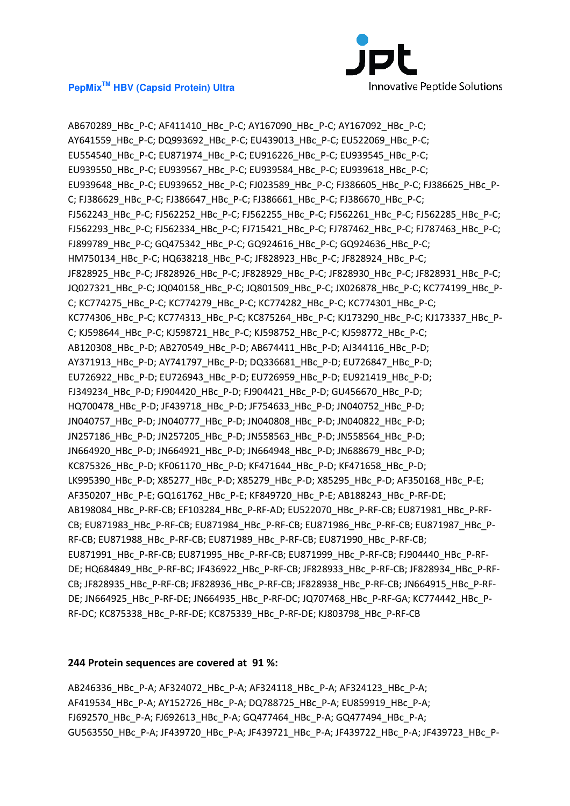

AB670289\_HBc\_P-C; AF411410\_HBc\_P-C; AY167090\_HBc\_P-C; AY167092\_HBc\_P-C; AY641559\_HBc\_P-C; DQ993692\_HBc\_P-C; EU439013\_HBc\_P-C; EU522069\_HBc\_P-C; EU554540\_HBc\_P-C; EU871974\_HBc\_P-C; EU916226\_HBc\_P-C; EU939545\_HBc\_P-C; EU939550\_HBc\_P-C; EU939567\_HBc\_P-C; EU939584\_HBc\_P-C; EU939618\_HBc\_P-C; EU939648\_HBc\_P-C; EU939652\_HBc\_P-C; FJ023589\_HBc\_P-C; FJ386605\_HBc\_P-C; FJ386625\_HBc\_P-C; FJ386629\_HBc\_P-C; FJ386647\_HBc\_P-C; FJ386661\_HBc\_P-C; FJ386670\_HBc\_P-C; FJ562243\_HBc\_P-C; FJ562252\_HBc\_P-C; FJ562255\_HBc\_P-C; FJ562261\_HBc\_P-C; FJ562285\_HBc\_P-C; FJ562293\_HBc\_P-C; FJ562334\_HBc\_P-C; FJ715421\_HBc\_P-C; FJ787462\_HBc\_P-C; FJ787463\_HBc\_P-C; FJ899789\_HBc\_P-C; GQ475342\_HBc\_P-C; GQ924616\_HBc\_P-C; GQ924636\_HBc\_P-C; HM750134\_HBc\_P-C; HQ638218\_HBc\_P-C; JF828923\_HBc\_P-C; JF828924\_HBc\_P-C; JF828925\_HBc\_P-C; JF828926\_HBc\_P-C; JF828929\_HBc\_P-C; JF828930\_HBc\_P-C; JF828931\_HBc\_P-C; JQ027321\_HBc\_P-C; JQ040158\_HBc\_P-C; JQ801509\_HBc\_P-C; JX026878\_HBc\_P-C; KC774199\_HBc\_P-C; KC774275\_HBc\_P-C; KC774279\_HBc\_P-C; KC774282\_HBc\_P-C; KC774301\_HBc\_P-C; KC774306\_HBc\_P-C; KC774313\_HBc\_P-C; KC875264\_HBc\_P-C; KJ173290\_HBc\_P-C; KJ173337\_HBc\_P-C; KJ598644\_HBc\_P-C; KJ598721\_HBc\_P-C; KJ598752\_HBc\_P-C; KJ598772\_HBc\_P-C; AB120308\_HBc\_P-D; AB270549\_HBc\_P-D; AB674411\_HBc\_P-D; AJ344116\_HBc\_P-D; AY371913\_HBc\_P-D; AY741797\_HBc\_P-D; DQ336681\_HBc\_P-D; EU726847\_HBc\_P-D; EU726922\_HBc\_P-D; EU726943\_HBc\_P-D; EU726959\_HBc\_P-D; EU921419\_HBc\_P-D; FJ349234\_HBc\_P-D; FJ904420\_HBc\_P-D; FJ904421\_HBc\_P-D; GU456670\_HBc\_P-D; HQ700478\_HBc\_P-D; JF439718\_HBc\_P-D; JF754633\_HBc\_P-D; JN040752\_HBc\_P-D; JN040757\_HBc\_P-D; JN040777\_HBc\_P-D; JN040808\_HBc\_P-D; JN040822\_HBc\_P-D; JN257186\_HBc\_P-D; JN257205\_HBc\_P-D; JN558563\_HBc\_P-D; JN558564\_HBc\_P-D; JN664920\_HBc\_P-D; JN664921\_HBc\_P-D; JN664948\_HBc\_P-D; JN688679\_HBc\_P-D; KC875326\_HBc\_P-D; KF061170\_HBc\_P-D; KF471644\_HBc\_P-D; KF471658\_HBc\_P-D; LK995390\_HBc\_P-D; X85277\_HBc\_P-D; X85279\_HBc\_P-D; X85295\_HBc\_P-D; AF350168\_HBc\_P-E; AF350207\_HBc\_P-E; GQ161762\_HBc\_P-E; KF849720\_HBc\_P-E; AB188243\_HBc\_P-RF-DE; AB198084\_HBc\_P-RF-CB; EF103284\_HBc\_P-RF-AD; EU522070\_HBc\_P-RF-CB; EU871981\_HBc\_P-RF-CB; EU871983\_HBc\_P-RF-CB; EU871984\_HBc\_P-RF-CB; EU871986\_HBc\_P-RF-CB; EU871987\_HBc\_P-RF-CB; EU871988\_HBc\_P-RF-CB; EU871989\_HBc\_P-RF-CB; EU871990\_HBc\_P-RF-CB; EU871991\_HBc\_P-RF-CB; EU871995\_HBc\_P-RF-CB; EU871999\_HBc\_P-RF-CB; FJ904440\_HBc\_P-RF-DE; HQ684849\_HBc\_P-RF-BC; JF436922\_HBc\_P-RF-CB; JF828933\_HBc\_P-RF-CB; JF828934\_HBc\_P-RF-CB; JF828935\_HBc\_P-RF-CB; JF828936\_HBc\_P-RF-CB; JF828938\_HBc\_P-RF-CB; JN664915\_HBc\_P-RF-DE; JN664925\_HBc\_P-RF-DE; JN664935\_HBc\_P-RF-DC; JQ707468\_HBc\_P-RF-GA; KC774442\_HBc\_P-RF-DC; KC875338\_HBc\_P-RF-DE; KC875339\_HBc\_P-RF-DE; KJ803798\_HBc\_P-RF-CB

#### **244 Protein sequences are covered at 91 %:**

AB246336\_HBc\_P-A; AF324072\_HBc\_P-A; AF324118\_HBc\_P-A; AF324123\_HBc\_P-A; AF419534 HBc P-A; AY152726 HBc P-A; DQ788725 HBc P-A; EU859919 HBc P-A; FJ692570\_HBc\_P-A; FJ692613\_HBc\_P-A; GQ477464\_HBc\_P-A; GQ477494\_HBc\_P-A; GU563550\_HBc\_P-A; JF439720\_HBc\_P-A; JF439721\_HBc\_P-A; JF439722\_HBc\_P-A; JF439723\_HBc\_P-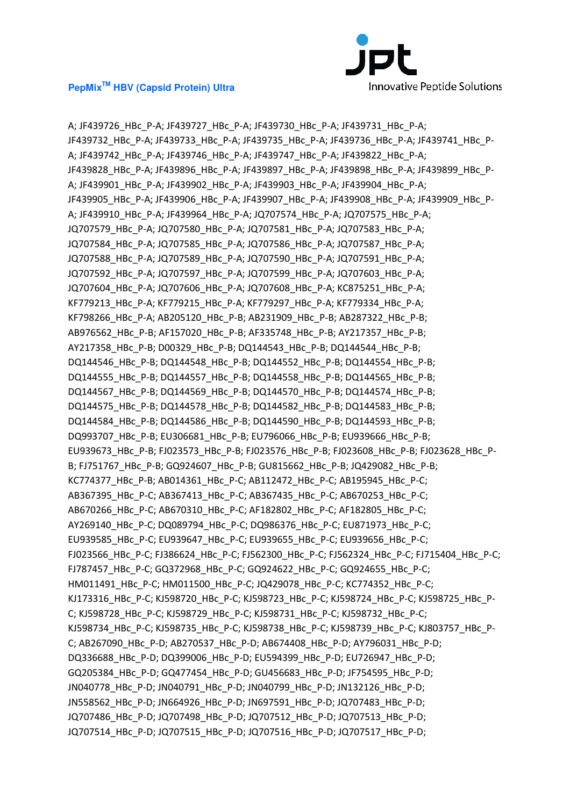

A; JF439726\_HBc\_P-A; JF439727\_HBc\_P-A; JF439730\_HBc\_P-A; JF439731\_HBc\_P-A; JF439732\_HBc\_P-A; JF439733\_HBc\_P-A; JF439735\_HBc\_P-A; JF439736\_HBc\_P-A; JF439741\_HBc\_P-A; JF439742\_HBc\_P-A; JF439746\_HBc\_P-A; JF439747\_HBc\_P-A; JF439822\_HBc\_P-A; JF439828\_HBc\_P-A; JF439896\_HBc\_P-A; JF439897\_HBc\_P-A; JF439898\_HBc\_P-A; JF439899\_HBc\_P-A; JF439901\_HBc\_P-A; JF439902\_HBc\_P-A; JF439903\_HBc\_P-A; JF439904\_HBc\_P-A; JF439905\_HBc\_P-A; JF439906\_HBc\_P-A; JF439907\_HBc\_P-A; JF439908\_HBc\_P-A; JF439909\_HBc\_P-A; JF439910\_HBc\_P-A; JF439964\_HBc\_P-A; JQ707574\_HBc\_P-A; JQ707575\_HBc\_P-A; JQ707579\_HBc\_P-A; JQ707580\_HBc\_P-A; JQ707581\_HBc\_P-A; JQ707583\_HBc\_P-A; JQ707584 HBc P-A; JQ707585 HBc P-A; JQ707586 HBc P-A; JQ707587 HBc P-A; JQ707588\_HBc\_P-A; JQ707589\_HBc\_P-A; JQ707590\_HBc\_P-A; JQ707591\_HBc\_P-A; JQ707592\_HBc\_P-A; JQ707597\_HBc\_P-A; JQ707599\_HBc\_P-A; JQ707603\_HBc\_P-A; JQ707604 HBc P-A; JQ707606 HBc P-A; JQ707608 HBc P-A; KC875251 HBc P-A; KF779213\_HBc\_P-A; KF779215\_HBc\_P-A; KF779297\_HBc\_P-A; KF779334\_HBc\_P-A; KF798266\_HBc\_P-A; AB205120\_HBc\_P-B; AB231909\_HBc\_P-B; AB287322\_HBc\_P-B; AB976562\_HBc\_P-B; AF157020\_HBc\_P-B; AF335748\_HBc\_P-B; AY217357\_HBc\_P-B; AY217358\_HBc\_P-B; D00329\_HBc\_P-B; DQ144543\_HBc\_P-B; DQ144544\_HBc\_P-B; DQ144546\_HBc\_P-B; DQ144548\_HBc\_P-B; DQ144552\_HBc\_P-B; DQ144554\_HBc\_P-B; DQ144555\_HBc\_P-B; DQ144557\_HBc\_P-B; DQ144558\_HBc\_P-B; DQ144565\_HBc\_P-B; DQ144567\_HBc\_P-B; DQ144569\_HBc\_P-B; DQ144570\_HBc\_P-B; DQ144574\_HBc\_P-B; DQ144575\_HBc\_P-B; DQ144578\_HBc\_P-B; DQ144582\_HBc\_P-B; DQ144583\_HBc\_P-B; DQ144584\_HBc\_P-B; DQ144586\_HBc\_P-B; DQ144590\_HBc\_P-B; DQ144593\_HBc\_P-B; DQ993707\_HBc\_P-B; EU306681\_HBc\_P-B; EU796066\_HBc\_P-B; EU939666\_HBc\_P-B; EU939673 HBc P-B; FJ023573 HBc P-B; FJ023576 HBc P-B; FJ023608 HBc P-B; FJ023628 HBc P-B; FJ751767\_HBc\_P-B; GQ924607\_HBc\_P-B; GU815662\_HBc\_P-B; JQ429082\_HBc\_P-B; KC774377\_HBc\_P-B; AB014361\_HBc\_P-C; AB112472\_HBc\_P-C; AB195945\_HBc\_P-C; AB367395\_HBc\_P-C; AB367413\_HBc\_P-C; AB367435\_HBc\_P-C; AB670253\_HBc\_P-C; AB670266\_HBc\_P-C; AB670310\_HBc\_P-C; AF182802\_HBc\_P-C; AF182805\_HBc\_P-C; AY269140\_HBc\_P-C; DQ089794\_HBc\_P-C; DQ986376\_HBc\_P-C; EU871973\_HBc\_P-C; EU939585\_HBc\_P-C; EU939647\_HBc\_P-C; EU939655\_HBc\_P-C; EU939656\_HBc\_P-C; FJ023566\_HBc\_P-C; FJ386624\_HBc\_P-C; FJ562300\_HBc\_P-C; FJ562324\_HBc\_P-C; FJ715404\_HBc\_P-C; FJ787457\_HBc\_P-C; GQ372968\_HBc\_P-C; GQ924622\_HBc\_P-C; GQ924655\_HBc\_P-C; HM011491\_HBc\_P-C; HM011500\_HBc\_P-C; JQ429078\_HBc\_P-C; KC774352\_HBc\_P-C; KJ173316\_HBc\_P-C; KJ598720\_HBc\_P-C; KJ598723\_HBc\_P-C; KJ598724\_HBc\_P-C; KJ598725\_HBc\_P-C; KJ598728\_HBc\_P-C; KJ598729\_HBc\_P-C; KJ598731\_HBc\_P-C; KJ598732\_HBc\_P-C; KJ598734 HBc P-C; KJ598735 HBc P-C; KJ598738 HBc P-C; KJ598739 HBc P-C; KJ803757 HBc P-C; AB267090\_HBc\_P-D; AB270537\_HBc\_P-D; AB674408\_HBc\_P-D; AY796031\_HBc\_P-D; DQ336688\_HBc\_P-D; DQ399006\_HBc\_P-D; EU594399\_HBc\_P-D; EU726947\_HBc\_P-D; GQ205384\_HBc\_P-D; GQ477454\_HBc\_P-D; GU456683\_HBc\_P-D; JF754595\_HBc\_P-D; JN040778\_HBc\_P-D; JN040791\_HBc\_P-D; JN040799\_HBc\_P-D; JN132126\_HBc\_P-D; JN558562\_HBc\_P-D; JN664926\_HBc\_P-D; JN697591\_HBc\_P-D; JQ707483\_HBc\_P-D; JQ707486\_HBc\_P-D; JQ707498\_HBc\_P-D; JQ707512\_HBc\_P-D; JQ707513\_HBc\_P-D; JQ707514 HBc P-D; JQ707515 HBc P-D; JQ707516 HBc P-D; JQ707517 HBc P-D;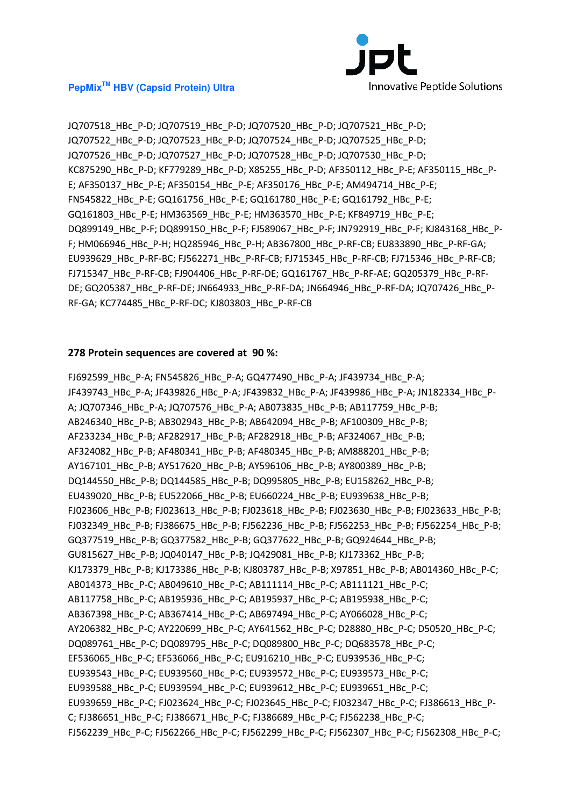

JQ707518\_HBc\_P-D; JQ707519\_HBc\_P-D; JQ707520\_HBc\_P-D; JQ707521\_HBc\_P-D; JQ707522\_HBc\_P-D; JQ707523\_HBc\_P-D; JQ707524\_HBc\_P-D; JQ707525\_HBc\_P-D; JQ707526\_HBc\_P-D; JQ707527\_HBc\_P-D; JQ707528\_HBc\_P-D; JQ707530\_HBc\_P-D; KC875290\_HBc\_P-D; KF779289\_HBc\_P-D; X85255\_HBc\_P-D; AF350112\_HBc\_P-E; AF350115\_HBc\_P-E; AF350137\_HBc\_P-E; AF350154\_HBc\_P-E; AF350176\_HBc\_P-E; AM494714\_HBc\_P-E; FN545822\_HBc\_P-E; GQ161756\_HBc\_P-E; GQ161780\_HBc\_P-E; GQ161792\_HBc\_P-E; GQ161803\_HBc\_P-E; HM363569\_HBc\_P-E; HM363570\_HBc\_P-E; KF849719\_HBc\_P-E; DQ899149\_HBc\_P-F; DQ899150\_HBc\_P-F; FJ589067\_HBc\_P-F; JN792919\_HBc\_P-F; KJ843168\_HBc\_P-F; HM066946\_HBc\_P-H; HQ285946\_HBc\_P-H; AB367800\_HBc\_P-RF-CB; EU833890\_HBc\_P-RF-GA; EU939629\_HBc\_P-RF-BC; FJ562271\_HBc\_P-RF-CB; FJ715345\_HBc\_P-RF-CB; FJ715346\_HBc\_P-RF-CB; FJ715347\_HBc\_P-RF-CB; FJ904406\_HBc\_P-RF-DE; GQ161767\_HBc\_P-RF-AE; GQ205379\_HBc\_P-RF-DE; GQ205387\_HBc\_P-RF-DE; JN664933\_HBc\_P-RF-DA; JN664946\_HBc\_P-RF-DA; JQ707426\_HBc\_P-RF-GA; KC774485\_HBc\_P-RF-DC; KJ803803\_HBc\_P-RF-CB

#### **278 Protein sequences are covered at 90 %:**

FJ692599\_HBc\_P-A; FN545826\_HBc\_P-A; GQ477490\_HBc\_P-A; JF439734\_HBc\_P-A; JF439743 HBc P-A; JF439826 HBc P-A; JF439832 HBc P-A; JF439986 HBc P-A; JN182334 HBc P-A; JQ707346\_HBc\_P-A; JQ707576\_HBc\_P-A; AB073835\_HBc\_P-B; AB117759\_HBc\_P-B; AB246340\_HBc\_P-B; AB302943\_HBc\_P-B; AB642094\_HBc\_P-B; AF100309\_HBc\_P-B; AF233234 HBc P-B; AF282917 HBc P-B; AF282918 HBc P-B; AF324067 HBc P-B; AF324082\_HBc\_P-B; AF480341\_HBc\_P-B; AF480345\_HBc\_P-B; AM888201\_HBc\_P-B; AY167101\_HBc\_P-B; AY517620\_HBc\_P-B; AY596106\_HBc\_P-B; AY800389\_HBc\_P-B; DQ144550\_HBc\_P-B; DQ144585\_HBc\_P-B; DQ995805\_HBc\_P-B; EU158262\_HBc\_P-B; EU439020\_HBc\_P-B; EU522066\_HBc\_P-B; EU660224\_HBc\_P-B; EU939638\_HBc\_P-B; FJ023606 HBc P-B; FJ023613 HBc P-B; FJ023618 HBc P-B; FJ023630 HBc P-B; FJ023633 HBc P-B; FJ032349\_HBc\_P-B; FJ386675\_HBc\_P-B; FJ562236\_HBc\_P-B; FJ562253\_HBc\_P-B; FJ562254\_HBc\_P-B; GQ377519\_HBc\_P-B; GQ377582\_HBc\_P-B; GQ377622\_HBc\_P-B; GQ924644\_HBc\_P-B; GU815627\_HBc\_P-B; JQ040147\_HBc\_P-B; JQ429081\_HBc\_P-B; KJ173362\_HBc\_P-B; KJ173379\_HBc\_P-B; KJ173386\_HBc\_P-B; KJ803787\_HBc\_P-B; X97851\_HBc\_P-B; AB014360\_HBc\_P-C; AB014373\_HBc\_P-C; AB049610\_HBc\_P-C; AB111114\_HBc\_P-C; AB111121\_HBc\_P-C; AB117758\_HBc\_P-C; AB195936\_HBc\_P-C; AB195937\_HBc\_P-C; AB195938\_HBc\_P-C; AB367398\_HBc\_P-C; AB367414\_HBc\_P-C; AB697494\_HBc\_P-C; AY066028\_HBc\_P-C; AY206382\_HBc\_P-C; AY220699\_HBc\_P-C; AY641562\_HBc\_P-C; D28880\_HBc\_P-C; D50520\_HBc\_P-C; DQ089761\_HBc\_P-C; DQ089795\_HBc\_P-C; DQ089800\_HBc\_P-C; DQ683578\_HBc\_P-C; EF536065\_HBc\_P-C; EF536066\_HBc\_P-C; EU916210\_HBc\_P-C; EU939536\_HBc\_P-C; EU939543\_HBc\_P-C; EU939560\_HBc\_P-C; EU939572\_HBc\_P-C; EU939573\_HBc\_P-C; EU939588\_HBc\_P-C; EU939594\_HBc\_P-C; EU939612\_HBc\_P-C; EU939651\_HBc\_P-C; EU939659\_HBc\_P-C; FJ023624\_HBc\_P-C; FJ023645\_HBc\_P-C; FJ032347\_HBc\_P-C; FJ386613\_HBc\_P-C; FJ386651\_HBc\_P-C; FJ386671\_HBc\_P-C; FJ386689\_HBc\_P-C; FJ562238\_HBc\_P-C; FJ562239\_HBc\_P-C; FJ562266\_HBc\_P-C; FJ562299\_HBc\_P-C; FJ562307\_HBc\_P-C; FJ562308\_HBc\_P-C;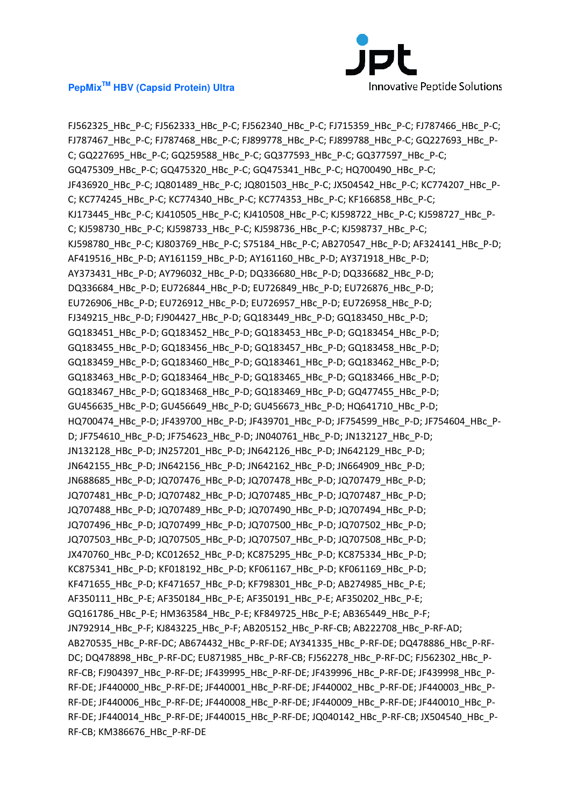

FJ562325\_HBc\_P-C; FJ562333\_HBc\_P-C; FJ562340\_HBc\_P-C; FJ715359\_HBc\_P-C; FJ787466\_HBc\_P-C; FJ787467\_HBc\_P-C; FJ787468\_HBc\_P-C; FJ899778\_HBc\_P-C; FJ899788\_HBc\_P-C; GQ227693\_HBc\_P-C; GQ227695\_HBc\_P-C; GQ259588\_HBc\_P-C; GQ377593\_HBc\_P-C; GQ377597\_HBc\_P-C; GQ475309\_HBc\_P-C; GQ475320\_HBc\_P-C; GQ475341\_HBc\_P-C; HQ700490\_HBc\_P-C; JF436920\_HBc\_P-C; JQ801489\_HBc\_P-C; JQ801503\_HBc\_P-C; JX504542\_HBc\_P-C; KC774207\_HBc\_P-C; KC774245\_HBc\_P-C; KC774340\_HBc\_P-C; KC774353\_HBc\_P-C; KF166858\_HBc\_P-C; KJ173445\_HBc\_P-C; KJ410505\_HBc\_P-C; KJ410508\_HBc\_P-C; KJ598722\_HBc\_P-C; KJ598727\_HBc\_P-C; KJ598730\_HBc\_P-C; KJ598733\_HBc\_P-C; KJ598736\_HBc\_P-C; KJ598737\_HBc\_P-C; KJ598780\_HBc\_P-C; KJ803769\_HBc\_P-C; S75184\_HBc\_P-C; AB270547\_HBc\_P-D; AF324141\_HBc\_P-D; AF419516\_HBc\_P-D; AY161159\_HBc\_P-D; AY161160\_HBc\_P-D; AY371918\_HBc\_P-D; AY373431\_HBc\_P-D; AY796032\_HBc\_P-D; DQ336680\_HBc\_P-D; DQ336682\_HBc\_P-D; DQ336684\_HBc\_P-D; EU726844\_HBc\_P-D; EU726849\_HBc\_P-D; EU726876\_HBc\_P-D; EU726906\_HBc\_P-D; EU726912\_HBc\_P-D; EU726957\_HBc\_P-D; EU726958\_HBc\_P-D; FJ349215\_HBc\_P-D; FJ904427\_HBc\_P-D; GQ183449\_HBc\_P-D; GQ183450\_HBc\_P-D; GQ183451\_HBc\_P-D; GQ183452\_HBc\_P-D; GQ183453\_HBc\_P-D; GQ183454\_HBc\_P-D; GQ183455\_HBc\_P-D; GQ183456\_HBc\_P-D; GQ183457\_HBc\_P-D; GQ183458\_HBc\_P-D; GQ183459\_HBc\_P-D; GQ183460\_HBc\_P-D; GQ183461\_HBc\_P-D; GQ183462\_HBc\_P-D; GQ183463\_HBc\_P-D; GQ183464\_HBc\_P-D; GQ183465\_HBc\_P-D; GQ183466\_HBc\_P-D; GQ183467\_HBc\_P-D; GQ183468\_HBc\_P-D; GQ183469\_HBc\_P-D; GQ477455\_HBc\_P-D; GU456635\_HBc\_P-D; GU456649\_HBc\_P-D; GU456673\_HBc\_P-D; HQ641710\_HBc\_P-D; HQ700474 HBc P-D; JF439700 HBc P-D; JF439701 HBc P-D; JF754599 HBc P-D; JF754604 HBc P-D; JF754610\_HBc\_P-D; JF754623\_HBc\_P-D; JN040761\_HBc\_P-D; JN132127\_HBc\_P-D; JN132128\_HBc\_P-D; JN257201\_HBc\_P-D; JN642126\_HBc\_P-D; JN642129\_HBc\_P-D; JN642155\_HBc\_P-D; JN642156\_HBc\_P-D; JN642162\_HBc\_P-D; JN664909\_HBc\_P-D; JN688685\_HBc\_P-D; JQ707476\_HBc\_P-D; JQ707478\_HBc\_P-D; JQ707479\_HBc\_P-D; JQ707481\_HBc\_P-D; JQ707482\_HBc\_P-D; JQ707485\_HBc\_P-D; JQ707487\_HBc\_P-D; JQ707488\_HBc\_P-D; JQ707489\_HBc\_P-D; JQ707490\_HBc\_P-D; JQ707494\_HBc\_P-D; JQ707496\_HBc\_P-D; JQ707499\_HBc\_P-D; JQ707500\_HBc\_P-D; JQ707502\_HBc\_P-D; JQ707503\_HBc\_P-D; JQ707505\_HBc\_P-D; JQ707507\_HBc\_P-D; JQ707508\_HBc\_P-D; JX470760\_HBc\_P-D; KC012652\_HBc\_P-D; KC875295\_HBc\_P-D; KC875334\_HBc\_P-D; KC875341\_HBc\_P-D; KF018192\_HBc\_P-D; KF061167\_HBc\_P-D; KF061169\_HBc\_P-D; KF471655\_HBc\_P-D; KF471657\_HBc\_P-D; KF798301\_HBc\_P-D; AB274985\_HBc\_P-E; AF350111\_HBc\_P-E; AF350184\_HBc\_P-E; AF350191\_HBc\_P-E; AF350202\_HBc\_P-E; GQ161786\_HBc\_P-E; HM363584\_HBc\_P-E; KF849725\_HBc\_P-E; AB365449\_HBc\_P-F; JN792914 HBc P-F; KJ843225 HBc P-F; AB205152 HBc P-RF-CB; AB222708 HBc P-RF-AD; AB270535\_HBc\_P-RF-DC; AB674432\_HBc\_P-RF-DE; AY341335\_HBc\_P-RF-DE; DQ478886\_HBc\_P-RF-DC; DQ478898\_HBc\_P-RF-DC; EU871985\_HBc\_P-RF-CB; FJ562278\_HBc\_P-RF-DC; FJ562302\_HBc\_P-RF-CB; FJ904397\_HBc\_P-RF-DE; JF439995\_HBc\_P-RF-DE; JF439996\_HBc\_P-RF-DE; JF439998\_HBc\_P-RF-DE; JF440000\_HBc\_P-RF-DE; JF440001\_HBc\_P-RF-DE; JF440002\_HBc\_P-RF-DE; JF440003\_HBc\_P-RF-DE; JF440006\_HBc\_P-RF-DE; JF440008\_HBc\_P-RF-DE; JF440009\_HBc\_P-RF-DE; JF440010\_HBc\_P-RF-DE; JF440014\_HBc\_P-RF-DE; JF440015\_HBc\_P-RF-DE; JQ040142\_HBc\_P-RF-CB; JX504540\_HBc\_P-RF-CB; KM386676\_HBc\_P-RF-DE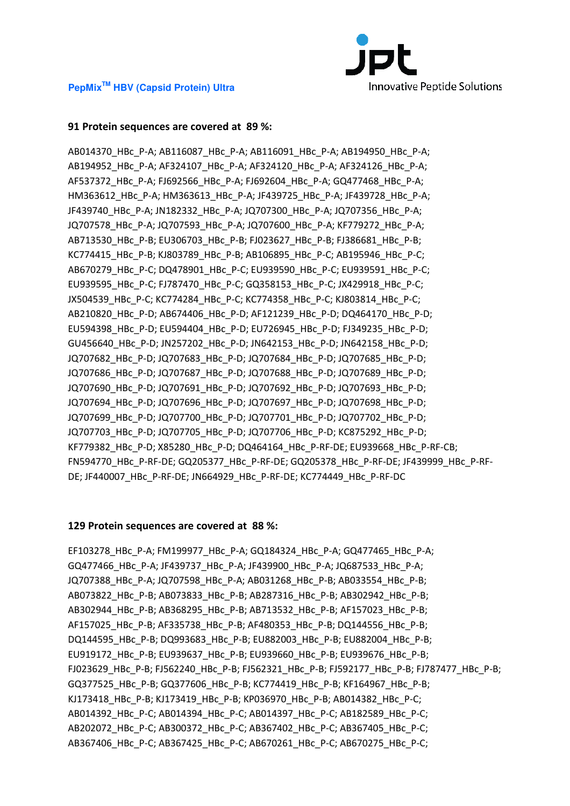

# **91 Protein sequences are covered at 89 %:**

AB014370\_HBc\_P-A; AB116087\_HBc\_P-A; AB116091\_HBc\_P-A; AB194950\_HBc\_P-A; AB194952\_HBc\_P-A; AF324107\_HBc\_P-A; AF324120\_HBc\_P-A; AF324126\_HBc\_P-A; AF537372\_HBc\_P-A; FJ692566\_HBc\_P-A; FJ692604\_HBc\_P-A; GQ477468\_HBc\_P-A; HM363612\_HBc\_P-A; HM363613\_HBc\_P-A; JF439725\_HBc\_P-A; JF439728\_HBc\_P-A; JF439740\_HBc\_P-A; JN182332\_HBc\_P-A; JQ707300\_HBc\_P-A; JQ707356\_HBc\_P-A; JQ707578\_HBc\_P-A; JQ707593\_HBc\_P-A; JQ707600\_HBc\_P-A; KF779272\_HBc\_P-A; AB713530\_HBc\_P-B; EU306703\_HBc\_P-B; FJ023627\_HBc\_P-B; FJ386681\_HBc\_P-B; KC774415\_HBc\_P-B; KJ803789\_HBc\_P-B; AB106895\_HBc\_P-C; AB195946\_HBc\_P-C; AB670279\_HBc\_P-C; DQ478901\_HBc\_P-C; EU939590\_HBc\_P-C; EU939591\_HBc\_P-C; EU939595\_HBc\_P-C; FJ787470\_HBc\_P-C; GQ358153\_HBc\_P-C; JX429918\_HBc\_P-C; JX504539\_HBc\_P-C; KC774284\_HBc\_P-C; KC774358\_HBc\_P-C; KJ803814\_HBc\_P-C; AB210820\_HBc\_P-D; AB674406\_HBc\_P-D; AF121239\_HBc\_P-D; DQ464170\_HBc\_P-D; EU594398\_HBc\_P-D; EU594404\_HBc\_P-D; EU726945\_HBc\_P-D; FJ349235\_HBc\_P-D; GU456640\_HBc\_P-D; JN257202\_HBc\_P-D; JN642153\_HBc\_P-D; JN642158\_HBc\_P-D; JQ707682 HBc P-D; JQ707683 HBc P-D; JQ707684 HBc P-D; JQ707685 HBc P-D; JQ707686\_HBc\_P-D; JQ707687\_HBc\_P-D; JQ707688\_HBc\_P-D; JQ707689\_HBc\_P-D; JQ707690\_HBc\_P-D; JQ707691\_HBc\_P-D; JQ707692\_HBc\_P-D; JQ707693\_HBc\_P-D; JQ707694\_HBc\_P-D; JQ707696\_HBc\_P-D; JQ707697\_HBc\_P-D; JQ707698\_HBc\_P-D; JQ707699\_HBc\_P-D; JQ707700\_HBc\_P-D; JQ707701\_HBc\_P-D; JQ707702\_HBc\_P-D; JQ707703\_HBc\_P-D; JQ707705\_HBc\_P-D; JQ707706\_HBc\_P-D; KC875292\_HBc\_P-D; KF779382\_HBc\_P-D; X85280\_HBc\_P-D; DQ464164\_HBc\_P-RF-DE; EU939668\_HBc\_P-RF-CB; FN594770\_HBc\_P-RF-DE; GQ205377\_HBc\_P-RF-DE; GQ205378\_HBc\_P-RF-DE; JF439999\_HBc\_P-RF-DE; JF440007\_HBc\_P-RF-DE; JN664929\_HBc\_P-RF-DE; KC774449\_HBc\_P-RF-DC

#### **129 Protein sequences are covered at 88 %:**

EF103278\_HBc\_P-A; FM199977\_HBc\_P-A; GQ184324\_HBc\_P-A; GQ477465\_HBc\_P-A; GQ477466\_HBc\_P-A; JF439737\_HBc\_P-A; JF439900\_HBc\_P-A; JQ687533\_HBc\_P-A; JQ707388\_HBc\_P-A; JQ707598\_HBc\_P-A; AB031268\_HBc\_P-B; AB033554\_HBc\_P-B; AB073822\_HBc\_P-B; AB073833\_HBc\_P-B; AB287316\_HBc\_P-B; AB302942\_HBc\_P-B; AB302944\_HBc\_P-B; AB368295\_HBc\_P-B; AB713532\_HBc\_P-B; AF157023\_HBc\_P-B; AF157025\_HBc\_P-B; AF335738\_HBc\_P-B; AF480353\_HBc\_P-B; DQ144556\_HBc\_P-B; DQ144595\_HBc\_P-B; DQ993683\_HBc\_P-B; EU882003\_HBc\_P-B; EU882004\_HBc\_P-B; EU919172\_HBc\_P-B; EU939637\_HBc\_P-B; EU939660\_HBc\_P-B; EU939676\_HBc\_P-B; FJ023629\_HBc\_P-B; FJ562240\_HBc\_P-B; FJ562321\_HBc\_P-B; FJ592177\_HBc\_P-B; FJ787477\_HBc\_P-B; GQ377525\_HBc\_P-B; GQ377606\_HBc\_P-B; KC774419\_HBc\_P-B; KF164967\_HBc\_P-B; KJ173418\_HBc\_P-B; KJ173419\_HBc\_P-B; KP036970\_HBc\_P-B; AB014382\_HBc\_P-C; AB014392\_HBc\_P-C; AB014394\_HBc\_P-C; AB014397\_HBc\_P-C; AB182589\_HBc\_P-C; AB202072\_HBc\_P-C; AB300372\_HBc\_P-C; AB367402\_HBc\_P-C; AB367405\_HBc\_P-C; AB367406\_HBc\_P-C; AB367425\_HBc\_P-C; AB670261\_HBc\_P-C; AB670275\_HBc\_P-C;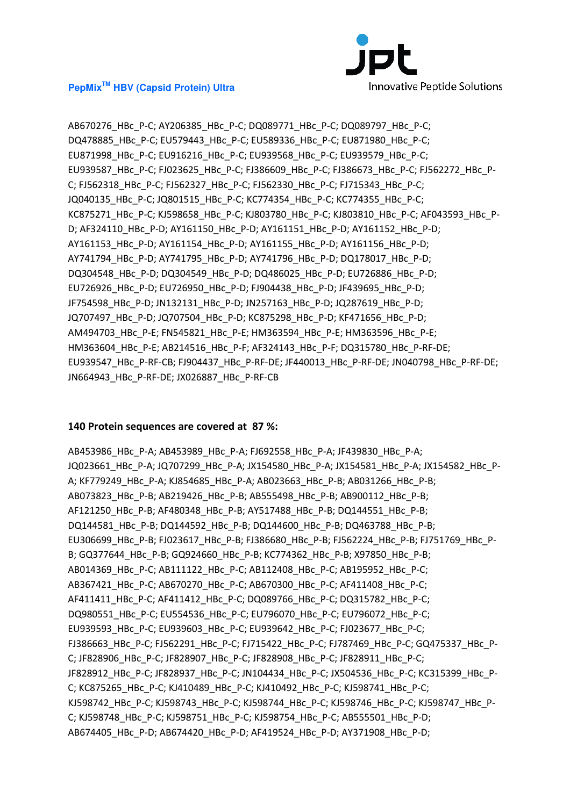

AB670276\_HBc\_P-C; AY206385\_HBc\_P-C; DQ089771\_HBc\_P-C; DQ089797\_HBc\_P-C; DQ478885\_HBc\_P-C; EU579443\_HBc\_P-C; EU589336\_HBc\_P-C; EU871980\_HBc\_P-C; EU871998\_HBc\_P-C; EU916216\_HBc\_P-C; EU939568\_HBc\_P-C; EU939579\_HBc\_P-C; EU939587\_HBc\_P-C; FJ023625\_HBc\_P-C; FJ386609\_HBc\_P-C; FJ386673\_HBc\_P-C; FJ562272\_HBc\_P-C; FJ562318\_HBc\_P-C; FJ562327\_HBc\_P-C; FJ562330\_HBc\_P-C; FJ715343\_HBc\_P-C; JQ040135\_HBc\_P-C; JQ801515\_HBc\_P-C; KC774354\_HBc\_P-C; KC774355\_HBc\_P-C; KC875271\_HBc\_P-C; KJ598658\_HBc\_P-C; KJ803780\_HBc\_P-C; KJ803810\_HBc\_P-C; AF043593\_HBc\_P-D; AF324110\_HBc\_P-D; AY161150\_HBc\_P-D; AY161151\_HBc\_P-D; AY161152\_HBc\_P-D; AY161153 HBc P-D; AY161154 HBc P-D; AY161155 HBc P-D; AY161156 HBc P-D; AY741794\_HBc\_P-D; AY741795\_HBc\_P-D; AY741796\_HBc\_P-D; DQ178017\_HBc\_P-D; DQ304548\_HBc\_P-D; DQ304549\_HBc\_P-D; DQ486025\_HBc\_P-D; EU726886\_HBc\_P-D; EU726926\_HBc\_P-D; EU726950\_HBc\_P-D; FJ904438\_HBc\_P-D; JF439695\_HBc\_P-D; JF754598\_HBc\_P-D; JN132131\_HBc\_P-D; JN257163\_HBc\_P-D; JQ287619\_HBc\_P-D; JQ707497\_HBc\_P-D; JQ707504\_HBc\_P-D; KC875298\_HBc\_P-D; KF471656\_HBc\_P-D; AM494703\_HBc\_P-E; FN545821\_HBc\_P-E; HM363594\_HBc\_P-E; HM363596\_HBc\_P-E; HM363604\_HBc\_P-E; AB214516\_HBc\_P-F; AF324143\_HBc\_P-F; DQ315780\_HBc\_P-RF-DE; EU939547\_HBc\_P-RF-CB; FJ904437\_HBc\_P-RF-DE; JF440013\_HBc\_P-RF-DE; JN040798\_HBc\_P-RF-DE; JN664943\_HBc\_P-RF-DE; JX026887\_HBc\_P-RF-CB

#### **140 Protein sequences are covered at 87 %:**

AB453986\_HBc\_P-A; AB453989\_HBc\_P-A; FJ692558\_HBc\_P-A; JF439830\_HBc\_P-A; JQ023661\_HBc\_P-A; JQ707299\_HBc\_P-A; JX154580\_HBc\_P-A; JX154581\_HBc\_P-A; JX154582\_HBc\_P-A; KF779249\_HBc\_P-A; KJ854685\_HBc\_P-A; AB023663\_HBc\_P-B; AB031266\_HBc\_P-B; AB073823\_HBc\_P-B; AB219426\_HBc\_P-B; AB555498\_HBc\_P-B; AB900112\_HBc\_P-B; AF121250\_HBc\_P-B; AF480348\_HBc\_P-B; AY517488\_HBc\_P-B; DQ144551\_HBc\_P-B; DQ144581\_HBc\_P-B; DQ144592\_HBc\_P-B; DQ144600\_HBc\_P-B; DQ463788\_HBc\_P-B; EU306699\_HBc\_P-B; FJ023617\_HBc\_P-B; FJ386680\_HBc\_P-B; FJ562224\_HBc\_P-B; FJ751769\_HBc\_P-B; GQ377644\_HBc\_P-B; GQ924660\_HBc\_P-B; KC774362\_HBc\_P-B; X97850\_HBc\_P-B; AB014369\_HBc\_P-C; AB111122\_HBc\_P-C; AB112408\_HBc\_P-C; AB195952\_HBc\_P-C; AB367421\_HBc\_P-C; AB670270\_HBc\_P-C; AB670300\_HBc\_P-C; AF411408\_HBc\_P-C; AF411411\_HBc\_P-C; AF411412\_HBc\_P-C; DQ089766\_HBc\_P-C; DQ315782\_HBc\_P-C; DQ980551\_HBc\_P-C; EU554536\_HBc\_P-C; EU796070\_HBc\_P-C; EU796072\_HBc\_P-C; EU939593\_HBc\_P-C; EU939603\_HBc\_P-C; EU939642\_HBc\_P-C; FJ023677\_HBc\_P-C; FJ386663\_HBc\_P-C; FJ562291\_HBc\_P-C; FJ715422\_HBc\_P-C; FJ787469\_HBc\_P-C; GQ475337\_HBc\_P-C; JF828906\_HBc\_P-C; JF828907\_HBc\_P-C; JF828908\_HBc\_P-C; JF828911\_HBc\_P-C; JF828912\_HBc\_P-C; JF828937\_HBc\_P-C; JN104434\_HBc\_P-C; JX504536\_HBc\_P-C; KC315399\_HBc\_P-C; KC875265\_HBc\_P-C; KJ410489\_HBc\_P-C; KJ410492\_HBc\_P-C; KJ598741\_HBc\_P-C; KJ598742\_HBc\_P-C; KJ598743\_HBc\_P-C; KJ598744\_HBc\_P-C; KJ598746\_HBc\_P-C; KJ598747\_HBc\_P-C; KJ598748\_HBc\_P-C; KJ598751\_HBc\_P-C; KJ598754\_HBc\_P-C; AB555501\_HBc\_P-D; AB674405\_HBc\_P-D; AB674420\_HBc\_P-D; AF419524\_HBc\_P-D; AY371908\_HBc\_P-D;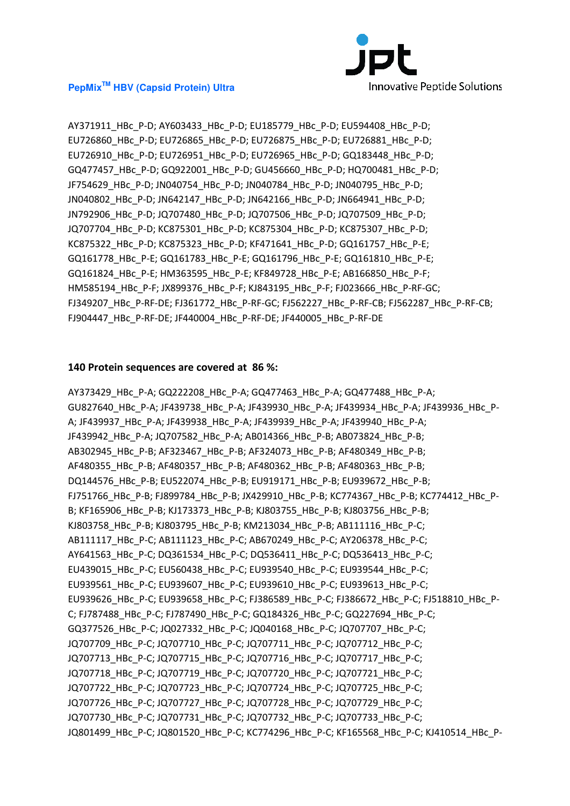

AY371911\_HBc\_P-D; AY603433\_HBc\_P-D; EU185779\_HBc\_P-D; EU594408\_HBc\_P-D; EU726860\_HBc\_P-D; EU726865\_HBc\_P-D; EU726875\_HBc\_P-D; EU726881\_HBc\_P-D; EU726910\_HBc\_P-D; EU726951\_HBc\_P-D; EU726965\_HBc\_P-D; GQ183448\_HBc\_P-D; GQ477457\_HBc\_P-D; GQ922001\_HBc\_P-D; GU456660\_HBc\_P-D; HQ700481\_HBc\_P-D; JF754629\_HBc\_P-D; JN040754\_HBc\_P-D; JN040784\_HBc\_P-D; JN040795\_HBc\_P-D; JN040802\_HBc\_P-D; JN642147\_HBc\_P-D; JN642166\_HBc\_P-D; JN664941\_HBc\_P-D; JN792906\_HBc\_P-D; JQ707480\_HBc\_P-D; JQ707506\_HBc\_P-D; JQ707509\_HBc\_P-D; JQ707704 HBc P-D; KC875301 HBc P-D; KC875304 HBc P-D; KC875307 HBc P-D; KC875322\_HBc\_P-D; KC875323\_HBc\_P-D; KF471641\_HBc\_P-D; GQ161757\_HBc\_P-E; GQ161778\_HBc\_P-E; GQ161783\_HBc\_P-E; GQ161796\_HBc\_P-E; GQ161810\_HBc\_P-E; GQ161824\_HBc\_P-E; HM363595\_HBc\_P-E; KF849728\_HBc\_P-E; AB166850\_HBc\_P-F; HM585194 HBc P-F; JX899376 HBc P-F; KJ843195 HBc P-F; FJ023666 HBc P-RF-GC; FJ349207\_HBc\_P-RF-DE; FJ361772\_HBc\_P-RF-GC; FJ562227\_HBc\_P-RF-CB; FJ562287\_HBc\_P-RF-CB; FJ904447\_HBc\_P-RF-DE; JF440004\_HBc\_P-RF-DE; JF440005\_HBc\_P-RF-DE

# **140 Protein sequences are covered at 86 %:**

AY373429\_HBc\_P-A; GQ222208\_HBc\_P-A; GQ477463\_HBc\_P-A; GQ477488\_HBc\_P-A; GU827640\_HBc\_P-A; JF439738\_HBc\_P-A; JF439930\_HBc\_P-A; JF439934\_HBc\_P-A; JF439936\_HBc\_P-A; JF439937\_HBc\_P-A; JF439938\_HBc\_P-A; JF439939\_HBc\_P-A; JF439940\_HBc\_P-A; JF439942 HBc P-A; JQ707582 HBc P-A; AB014366 HBc P-B; AB073824 HBc P-B; AB302945\_HBc\_P-B; AF323467\_HBc\_P-B; AF324073\_HBc\_P-B; AF480349\_HBc\_P-B; AF480355\_HBc\_P-B; AF480357\_HBc\_P-B; AF480362\_HBc\_P-B; AF480363\_HBc\_P-B; DQ144576\_HBc\_P-B; EU522074\_HBc\_P-B; EU919171\_HBc\_P-B; EU939672\_HBc\_P-B; FJ751766\_HBc\_P-B; FJ899784\_HBc\_P-B; JX429910\_HBc\_P-B; KC774367\_HBc\_P-B; KC774412\_HBc\_P-B; KF165906\_HBc\_P-B; KJ173373\_HBc\_P-B; KJ803755\_HBc\_P-B; KJ803756\_HBc\_P-B; KJ803758\_HBc\_P-B; KJ803795\_HBc\_P-B; KM213034\_HBc\_P-B; AB111116\_HBc\_P-C; AB111117\_HBc\_P-C; AB111123\_HBc\_P-C; AB670249\_HBc\_P-C; AY206378\_HBc\_P-C; AY641563\_HBc\_P-C; DQ361534\_HBc\_P-C; DQ536411\_HBc\_P-C; DQ536413\_HBc\_P-C; EU439015\_HBc\_P-C; EU560438\_HBc\_P-C; EU939540\_HBc\_P-C; EU939544\_HBc\_P-C; EU939561\_HBc\_P-C; EU939607\_HBc\_P-C; EU939610\_HBc\_P-C; EU939613\_HBc\_P-C; EU939626\_HBc\_P-C; EU939658\_HBc\_P-C; FJ386589\_HBc\_P-C; FJ386672\_HBc\_P-C; FJ518810\_HBc\_P-C; FJ787488\_HBc\_P-C; FJ787490\_HBc\_P-C; GQ184326\_HBc\_P-C; GQ227694\_HBc\_P-C; GQ377526\_HBc\_P-C; JQ027332\_HBc\_P-C; JQ040168\_HBc\_P-C; JQ707707\_HBc\_P-C; JQ707709\_HBc\_P-C; JQ707710\_HBc\_P-C; JQ707711\_HBc\_P-C; JQ707712\_HBc\_P-C; JQ707713\_HBc\_P-C; JQ707715\_HBc\_P-C; JQ707716\_HBc\_P-C; JQ707717\_HBc\_P-C; JQ707718\_HBc\_P-C; JQ707719\_HBc\_P-C; JQ707720\_HBc\_P-C; JQ707721\_HBc\_P-C; JQ707722\_HBc\_P-C; JQ707723\_HBc\_P-C; JQ707724\_HBc\_P-C; JQ707725\_HBc\_P-C; JQ707726\_HBc\_P-C; JQ707727\_HBc\_P-C; JQ707728\_HBc\_P-C; JQ707729\_HBc\_P-C; JQ707730\_HBc\_P-C; JQ707731\_HBc\_P-C; JQ707732\_HBc\_P-C; JQ707733\_HBc\_P-C; JQ801499\_HBc\_P-C; JQ801520\_HBc\_P-C; KC774296\_HBc\_P-C; KF165568\_HBc\_P-C; KJ410514\_HBc\_P-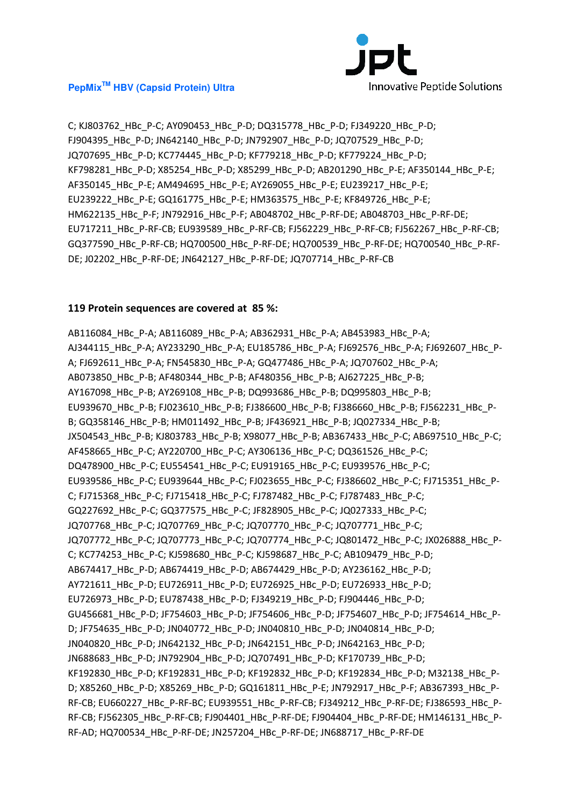

C; KJ803762\_HBc\_P-C; AY090453\_HBc\_P-D; DQ315778\_HBc\_P-D; FJ349220\_HBc\_P-D; FJ904395\_HBc\_P-D; JN642140\_HBc\_P-D; JN792907\_HBc\_P-D; JQ707529\_HBc\_P-D; JQ707695\_HBc\_P-D; KC774445\_HBc\_P-D; KF779218\_HBc\_P-D; KF779224\_HBc\_P-D; KF798281\_HBc\_P-D; X85254\_HBc\_P-D; X85299\_HBc\_P-D; AB201290\_HBc\_P-E; AF350144\_HBc\_P-E; AF350145\_HBc\_P-E; AM494695\_HBc\_P-E; AY269055\_HBc\_P-E; EU239217\_HBc\_P-E; EU239222\_HBc\_P-E; GQ161775\_HBc\_P-E; HM363575\_HBc\_P-E; KF849726\_HBc\_P-E; HM622135\_HBc\_P-F; JN792916\_HBc\_P-F; AB048702\_HBc\_P-RF-DE; AB048703\_HBc\_P-RF-DE; EU717211\_HBc\_P-RF-CB; EU939589\_HBc\_P-RF-CB; FJ562229\_HBc\_P-RF-CB; FJ562267\_HBc\_P-RF-CB; GQ377590\_HBc\_P-RF-CB; HQ700500\_HBc\_P-RF-DE; HQ700539\_HBc\_P-RF-DE; HQ700540\_HBc\_P-RF-DE; J02202\_HBc\_P-RF-DE; JN642127\_HBc\_P-RF-DE; JQ707714\_HBc\_P-RF-CB

## **119 Protein sequences are covered at 85 %:**

AB116084\_HBc\_P-A; AB116089\_HBc\_P-A; AB362931\_HBc\_P-A; AB453983\_HBc\_P-A; AJ344115\_HBc\_P-A; AY233290\_HBc\_P-A; EU185786\_HBc\_P-A; FJ692576\_HBc\_P-A; FJ692607\_HBc\_P-A; FJ692611\_HBc\_P-A; FN545830\_HBc\_P-A; GQ477486\_HBc\_P-A; JQ707602\_HBc\_P-A; AB073850\_HBc\_P-B; AF480344\_HBc\_P-B; AF480356\_HBc\_P-B; AJ627225\_HBc\_P-B; AY167098\_HBc\_P-B; AY269108\_HBc\_P-B; DQ993686\_HBc\_P-B; DQ995803\_HBc\_P-B; EU939670\_HBc\_P-B; FJ023610\_HBc\_P-B; FJ386600\_HBc\_P-B; FJ386660\_HBc\_P-B; FJ562231\_HBc\_P-B; GQ358146\_HBc\_P-B; HM011492\_HBc\_P-B; JF436921\_HBc\_P-B; JQ027334\_HBc\_P-B; JX504543\_HBc\_P-B; KJ803783\_HBc\_P-B; X98077\_HBc\_P-B; AB367433\_HBc\_P-C; AB697510\_HBc\_P-C; AF458665\_HBc\_P-C; AY220700\_HBc\_P-C; AY306136\_HBc\_P-C; DQ361526\_HBc\_P-C; DQ478900\_HBc\_P-C; EU554541\_HBc\_P-C; EU919165\_HBc\_P-C; EU939576\_HBc\_P-C; EU939586\_HBc\_P-C; EU939644\_HBc\_P-C; FJ023655\_HBc\_P-C; FJ386602\_HBc\_P-C; FJ715351\_HBc\_P-C; FJ715368\_HBc\_P-C; FJ715418\_HBc\_P-C; FJ787482\_HBc\_P-C; FJ787483\_HBc\_P-C; GQ227692\_HBc\_P-C; GQ377575\_HBc\_P-C; JF828905\_HBc\_P-C; JQ027333\_HBc\_P-C; JQ707768\_HBc\_P-C; JQ707769\_HBc\_P-C; JQ707770\_HBc\_P-C; JQ707771\_HBc\_P-C; JQ707772\_HBc\_P-C; JQ707773\_HBc\_P-C; JQ707774\_HBc\_P-C; JQ801472\_HBc\_P-C; JX026888\_HBc\_P-C; KC774253\_HBc\_P-C; KJ598680\_HBc\_P-C; KJ598687\_HBc\_P-C; AB109479\_HBc\_P-D; AB674417\_HBc\_P-D; AB674419\_HBc\_P-D; AB674429\_HBc\_P-D; AY236162\_HBc\_P-D; AY721611\_HBc\_P-D; EU726911\_HBc\_P-D; EU726925\_HBc\_P-D; EU726933\_HBc\_P-D; EU726973\_HBc\_P-D; EU787438\_HBc\_P-D; FJ349219\_HBc\_P-D; FJ904446\_HBc\_P-D; GU456681\_HBc\_P-D; JF754603\_HBc\_P-D; JF754606\_HBc\_P-D; JF754607\_HBc\_P-D; JF754614\_HBc\_P-D; JF754635\_HBc\_P-D; JN040772\_HBc\_P-D; JN040810\_HBc\_P-D; JN040814\_HBc\_P-D; JN040820\_HBc\_P-D; JN642132\_HBc\_P-D; JN642151\_HBc\_P-D; JN642163\_HBc\_P-D; JN688683\_HBc\_P-D; JN792904\_HBc\_P-D; JQ707491\_HBc\_P-D; KF170739\_HBc\_P-D; KF192830\_HBc\_P-D; KF192831\_HBc\_P-D; KF192832\_HBc\_P-D; KF192834\_HBc\_P-D; M32138\_HBc\_P-D; X85260\_HBc\_P-D; X85269\_HBc\_P-D; GQ161811\_HBc\_P-E; JN792917\_HBc\_P-F; AB367393\_HBc\_P-RF-CB; EU660227\_HBc\_P-RF-BC; EU939551\_HBc\_P-RF-CB; FJ349212\_HBc\_P-RF-DE; FJ386593\_HBc\_P-RF-CB; FJ562305\_HBc\_P-RF-CB; FJ904401\_HBc\_P-RF-DE; FJ904404\_HBc\_P-RF-DE; HM146131\_HBc\_P-RF-AD; HQ700534\_HBc\_P-RF-DE; JN257204\_HBc\_P-RF-DE; JN688717\_HBc\_P-RF-DE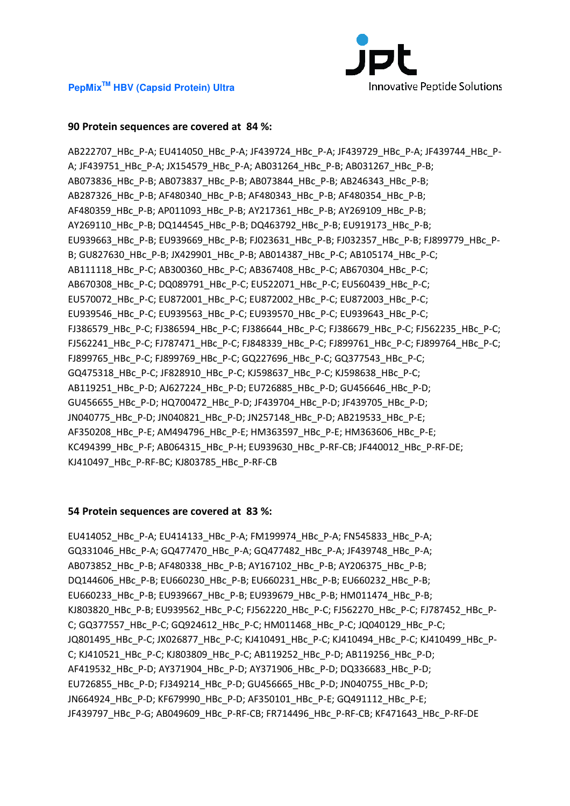

# **90 Protein sequences are covered at 84 %:**

AB222707\_HBc\_P-A; EU414050\_HBc\_P-A; JF439724\_HBc\_P-A; JF439729\_HBc\_P-A; JF439744\_HBc\_P-A; JF439751\_HBc\_P-A; JX154579\_HBc\_P-A; AB031264\_HBc\_P-B; AB031267\_HBc\_P-B; AB073836\_HBc\_P-B; AB073837\_HBc\_P-B; AB073844\_HBc\_P-B; AB246343\_HBc\_P-B; AB287326\_HBc\_P-B; AF480340\_HBc\_P-B; AF480343\_HBc\_P-B; AF480354\_HBc\_P-B; AF480359\_HBc\_P-B; AP011093\_HBc\_P-B; AY217361\_HBc\_P-B; AY269109\_HBc\_P-B; AY269110\_HBc\_P-B; DQ144545\_HBc\_P-B; DQ463792\_HBc\_P-B; EU919173\_HBc\_P-B; EU939663 HBc P-B; EU939669 HBc P-B; FJ023631 HBc P-B; FJ032357 HBc P-B; FJ899779 HBc P-B; GU827630\_HBc\_P-B; JX429901\_HBc\_P-B; AB014387\_HBc\_P-C; AB105174\_HBc\_P-C; AB111118\_HBc\_P-C; AB300360\_HBc\_P-C; AB367408\_HBc\_P-C; AB670304\_HBc\_P-C; AB670308\_HBc\_P-C; DQ089791\_HBc\_P-C; EU522071\_HBc\_P-C; EU560439\_HBc\_P-C; EU570072\_HBc\_P-C; EU872001\_HBc\_P-C; EU872002\_HBc\_P-C; EU872003\_HBc\_P-C; EU939546\_HBc\_P-C; EU939563\_HBc\_P-C; EU939570\_HBc\_P-C; EU939643\_HBc\_P-C; FJ386579\_HBc\_P-C; FJ386594\_HBc\_P-C; FJ386644\_HBc\_P-C; FJ386679\_HBc\_P-C; FJ562235\_HBc\_P-C; FJ562241\_HBc\_P-C; FJ787471\_HBc\_P-C; FJ848339\_HBc\_P-C; FJ899761\_HBc\_P-C; FJ899764\_HBc\_P-C; FJ899765\_HBc\_P-C; FJ899769\_HBc\_P-C; GQ227696\_HBc\_P-C; GQ377543\_HBc\_P-C; GQ475318\_HBc\_P-C; JF828910\_HBc\_P-C; KJ598637\_HBc\_P-C; KJ598638\_HBc\_P-C; AB119251\_HBc\_P-D; AJ627224\_HBc\_P-D; EU726885\_HBc\_P-D; GU456646\_HBc\_P-D; GU456655\_HBc\_P-D; HQ700472\_HBc\_P-D; JF439704\_HBc\_P-D; JF439705\_HBc\_P-D; JN040775\_HBc\_P-D; JN040821\_HBc\_P-D; JN257148\_HBc\_P-D; AB219533\_HBc\_P-E; AF350208\_HBc\_P-E; AM494796\_HBc\_P-E; HM363597\_HBc\_P-E; HM363606\_HBc\_P-E; KC494399\_HBc\_P-F; AB064315\_HBc\_P-H; EU939630\_HBc\_P-RF-CB; JF440012\_HBc\_P-RF-DE; KJ410497\_HBc\_P-RF-BC; KJ803785\_HBc\_P-RF-CB

#### **54 Protein sequences are covered at 83 %:**

EU414052\_HBc\_P-A; EU414133\_HBc\_P-A; FM199974\_HBc\_P-A; FN545833\_HBc\_P-A; GQ331046\_HBc\_P-A; GQ477470\_HBc\_P-A; GQ477482\_HBc\_P-A; JF439748\_HBc\_P-A; AB073852\_HBc\_P-B; AF480338\_HBc\_P-B; AY167102\_HBc\_P-B; AY206375\_HBc\_P-B; DQ144606\_HBc\_P-B; EU660230\_HBc\_P-B; EU660231\_HBc\_P-B; EU660232\_HBc\_P-B; EU660233\_HBc\_P-B; EU939667\_HBc\_P-B; EU939679\_HBc\_P-B; HM011474\_HBc\_P-B; KJ803820\_HBc\_P-B; EU939562\_HBc\_P-C; FJ562220\_HBc\_P-C; FJ562270\_HBc\_P-C; FJ787452\_HBc\_P-C; GQ377557\_HBc\_P-C; GQ924612\_HBc\_P-C; HM011468\_HBc\_P-C; JQ040129\_HBc\_P-C; JQ801495\_HBc\_P-C; JX026877\_HBc\_P-C; KJ410491\_HBc\_P-C; KJ410494\_HBc\_P-C; KJ410499\_HBc\_P-C; KJ410521\_HBc\_P-C; KJ803809\_HBc\_P-C; AB119252\_HBc\_P-D; AB119256\_HBc\_P-D; AF419532\_HBc\_P-D; AY371904\_HBc\_P-D; AY371906\_HBc\_P-D; DQ336683\_HBc\_P-D; EU726855\_HBc\_P-D; FJ349214\_HBc\_P-D; GU456665\_HBc\_P-D; JN040755\_HBc\_P-D; JN664924\_HBc\_P-D; KF679990\_HBc\_P-D; AF350101\_HBc\_P-E; GQ491112\_HBc\_P-E; JF439797\_HBc\_P-G; AB049609\_HBc\_P-RF-CB; FR714496\_HBc\_P-RF-CB; KF471643\_HBc\_P-RF-DE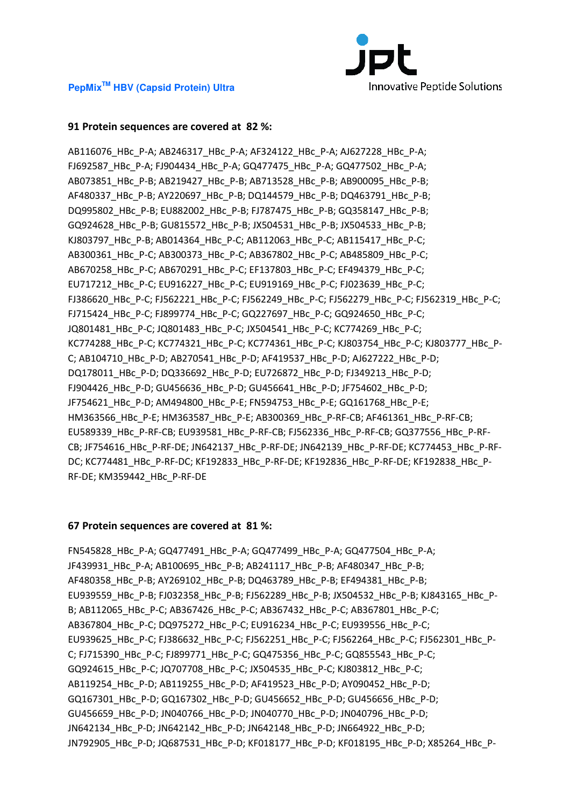

# **91 Protein sequences are covered at 82 %:**

AB116076\_HBc\_P-A; AB246317\_HBc\_P-A; AF324122\_HBc\_P-A; AJ627228\_HBc\_P-A; FJ692587\_HBc\_P-A; FJ904434\_HBc\_P-A; GQ477475\_HBc\_P-A; GQ477502\_HBc\_P-A; AB073851\_HBc\_P-B; AB219427\_HBc\_P-B; AB713528\_HBc\_P-B; AB900095\_HBc\_P-B; AF480337\_HBc\_P-B; AY220697\_HBc\_P-B; DQ144579\_HBc\_P-B; DQ463791\_HBc\_P-B; DQ995802\_HBc\_P-B; EU882002\_HBc\_P-B; FJ787475\_HBc\_P-B; GQ358147\_HBc\_P-B; GQ924628\_HBc\_P-B; GU815572\_HBc\_P-B; JX504531\_HBc\_P-B; JX504533\_HBc\_P-B; KJ803797\_HBc\_P-B; AB014364\_HBc\_P-C; AB112063\_HBc\_P-C; AB115417\_HBc\_P-C; AB300361\_HBc\_P-C; AB300373\_HBc\_P-C; AB367802\_HBc\_P-C; AB485809\_HBc\_P-C; AB670258\_HBc\_P-C; AB670291\_HBc\_P-C; EF137803\_HBc\_P-C; EF494379\_HBc\_P-C; EU717212\_HBc\_P-C; EU916227\_HBc\_P-C; EU919169\_HBc\_P-C; FJ023639\_HBc\_P-C; FJ386620\_HBc\_P-C; FJ562221\_HBc\_P-C; FJ562249\_HBc\_P-C; FJ562279\_HBc\_P-C; FJ562319\_HBc\_P-C; FJ715424\_HBc\_P-C; FJ899774\_HBc\_P-C; GQ227697\_HBc\_P-C; GQ924650\_HBc\_P-C; JQ801481\_HBc\_P-C; JQ801483\_HBc\_P-C; JX504541\_HBc\_P-C; KC774269\_HBc\_P-C; KC774288\_HBc\_P-C; KC774321\_HBc\_P-C; KC774361\_HBc\_P-C; KJ803754\_HBc\_P-C; KJ803777\_HBc\_P-C; AB104710\_HBc\_P-D; AB270541\_HBc\_P-D; AF419537\_HBc\_P-D; AJ627222\_HBc\_P-D; DQ178011\_HBc\_P-D; DQ336692\_HBc\_P-D; EU726872\_HBc\_P-D; FJ349213\_HBc\_P-D; FJ904426\_HBc\_P-D; GU456636\_HBc\_P-D; GU456641\_HBc\_P-D; JF754602\_HBc\_P-D; JF754621\_HBc\_P-D; AM494800\_HBc\_P-E; FN594753\_HBc\_P-E; GQ161768\_HBc\_P-E; HM363566\_HBc\_P-E; HM363587\_HBc\_P-E; AB300369\_HBc\_P-RF-CB; AF461361\_HBc\_P-RF-CB; EU589339\_HBc\_P-RF-CB; EU939581\_HBc\_P-RF-CB; FJ562336\_HBc\_P-RF-CB; GQ377556\_HBc\_P-RF-CB; JF754616\_HBc\_P-RF-DE; JN642137\_HBc\_P-RF-DE; JN642139\_HBc\_P-RF-DE; KC774453\_HBc\_P-RF-DC; KC774481\_HBc\_P-RF-DC; KF192833\_HBc\_P-RF-DE; KF192836\_HBc\_P-RF-DE; KF192838\_HBc\_P-RF-DE; KM359442\_HBc\_P-RF-DE

#### **67 Protein sequences are covered at 81 %:**

FN545828\_HBc\_P-A; GQ477491\_HBc\_P-A; GQ477499\_HBc\_P-A; GQ477504\_HBc\_P-A; JF439931\_HBc\_P-A; AB100695\_HBc\_P-B; AB241117\_HBc\_P-B; AF480347\_HBc\_P-B; AF480358\_HBc\_P-B; AY269102\_HBc\_P-B; DQ463789\_HBc\_P-B; EF494381\_HBc\_P-B; EU939559\_HBc\_P-B; FJ032358\_HBc\_P-B; FJ562289\_HBc\_P-B; JX504532\_HBc\_P-B; KJ843165\_HBc\_P-B; AB112065\_HBc\_P-C; AB367426\_HBc\_P-C; AB367432\_HBc\_P-C; AB367801\_HBc\_P-C; AB367804\_HBc\_P-C; DQ975272\_HBc\_P-C; EU916234\_HBc\_P-C; EU939556\_HBc\_P-C; EU939625\_HBc\_P-C; FJ386632\_HBc\_P-C; FJ562251\_HBc\_P-C; FJ562264\_HBc\_P-C; FJ562301\_HBc\_P-C; FJ715390\_HBc\_P-C; FJ899771\_HBc\_P-C; GQ475356\_HBc\_P-C; GQ855543\_HBc\_P-C; GQ924615\_HBc\_P-C; JQ707708\_HBc\_P-C; JX504535\_HBc\_P-C; KJ803812\_HBc\_P-C; AB119254 HBc P-D; AB119255 HBc P-D; AF419523 HBc P-D; AY090452 HBc P-D; GQ167301\_HBc\_P-D; GQ167302\_HBc\_P-D; GU456652\_HBc\_P-D; GU456656\_HBc\_P-D; GU456659\_HBc\_P-D; JN040766\_HBc\_P-D; JN040770\_HBc\_P-D; JN040796\_HBc\_P-D; JN642134\_HBc\_P-D; JN642142\_HBc\_P-D; JN642148\_HBc\_P-D; JN664922\_HBc\_P-D; JN792905\_HBc\_P-D; JQ687531\_HBc\_P-D; KF018177\_HBc\_P-D; KF018195\_HBc\_P-D; X85264\_HBc\_P-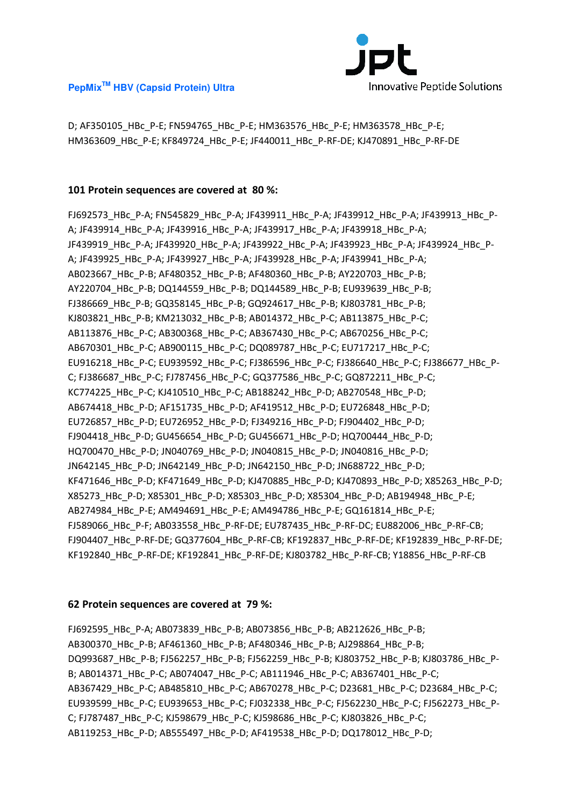



D; AF350105\_HBc\_P-E; FN594765\_HBc\_P-E; HM363576\_HBc\_P-E; HM363578\_HBc\_P-E; HM363609\_HBc\_P-E; KF849724\_HBc\_P-E; JF440011\_HBc\_P-RF-DE; KJ470891\_HBc\_P-RF-DE

# **101 Protein sequences are covered at 80 %:**

FJ692573\_HBc\_P-A; FN545829\_HBc\_P-A; JF439911\_HBc\_P-A; JF439912\_HBc\_P-A; JF439913\_HBc\_P-A; JF439914\_HBc\_P-A; JF439916\_HBc\_P-A; JF439917\_HBc\_P-A; JF439918\_HBc\_P-A; JF439919\_HBc\_P-A; JF439920\_HBc\_P-A; JF439922\_HBc\_P-A; JF439923\_HBc\_P-A; JF439924\_HBc\_P-A; JF439925\_HBc\_P-A; JF439927\_HBc\_P-A; JF439928\_HBc\_P-A; JF439941\_HBc\_P-A; AB023667\_HBc\_P-B; AF480352\_HBc\_P-B; AF480360\_HBc\_P-B; AY220703\_HBc\_P-B; AY220704\_HBc\_P-B; DQ144559\_HBc\_P-B; DQ144589\_HBc\_P-B; EU939639\_HBc\_P-B; FJ386669\_HBc\_P-B; GQ358145\_HBc\_P-B; GQ924617\_HBc\_P-B; KJ803781\_HBc\_P-B; KJ803821\_HBc\_P-B; KM213032\_HBc\_P-B; AB014372\_HBc\_P-C; AB113875\_HBc\_P-C; AB113876\_HBc\_P-C; AB300368\_HBc\_P-C; AB367430\_HBc\_P-C; AB670256\_HBc\_P-C; AB670301\_HBc\_P-C; AB900115\_HBc\_P-C; DQ089787\_HBc\_P-C; EU717217\_HBc\_P-C; EU916218\_HBc\_P-C; EU939592\_HBc\_P-C; FJ386596\_HBc\_P-C; FJ386640\_HBc\_P-C; FJ386677\_HBc\_P-C; FJ386687\_HBc\_P-C; FJ787456\_HBc\_P-C; GQ377586\_HBc\_P-C; GQ872211\_HBc\_P-C; KC774225\_HBc\_P-C; KJ410510\_HBc\_P-C; AB188242\_HBc\_P-D; AB270548\_HBc\_P-D; AB674418\_HBc\_P-D; AF151735\_HBc\_P-D; AF419512\_HBc\_P-D; EU726848\_HBc\_P-D; EU726857\_HBc\_P-D; EU726952\_HBc\_P-D; FJ349216\_HBc\_P-D; FJ904402\_HBc\_P-D; FJ904418\_HBc\_P-D; GU456654\_HBc\_P-D; GU456671\_HBc\_P-D; HQ700444\_HBc\_P-D; HQ700470\_HBc\_P-D; JN040769\_HBc\_P-D; JN040815\_HBc\_P-D; JN040816\_HBc\_P-D; JN642145\_HBc\_P-D; JN642149\_HBc\_P-D; JN642150\_HBc\_P-D; JN688722\_HBc\_P-D; KF471646\_HBc\_P-D; KF471649\_HBc\_P-D; KJ470885\_HBc\_P-D; KJ470893\_HBc\_P-D; X85263\_HBc\_P-D; X85273\_HBc\_P-D; X85301\_HBc\_P-D; X85303\_HBc\_P-D; X85304\_HBc\_P-D; AB194948\_HBc\_P-E; AB274984\_HBc\_P-E; AM494691\_HBc\_P-E; AM494786\_HBc\_P-E; GQ161814\_HBc\_P-E; FJ589066\_HBc\_P-F; AB033558\_HBc\_P-RF-DE; EU787435\_HBc\_P-RF-DC; EU882006\_HBc\_P-RF-CB; FJ904407\_HBc\_P-RF-DE; GQ377604\_HBc\_P-RF-CB; KF192837\_HBc\_P-RF-DE; KF192839\_HBc\_P-RF-DE; KF192840\_HBc\_P-RF-DE; KF192841\_HBc\_P-RF-DE; KJ803782\_HBc\_P-RF-CB; Y18856\_HBc\_P-RF-CB

# **62 Protein sequences are covered at 79 %:**

FJ692595\_HBc\_P-A; AB073839\_HBc\_P-B; AB073856\_HBc\_P-B; AB212626\_HBc\_P-B; AB300370\_HBc\_P-B; AF461360\_HBc\_P-B; AF480346\_HBc\_P-B; AJ298864\_HBc\_P-B; DQ993687\_HBc\_P-B; FJ562257\_HBc\_P-B; FJ562259\_HBc\_P-B; KJ803752\_HBc\_P-B; KJ803786\_HBc\_P-B; AB014371\_HBc\_P-C; AB074047\_HBc\_P-C; AB111946\_HBc\_P-C; AB367401\_HBc\_P-C; AB367429\_HBc\_P-C; AB485810\_HBc\_P-C; AB670278\_HBc\_P-C; D23681\_HBc\_P-C; D23684\_HBc\_P-C; EU939599\_HBc\_P-C; EU939653\_HBc\_P-C; FJ032338\_HBc\_P-C; FJ562230\_HBc\_P-C; FJ562273\_HBc\_P-C; FJ787487\_HBc\_P-C; KJ598679\_HBc\_P-C; KJ598686\_HBc\_P-C; KJ803826\_HBc\_P-C; AB119253\_HBc\_P-D; AB555497\_HBc\_P-D; AF419538\_HBc\_P-D; DQ178012\_HBc\_P-D;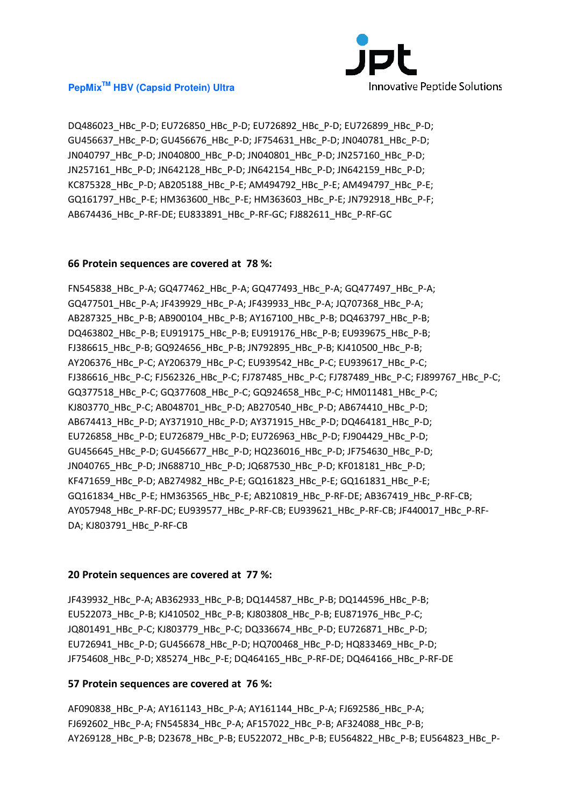

DQ486023\_HBc\_P-D; EU726850\_HBc\_P-D; EU726892\_HBc\_P-D; EU726899\_HBc\_P-D; GU456637\_HBc\_P-D; GU456676\_HBc\_P-D; JF754631\_HBc\_P-D; JN040781\_HBc\_P-D; JN040797\_HBc\_P-D; JN040800\_HBc\_P-D; JN040801\_HBc\_P-D; JN257160\_HBc\_P-D; JN257161\_HBc\_P-D; JN642128\_HBc\_P-D; JN642154\_HBc\_P-D; JN642159\_HBc\_P-D; KC875328\_HBc\_P-D; AB205188\_HBc\_P-E; AM494792\_HBc\_P-E; AM494797\_HBc\_P-E; GQ161797\_HBc\_P-E; HM363600\_HBc\_P-E; HM363603\_HBc\_P-E; JN792918\_HBc\_P-F; AB674436\_HBc\_P-RF-DE; EU833891\_HBc\_P-RF-GC; FJ882611\_HBc\_P-RF-GC

#### **66 Protein sequences are covered at 78 %:**

FN545838\_HBc\_P-A; GQ477462\_HBc\_P-A; GQ477493\_HBc\_P-A; GQ477497\_HBc\_P-A; GQ477501\_HBc\_P-A; JF439929\_HBc\_P-A; JF439933\_HBc\_P-A; JQ707368\_HBc\_P-A; AB287325\_HBc\_P-B; AB900104\_HBc\_P-B; AY167100\_HBc\_P-B; DQ463797\_HBc\_P-B; DQ463802\_HBc\_P-B; EU919175\_HBc\_P-B; EU919176\_HBc\_P-B; EU939675\_HBc\_P-B; FJ386615\_HBc\_P-B; GQ924656\_HBc\_P-B; JN792895\_HBc\_P-B; KJ410500\_HBc\_P-B; AY206376\_HBc\_P-C; AY206379\_HBc\_P-C; EU939542\_HBc\_P-C; EU939617\_HBc\_P-C; FJ386616\_HBc\_P-C; FJ562326\_HBc\_P-C; FJ787485\_HBc\_P-C; FJ787489\_HBc\_P-C; FJ899767\_HBc\_P-C; GQ377518\_HBc\_P-C; GQ377608\_HBc\_P-C; GQ924658\_HBc\_P-C; HM011481\_HBc\_P-C; KJ803770\_HBc\_P-C; AB048701\_HBc\_P-D; AB270540\_HBc\_P-D; AB674410\_HBc\_P-D; AB674413\_HBc\_P-D; AY371910\_HBc\_P-D; AY371915\_HBc\_P-D; DQ464181\_HBc\_P-D; EU726858\_HBc\_P-D; EU726879\_HBc\_P-D; EU726963\_HBc\_P-D; FJ904429\_HBc\_P-D; GU456645\_HBc\_P-D; GU456677\_HBc\_P-D; HQ236016\_HBc\_P-D; JF754630\_HBc\_P-D; JN040765\_HBc\_P-D; JN688710\_HBc\_P-D; JQ687530\_HBc\_P-D; KF018181\_HBc\_P-D; KF471659\_HBc\_P-D; AB274982\_HBc\_P-E; GQ161823\_HBc\_P-E; GQ161831\_HBc\_P-E; GQ161834\_HBc\_P-E; HM363565\_HBc\_P-E; AB210819\_HBc\_P-RF-DE; AB367419\_HBc\_P-RF-CB; AY057948\_HBc\_P-RF-DC; EU939577\_HBc\_P-RF-CB; EU939621\_HBc\_P-RF-CB; JF440017\_HBc\_P-RF-DA; KJ803791\_HBc\_P-RF-CB

#### **20 Protein sequences are covered at 77 %:**

JF439932\_HBc\_P-A; AB362933\_HBc\_P-B; DQ144587\_HBc\_P-B; DQ144596\_HBc\_P-B; EU522073\_HBc\_P-B; KJ410502\_HBc\_P-B; KJ803808\_HBc\_P-B; EU871976\_HBc\_P-C; JQ801491\_HBc\_P-C; KJ803779\_HBc\_P-C; DQ336674\_HBc\_P-D; EU726871\_HBc\_P-D; EU726941\_HBc\_P-D; GU456678\_HBc\_P-D; HQ700468\_HBc\_P-D; HQ833469\_HBc\_P-D; JF754608\_HBc\_P-D; X85274\_HBc\_P-E; DQ464165\_HBc\_P-RF-DE; DQ464166\_HBc\_P-RF-DE

#### **57 Protein sequences are covered at 76 %:**

AF090838\_HBc\_P-A; AY161143\_HBc\_P-A; AY161144\_HBc\_P-A; FJ692586\_HBc\_P-A; FJ692602 HBc P-A; FN545834 HBc P-A; AF157022 HBc P-B; AF324088 HBc P-B; AY269128 HBc P-B; D23678 HBc P-B; EU522072 HBc P-B; EU564822 HBc P-B; EU564823 HBc P-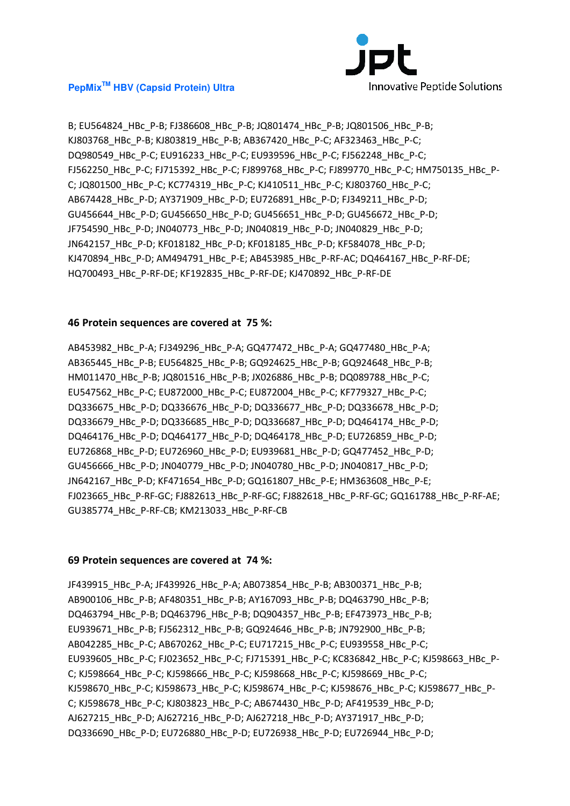

B; EU564824 HBc P-B; FJ386608 HBc P-B; JQ801474 HBc P-B; JQ801506 HBc P-B; KJ803768\_HBc\_P-B; KJ803819\_HBc\_P-B; AB367420\_HBc\_P-C; AF323463\_HBc\_P-C; DQ980549\_HBc\_P-C; EU916233\_HBc\_P-C; EU939596\_HBc\_P-C; FJ562248\_HBc\_P-C; FJ562250\_HBc\_P-C; FJ715392\_HBc\_P-C; FJ899768\_HBc\_P-C; FJ899770\_HBc\_P-C; HM750135\_HBc\_P-C; JQ801500\_HBc\_P-C; KC774319\_HBc\_P-C; KJ410511\_HBc\_P-C; KJ803760\_HBc\_P-C; AB674428\_HBc\_P-D; AY371909\_HBc\_P-D; EU726891\_HBc\_P-D; FJ349211\_HBc\_P-D; GU456644\_HBc\_P-D; GU456650\_HBc\_P-D; GU456651\_HBc\_P-D; GU456672\_HBc\_P-D; JF754590\_HBc\_P-D; JN040773\_HBc\_P-D; JN040819\_HBc\_P-D; JN040829\_HBc\_P-D; JN642157\_HBc\_P-D; KF018182\_HBc\_P-D; KF018185\_HBc\_P-D; KF584078\_HBc\_P-D; KJ470894\_HBc\_P-D; AM494791\_HBc\_P-E; AB453985\_HBc\_P-RF-AC; DQ464167\_HBc\_P-RF-DE; HQ700493\_HBc\_P-RF-DE; KF192835\_HBc\_P-RF-DE; KJ470892\_HBc\_P-RF-DE

#### **46 Protein sequences are covered at 75 %:**

AB453982\_HBc\_P-A; FJ349296\_HBc\_P-A; GQ477472\_HBc\_P-A; GQ477480\_HBc\_P-A; AB365445\_HBc\_P-B; EU564825\_HBc\_P-B; GQ924625\_HBc\_P-B; GQ924648\_HBc\_P-B; HM011470 HBc P-B; JQ801516 HBc P-B; JX026886 HBc P-B; DQ089788 HBc P-C; EU547562\_HBc\_P-C; EU872000\_HBc\_P-C; EU872004\_HBc\_P-C; KF779327\_HBc\_P-C; DQ336675\_HBc\_P-D; DQ336676\_HBc\_P-D; DQ336677\_HBc\_P-D; DQ336678\_HBc\_P-D; DQ336679\_HBc\_P-D; DQ336685\_HBc\_P-D; DQ336687\_HBc\_P-D; DQ464174\_HBc\_P-D; DQ464176\_HBc\_P-D; DQ464177\_HBc\_P-D; DQ464178\_HBc\_P-D; EU726859\_HBc\_P-D; EU726868\_HBc\_P-D; EU726960\_HBc\_P-D; EU939681\_HBc\_P-D; GQ477452\_HBc\_P-D; GU456666\_HBc\_P-D; JN040779\_HBc\_P-D; JN040780\_HBc\_P-D; JN040817\_HBc\_P-D; JN642167\_HBc\_P-D; KF471654\_HBc\_P-D; GQ161807\_HBc\_P-E; HM363608\_HBc\_P-E; FJ023665\_HBc\_P-RF-GC; FJ882613\_HBc\_P-RF-GC; FJ882618\_HBc\_P-RF-GC; GQ161788\_HBc\_P-RF-AE; GU385774\_HBc\_P-RF-CB; KM213033\_HBc\_P-RF-CB

#### **69 Protein sequences are covered at 74 %:**

JF439915\_HBc\_P-A; JF439926\_HBc\_P-A; AB073854\_HBc\_P-B; AB300371\_HBc\_P-B; AB900106\_HBc\_P-B; AF480351\_HBc\_P-B; AY167093\_HBc\_P-B; DQ463790\_HBc\_P-B; DQ463794\_HBc\_P-B; DQ463796\_HBc\_P-B; DQ904357\_HBc\_P-B; EF473973\_HBc\_P-B; EU939671\_HBc\_P-B; FJ562312\_HBc\_P-B; GQ924646\_HBc\_P-B; JN792900\_HBc\_P-B; AB042285\_HBc\_P-C; AB670262\_HBc\_P-C; EU717215\_HBc\_P-C; EU939558\_HBc\_P-C; EU939605\_HBc\_P-C; FJ023652\_HBc\_P-C; FJ715391\_HBc\_P-C; KC836842\_HBc\_P-C; KJ598663\_HBc\_P-C; KJ598664\_HBc\_P-C; KJ598666\_HBc\_P-C; KJ598668\_HBc\_P-C; KJ598669\_HBc\_P-C; KJ598670\_HBc\_P-C; KJ598673\_HBc\_P-C; KJ598674\_HBc\_P-C; KJ598676\_HBc\_P-C; KJ598677\_HBc\_P-C; KJ598678\_HBc\_P-C; KJ803823\_HBc\_P-C; AB674430\_HBc\_P-D; AF419539\_HBc\_P-D; AJ627215\_HBc\_P-D; AJ627216\_HBc\_P-D; AJ627218\_HBc\_P-D; AY371917\_HBc\_P-D; DQ336690\_HBc\_P-D; EU726880\_HBc\_P-D; EU726938\_HBc\_P-D; EU726944\_HBc\_P-D;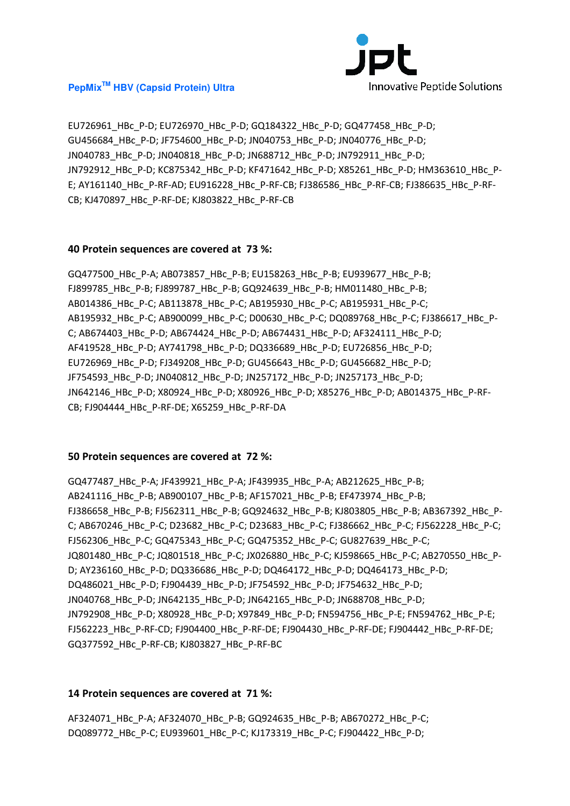

EU726961\_HBc\_P-D; EU726970\_HBc\_P-D; GQ184322\_HBc\_P-D; GQ477458\_HBc\_P-D; GU456684\_HBc\_P-D; JF754600\_HBc\_P-D; JN040753\_HBc\_P-D; JN040776\_HBc\_P-D; JN040783\_HBc\_P-D; JN040818\_HBc\_P-D; JN688712\_HBc\_P-D; JN792911\_HBc\_P-D; JN792912\_HBc\_P-D; KC875342\_HBc\_P-D; KF471642\_HBc\_P-D; X85261\_HBc\_P-D; HM363610\_HBc\_P-E; AY161140 HBc P-RF-AD; EU916228 HBc P-RF-CB; FJ386586 HBc P-RF-CB; FJ386635 HBc P-RF-CB; KJ470897\_HBc\_P-RF-DE; KJ803822\_HBc\_P-RF-CB

#### **40 Protein sequences are covered at 73 %:**

GQ477500\_HBc\_P-A; AB073857\_HBc\_P-B; EU158263\_HBc\_P-B; EU939677\_HBc\_P-B; FJ899785\_HBc\_P-B; FJ899787\_HBc\_P-B; GQ924639\_HBc\_P-B; HM011480\_HBc\_P-B; AB014386\_HBc\_P-C; AB113878\_HBc\_P-C; AB195930\_HBc\_P-C; AB195931\_HBc\_P-C; AB195932\_HBc\_P-C; AB900099\_HBc\_P-C; D00630\_HBc\_P-C; DQ089768\_HBc\_P-C; FJ386617\_HBc\_P-C; AB674403\_HBc\_P-D; AB674424\_HBc\_P-D; AB674431\_HBc\_P-D; AF324111\_HBc\_P-D; AF419528\_HBc\_P-D; AY741798\_HBc\_P-D; DQ336689\_HBc\_P-D; EU726856\_HBc\_P-D; EU726969\_HBc\_P-D; FJ349208\_HBc\_P-D; GU456643\_HBc\_P-D; GU456682\_HBc\_P-D; JF754593\_HBc\_P-D; JN040812\_HBc\_P-D; JN257172\_HBc\_P-D; JN257173\_HBc\_P-D; JN642146\_HBc\_P-D; X80924\_HBc\_P-D; X80926\_HBc\_P-D; X85276\_HBc\_P-D; AB014375\_HBc\_P-RF-CB; FJ904444\_HBc\_P-RF-DE; X65259\_HBc\_P-RF-DA

#### **50 Protein sequences are covered at 72 %:**

GQ477487\_HBc\_P-A; JF439921\_HBc\_P-A; JF439935\_HBc\_P-A; AB212625\_HBc\_P-B; AB241116 HBc P-B; AB900107 HBc P-B; AF157021 HBc P-B; EF473974 HBc P-B; FJ386658\_HBc\_P-B; FJ562311\_HBc\_P-B; GQ924632\_HBc\_P-B; KJ803805\_HBc\_P-B; AB367392\_HBc\_P-C; AB670246\_HBc\_P-C; D23682\_HBc\_P-C; D23683\_HBc\_P-C; FJ386662\_HBc\_P-C; FJ562228\_HBc\_P-C; FJ562306\_HBc\_P-C; GQ475343\_HBc\_P-C; GQ475352\_HBc\_P-C; GU827639\_HBc\_P-C; JQ801480\_HBc\_P-C; JQ801518\_HBc\_P-C; JX026880\_HBc\_P-C; KJ598665\_HBc\_P-C; AB270550\_HBc\_P-D; AY236160\_HBc\_P-D; DQ336686\_HBc\_P-D; DQ464172\_HBc\_P-D; DQ464173\_HBc\_P-D; DQ486021\_HBc\_P-D; FJ904439\_HBc\_P-D; JF754592\_HBc\_P-D; JF754632\_HBc\_P-D; JN040768\_HBc\_P-D; JN642135\_HBc\_P-D; JN642165\_HBc\_P-D; JN688708\_HBc\_P-D; JN792908\_HBc\_P-D; X80928\_HBc\_P-D; X97849\_HBc\_P-D; FN594756\_HBc\_P-E; FN594762\_HBc\_P-E; FJ562223\_HBc\_P-RF-CD; FJ904400\_HBc\_P-RF-DE; FJ904430\_HBc\_P-RF-DE; FJ904442\_HBc\_P-RF-DE; GQ377592\_HBc\_P-RF-CB; KJ803827\_HBc\_P-RF-BC

# **14 Protein sequences are covered at 71 %:**

AF324071\_HBc\_P-A; AF324070\_HBc\_P-B; GQ924635\_HBc\_P-B; AB670272\_HBc\_P-C; DQ089772\_HBc\_P-C; EU939601\_HBc\_P-C; KJ173319\_HBc\_P-C; FJ904422\_HBc\_P-D;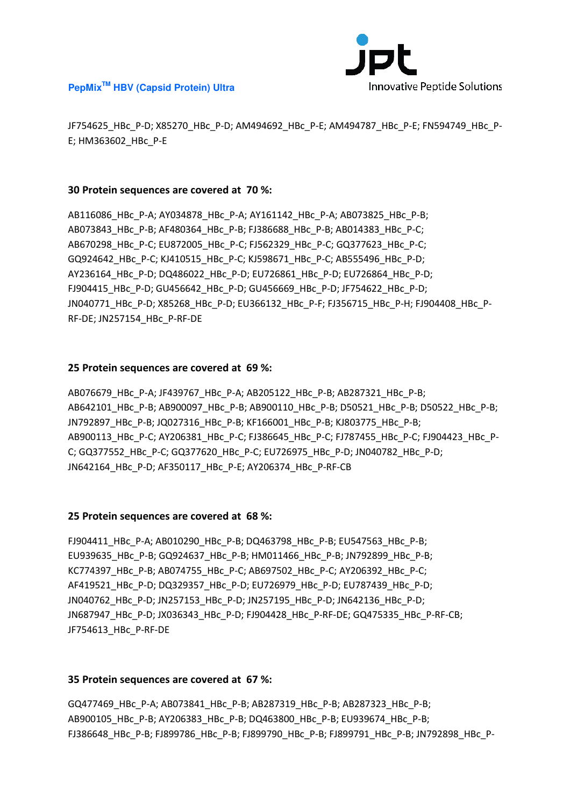

JF754625\_HBc\_P-D; X85270\_HBc\_P-D; AM494692\_HBc\_P-E; AM494787\_HBc\_P-E; FN594749\_HBc\_P-E; HM363602\_HBc\_P-E

#### **30 Protein sequences are covered at 70 %:**

AB116086\_HBc\_P-A; AY034878\_HBc\_P-A; AY161142\_HBc\_P-A; AB073825\_HBc\_P-B; AB073843\_HBc\_P-B; AF480364\_HBc\_P-B; FJ386688\_HBc\_P-B; AB014383\_HBc\_P-C; AB670298\_HBc\_P-C; EU872005\_HBc\_P-C; FJ562329\_HBc\_P-C; GQ377623\_HBc\_P-C; GQ924642\_HBc\_P-C; KJ410515\_HBc\_P-C; KJ598671\_HBc\_P-C; AB555496\_HBc\_P-D; AY236164\_HBc\_P-D; DQ486022\_HBc\_P-D; EU726861\_HBc\_P-D; EU726864\_HBc\_P-D; FJ904415\_HBc\_P-D; GU456642\_HBc\_P-D; GU456669\_HBc\_P-D; JF754622\_HBc\_P-D; JN040771\_HBc\_P-D; X85268\_HBc\_P-D; EU366132\_HBc\_P-F; FJ356715\_HBc\_P-H; FJ904408\_HBc\_P-RF-DE; JN257154\_HBc\_P-RF-DE

# **25 Protein sequences are covered at 69 %:**

AB076679\_HBc\_P-A; JF439767\_HBc\_P-A; AB205122\_HBc\_P-B; AB287321\_HBc\_P-B; AB642101\_HBc\_P-B; AB900097\_HBc\_P-B; AB900110\_HBc\_P-B; D50521\_HBc\_P-B; D50522\_HBc\_P-B; JN792897\_HBc\_P-B; JQ027316\_HBc\_P-B; KF166001\_HBc\_P-B; KJ803775\_HBc\_P-B; AB900113\_HBc\_P-C; AY206381\_HBc\_P-C; FJ386645\_HBc\_P-C; FJ787455\_HBc\_P-C; FJ904423\_HBc\_P-C; GQ377552\_HBc\_P-C; GQ377620\_HBc\_P-C; EU726975\_HBc\_P-D; JN040782\_HBc\_P-D; JN642164\_HBc\_P-D; AF350117\_HBc\_P-E; AY206374\_HBc\_P-RF-CB

#### **25 Protein sequences are covered at 68 %:**

FJ904411\_HBc\_P-A; AB010290\_HBc\_P-B; DQ463798\_HBc\_P-B; EU547563\_HBc\_P-B; EU939635\_HBc\_P-B; GQ924637\_HBc\_P-B; HM011466\_HBc\_P-B; JN792899\_HBc\_P-B; KC774397\_HBc\_P-B; AB074755\_HBc\_P-C; AB697502\_HBc\_P-C; AY206392\_HBc\_P-C; AF419521\_HBc\_P-D; DQ329357\_HBc\_P-D; EU726979\_HBc\_P-D; EU787439\_HBc\_P-D; JN040762 HBc P-D; JN257153 HBc P-D; JN257195 HBc P-D; JN642136 HBc P-D; JN687947\_HBc\_P-D; JX036343\_HBc\_P-D; FJ904428\_HBc\_P-RF-DE; GQ475335\_HBc\_P-RF-CB; JF754613\_HBc\_P-RF-DE

#### **35 Protein sequences are covered at 67 %:**

GQ477469\_HBc\_P-A; AB073841\_HBc\_P-B; AB287319\_HBc\_P-B; AB287323\_HBc\_P-B; AB900105\_HBc\_P-B; AY206383\_HBc\_P-B; DQ463800\_HBc\_P-B; EU939674\_HBc\_P-B; FJ386648\_HBc\_P-B; FJ899786\_HBc\_P-B; FJ899790\_HBc\_P-B; FJ899791\_HBc\_P-B; JN792898\_HBc\_P-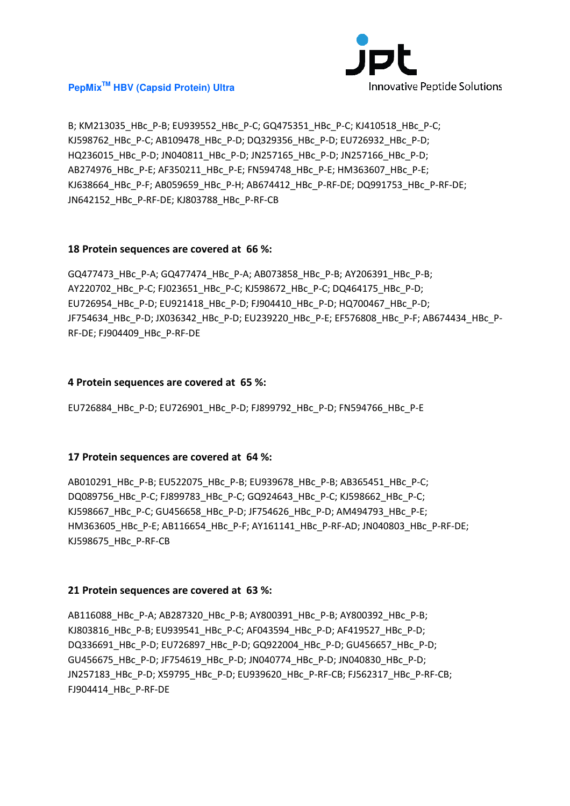

B; KM213035\_HBc\_P-B; EU939552\_HBc\_P-C; GQ475351\_HBc\_P-C; KJ410518\_HBc\_P-C; KJ598762\_HBc\_P-C; AB109478\_HBc\_P-D; DQ329356\_HBc\_P-D; EU726932\_HBc\_P-D; HQ236015\_HBc\_P-D; JN040811\_HBc\_P-D; JN257165\_HBc\_P-D; JN257166\_HBc\_P-D; AB274976\_HBc\_P-E; AF350211\_HBc\_P-E; FN594748\_HBc\_P-E; HM363607\_HBc\_P-E; KJ638664 HBc P-F; AB059659 HBc P-H; AB674412 HBc P-RF-DE; DQ991753 HBc P-RF-DE; JN642152\_HBc\_P-RF-DE; KJ803788\_HBc\_P-RF-CB

# **18 Protein sequences are covered at 66 %:**

GQ477473\_HBc\_P-A; GQ477474\_HBc\_P-A; AB073858\_HBc\_P-B; AY206391\_HBc\_P-B; AY220702\_HBc\_P-C; FJ023651\_HBc\_P-C; KJ598672\_HBc\_P-C; DQ464175\_HBc\_P-D; EU726954\_HBc\_P-D; EU921418\_HBc\_P-D; FJ904410\_HBc\_P-D; HQ700467\_HBc\_P-D; JF754634\_HBc\_P-D; JX036342\_HBc\_P-D; EU239220\_HBc\_P-E; EF576808\_HBc\_P-F; AB674434\_HBc\_P-RF-DE; FJ904409\_HBc\_P-RF-DE

#### **4 Protein sequences are covered at 65 %:**

EU726884\_HBc\_P-D; EU726901\_HBc\_P-D; FJ899792\_HBc\_P-D; FN594766\_HBc\_P-E

# **17 Protein sequences are covered at 64 %:**

AB010291\_HBc\_P-B; EU522075\_HBc\_P-B; EU939678\_HBc\_P-B; AB365451\_HBc\_P-C; DQ089756\_HBc\_P-C; FJ899783\_HBc\_P-C; GQ924643\_HBc\_P-C; KJ598662\_HBc\_P-C; KJ598667\_HBc\_P-C; GU456658\_HBc\_P-D; JF754626\_HBc\_P-D; AM494793\_HBc\_P-E; HM363605\_HBc\_P-E; AB116654\_HBc\_P-F; AY161141\_HBc\_P-RF-AD; JN040803\_HBc\_P-RF-DE; KJ598675\_HBc\_P-RF-CB

# **21 Protein sequences are covered at 63 %:**

AB116088\_HBc\_P-A; AB287320\_HBc\_P-B; AY800391\_HBc\_P-B; AY800392\_HBc\_P-B; KJ803816\_HBc\_P-B; EU939541\_HBc\_P-C; AF043594\_HBc\_P-D; AF419527\_HBc\_P-D; DQ336691\_HBc\_P-D; EU726897\_HBc\_P-D; GQ922004\_HBc\_P-D; GU456657\_HBc\_P-D; GU456675\_HBc\_P-D; JF754619\_HBc\_P-D; JN040774\_HBc\_P-D; JN040830\_HBc\_P-D; JN257183\_HBc\_P-D; X59795\_HBc\_P-D; EU939620\_HBc\_P-RF-CB; FJ562317\_HBc\_P-RF-CB; FJ904414\_HBc\_P-RF-DE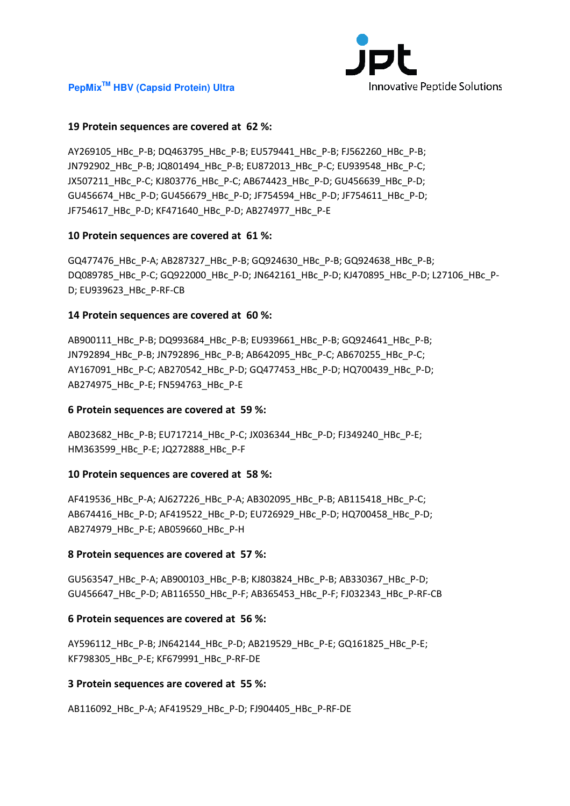

# **19 Protein sequences are covered at 62 %:**

AY269105\_HBc\_P-B; DQ463795\_HBc\_P-B; EU579441\_HBc\_P-B; FJ562260\_HBc\_P-B; JN792902\_HBc\_P-B; JQ801494\_HBc\_P-B; EU872013\_HBc\_P-C; EU939548\_HBc\_P-C; JX507211\_HBc\_P-C; KJ803776\_HBc\_P-C; AB674423\_HBc\_P-D; GU456639\_HBc\_P-D; GU456674\_HBc\_P-D; GU456679\_HBc\_P-D; JF754594\_HBc\_P-D; JF754611\_HBc\_P-D; JF754617\_HBc\_P-D; KF471640\_HBc\_P-D; AB274977\_HBc\_P-E

# **10 Protein sequences are covered at 61 %:**

GQ477476\_HBc\_P-A; AB287327\_HBc\_P-B; GQ924630\_HBc\_P-B; GQ924638\_HBc\_P-B; DQ089785\_HBc\_P-C; GQ922000\_HBc\_P-D; JN642161\_HBc\_P-D; KJ470895\_HBc\_P-D; L27106\_HBc\_P-D; EU939623\_HBc\_P-RF-CB

# **14 Protein sequences are covered at 60 %:**

AB900111\_HBc\_P-B; DQ993684\_HBc\_P-B; EU939661\_HBc\_P-B; GQ924641\_HBc\_P-B; JN792894\_HBc\_P-B; JN792896\_HBc\_P-B; AB642095\_HBc\_P-C; AB670255\_HBc\_P-C; AY167091\_HBc\_P-C; AB270542\_HBc\_P-D; GQ477453\_HBc\_P-D; HQ700439\_HBc\_P-D; AB274975\_HBc\_P-E; FN594763\_HBc\_P-E

#### **6 Protein sequences are covered at 59 %:**

AB023682\_HBc\_P-B; EU717214\_HBc\_P-C; JX036344\_HBc\_P-D; FJ349240\_HBc\_P-E; HM363599\_HBc\_P-E; JQ272888\_HBc\_P-F

#### **10 Protein sequences are covered at 58 %:**

AF419536\_HBc\_P-A; AJ627226\_HBc\_P-A; AB302095\_HBc\_P-B; AB115418\_HBc\_P-C; AB674416\_HBc\_P-D; AF419522\_HBc\_P-D; EU726929\_HBc\_P-D; HQ700458\_HBc\_P-D; AB274979\_HBc\_P-E; AB059660\_HBc\_P-H

#### **8 Protein sequences are covered at 57 %:**

GU563547\_HBc\_P-A; AB900103\_HBc\_P-B; KJ803824\_HBc\_P-B; AB330367\_HBc\_P-D; GU456647\_HBc\_P-D; AB116550\_HBc\_P-F; AB365453\_HBc\_P-F; FJ032343\_HBc\_P-RF-CB

#### **6 Protein sequences are covered at 56 %:**

AY596112\_HBc\_P-B; JN642144\_HBc\_P-D; AB219529\_HBc\_P-E; GQ161825\_HBc\_P-E; KF798305\_HBc\_P-E; KF679991\_HBc\_P-RF-DE

#### **3 Protein sequences are covered at 55 %:**

AB116092\_HBc\_P-A; AF419529\_HBc\_P-D; FJ904405\_HBc\_P-RF-DE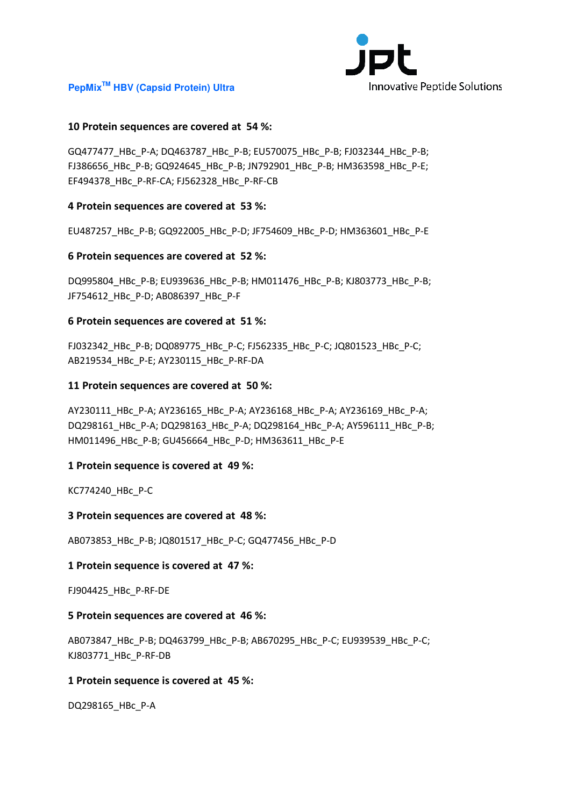

# **10 Protein sequences are covered at 54 %:**

GQ477477\_HBc\_P-A; DQ463787\_HBc\_P-B; EU570075\_HBc\_P-B; FJ032344\_HBc\_P-B; FJ386656\_HBc\_P-B; GQ924645\_HBc\_P-B; JN792901\_HBc\_P-B; HM363598\_HBc\_P-E; EF494378\_HBc\_P-RF-CA; FJ562328\_HBc\_P-RF-CB

#### **4 Protein sequences are covered at 53 %:**

EU487257\_HBc\_P-B; GQ922005\_HBc\_P-D; JF754609\_HBc\_P-D; HM363601\_HBc\_P-E

# **6 Protein sequences are covered at 52 %:**

DQ995804\_HBc\_P-B; EU939636\_HBc\_P-B; HM011476\_HBc\_P-B; KJ803773\_HBc\_P-B; JF754612\_HBc\_P-D; AB086397\_HBc\_P-F

# **6 Protein sequences are covered at 51 %:**

FJ032342\_HBc\_P-B; DQ089775\_HBc\_P-C; FJ562335\_HBc\_P-C; JQ801523\_HBc\_P-C; AB219534\_HBc\_P-E; AY230115\_HBc\_P-RF-DA

# **11 Protein sequences are covered at 50 %:**

AY230111\_HBc\_P-A; AY236165\_HBc\_P-A; AY236168\_HBc\_P-A; AY236169\_HBc\_P-A; DQ298161\_HBc\_P-A; DQ298163\_HBc\_P-A; DQ298164\_HBc\_P-A; AY596111\_HBc\_P-B; HM011496\_HBc\_P-B; GU456664\_HBc\_P-D; HM363611\_HBc\_P-E

# **1 Protein sequence is covered at 49 %:**

KC774240\_HBc\_P-C

#### **3 Protein sequences are covered at 48 %:**

AB073853\_HBc\_P-B; JQ801517\_HBc\_P-C; GQ477456\_HBc\_P-D

# **1 Protein sequence is covered at 47 %:**

FJ904425\_HBc\_P-RF-DE

#### **5 Protein sequences are covered at 46 %:**

AB073847\_HBc\_P-B; DQ463799\_HBc\_P-B; AB670295\_HBc\_P-C; EU939539\_HBc\_P-C; KJ803771\_HBc\_P-RF-DB

# **1 Protein sequence is covered at 45 %:**

DQ298165\_HBc\_P-A